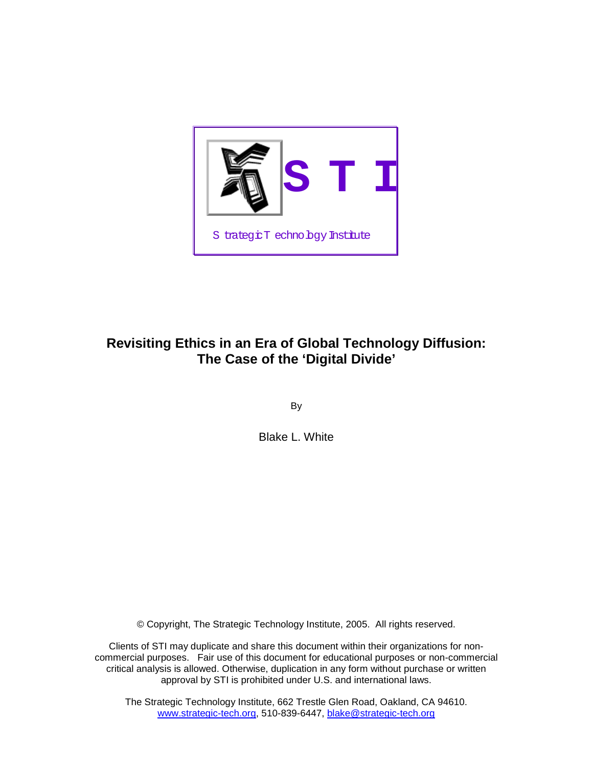

# **Revisiting Ethics in an Era of Global Technology Diffusion: The Case of the 'Digital Divide'**

By

Blake L. White

© Copyright, The Strategic Technology Institute, 2005. All rights reserved.

Clients of STI may duplicate and share this document within their organizations for noncommercial purposes. Fair use of this document for educational purposes or non-commercial critical analysis is allowed. Otherwise, duplication in any form without purchase or written approval by STI is prohibited under U.S. and international laws.

The Strategic Technology Institute, 662 Trestle Glen Road, Oakland, CA 94610. www.strategic-tech.org, 510-839-6447, blake@strategic-tech.org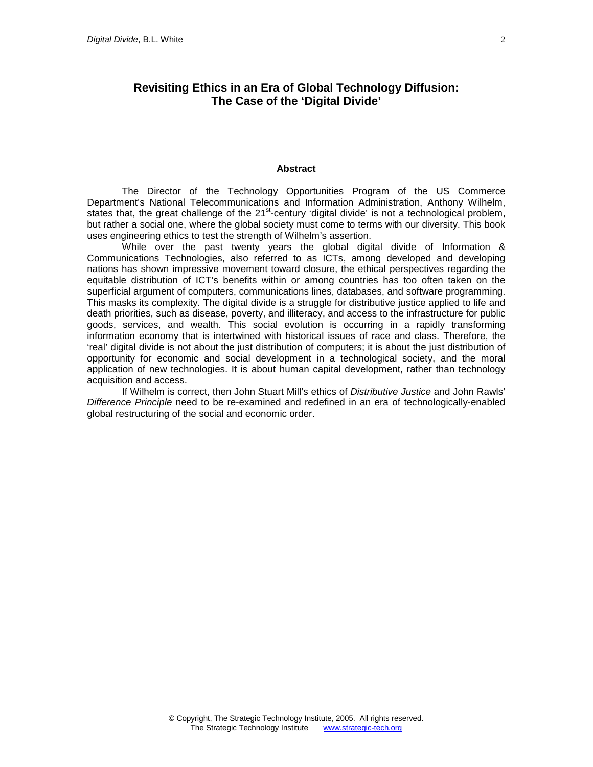# **Revisiting Ethics in an Era of Global Technology Diffusion: The Case of the 'Digital Divide'**

#### **Abstract**

The Director of the Technology Opportunities Program of the US Commerce Department's National Telecommunications and Information Administration, Anthony Wilhelm, states that, the great challenge of the  $21^{st}$ -century 'digital divide' is not a technological problem, but rather a social one, where the global society must come to terms with our diversity. This book uses engineering ethics to test the strength of Wilhelm's assertion.

While over the past twenty years the global digital divide of Information & Communications Technologies, also referred to as ICTs, among developed and developing nations has shown impressive movement toward closure, the ethical perspectives regarding the equitable distribution of ICT's benefits within or among countries has too often taken on the superficial argument of computers, communications lines, databases, and software programming. This masks its complexity. The digital divide is a struggle for distributive justice applied to life and death priorities, such as disease, poverty, and illiteracy, and access to the infrastructure for public goods, services, and wealth. This social evolution is occurring in a rapidly transforming information economy that is intertwined with historical issues of race and class. Therefore, the 'real' digital divide is not about the just distribution of computers; it is about the just distribution of opportunity for economic and social development in a technological society, and the moral application of new technologies. It is about human capital development, rather than technology acquisition and access.

If Wilhelm is correct, then John Stuart Mill's ethics of *Distributive Justice* and John Rawls' *Difference Principle* need to be re-examined and redefined in an era of technologically-enabled global restructuring of the social and economic order.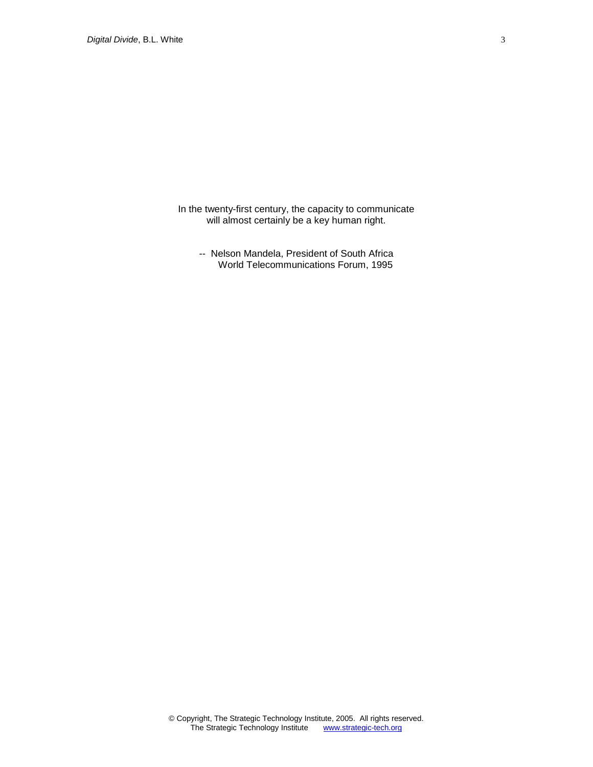In the twenty-first century, the capacity to communicate will almost certainly be a key human right.

-- Nelson Mandela, President of South Africa World Telecommunications Forum, 1995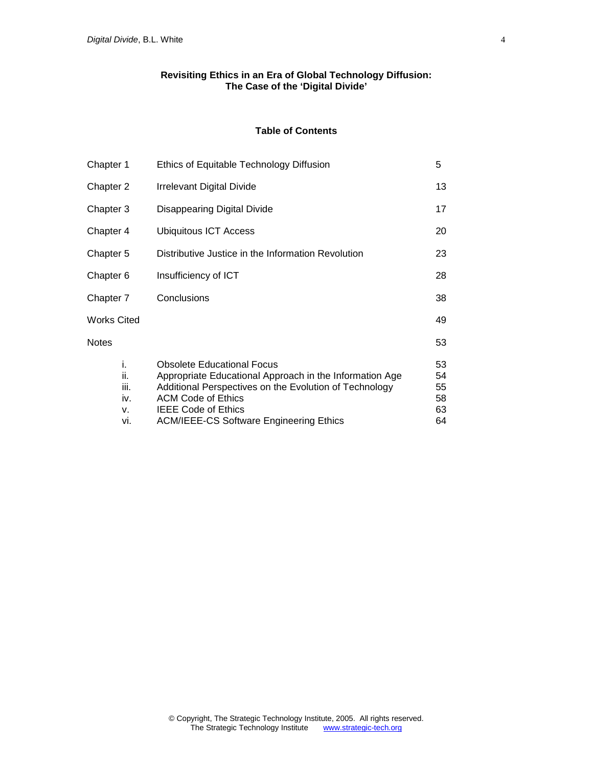# **Revisiting Ethics in an Era of Global Technology Diffusion: The Case of the 'Digital Divide'**

# **Table of Contents**

| Chapter 1                             | Ethics of Equitable Technology Diffusion                                                                                                                                                                                                                            | 5                                |
|---------------------------------------|---------------------------------------------------------------------------------------------------------------------------------------------------------------------------------------------------------------------------------------------------------------------|----------------------------------|
| Chapter 2                             | <b>Irrelevant Digital Divide</b>                                                                                                                                                                                                                                    | 13                               |
| Chapter 3                             | <b>Disappearing Digital Divide</b>                                                                                                                                                                                                                                  | 17                               |
| Chapter 4                             | <b>Ubiquitous ICT Access</b>                                                                                                                                                                                                                                        | 20                               |
| Chapter 5                             | Distributive Justice in the Information Revolution                                                                                                                                                                                                                  | 23                               |
| Chapter 6                             | Insufficiency of ICT                                                                                                                                                                                                                                                | 28                               |
| Chapter 7                             | Conclusions                                                                                                                                                                                                                                                         | 38                               |
| Works Cited                           |                                                                                                                                                                                                                                                                     | 49                               |
| Notes                                 |                                                                                                                                                                                                                                                                     | 53                               |
| i.<br>ii.<br>iii.<br>iv.<br>V.<br>vi. | <b>Obsolete Educational Focus</b><br>Appropriate Educational Approach in the Information Age<br>Additional Perspectives on the Evolution of Technology<br><b>ACM Code of Ethics</b><br><b>IEEE Code of Ethics</b><br><b>ACM/IEEE-CS Software Engineering Ethics</b> | 53<br>54<br>55<br>58<br>63<br>64 |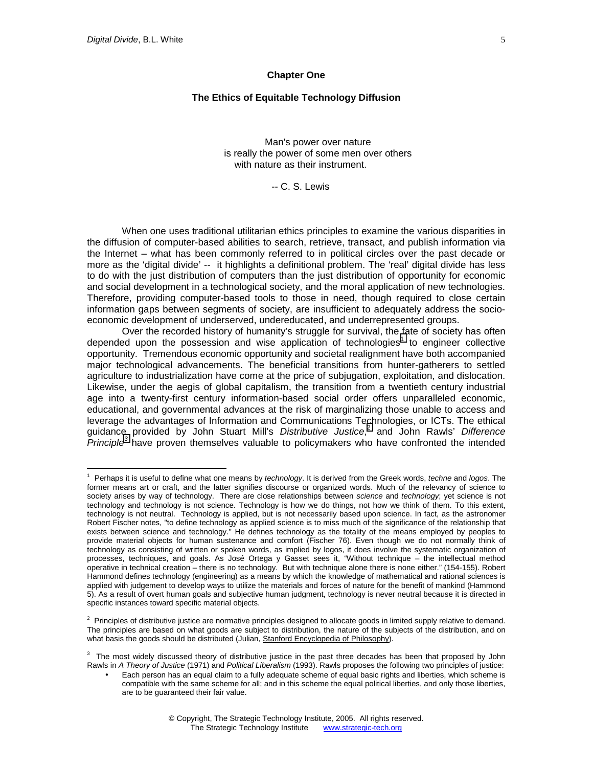## **Chapter One**

# **The Ethics of Equitable Technology Diffusion**

Man's power over nature is really the power of some men over others with nature as their instrument.

-- C. S. Lewis

When one uses traditional utilitarian ethics principles to examine the various disparities in the diffusion of computer-based abilities to search, retrieve, transact, and publish information via the Internet – what has been commonly referred to in political circles over the past decade or more as the 'digital divide' -- it highlights a definitional problem. The 'real' digital divide has less to do with the just distribution of computers than the just distribution of opportunity for economic and social development in a technological society, and the moral application of new technologies. Therefore, providing computer-based tools to those in need, though required to close certain information gaps between segments of society, are insufficient to adequately address the socioeconomic development of underserved, undereducated, and underrepresented groups.

Over the recorded history of humanity's struggle for survival, the fate of society has often depended upon the possession and wise application of technologies<sup>1</sup> to engineer collective opportunity. Tremendous economic opportunity and societal realignment have both accompanied major technological advancements. The beneficial transitions from hunter-gatherers to settled agriculture to industrialization have come at the price of subjugation, exploitation, and dislocation. Likewise, under the aegis of global capitalism, the transition from a twentieth century industrial age into a twenty-first century information-based social order offers unparalleled economic, educational, and governmental advances at the risk of marginalizing those unable to access and leverage the advantages of Information and Communications Technologies, or ICTs. The ethical guidance provided by John Stuart Mill's *Distributive Justice*, 2 and John Rawls' *Difference Principle<sup>3</sup>* have proven themselves valuable to policymakers who have confronted the intended

<sup>1</sup> Perhaps it is useful to define what one means by *technology*. It is derived from the Greek words, *techne* and *logos*. The former means art or craft, and the latter signifies discourse or organized words. Much of the relevancy of science to society arises by way of technology. There are close relationships between *science* and *technology*; yet science is not technology and technology is not science. Technology is how we do things, not how we think of them. To this extent, technology is not neutral. Technology is applied, but is not necessarily based upon science. In fact, as the astronomer Robert Fischer notes, "to define technology as applied science is to miss much of the significance of the relationship that exists between science and technology." He defines technology as the totality of the means employed by peoples to provide material objects for human sustenance and comfort (Fischer 76). Even though we do not normally think of technology as consisting of written or spoken words, as implied by logos, it does involve the systematic organization of processes, techniques, and goals. As José Ortega y Gasset sees it, "Without technique – the intellectual method operative in technical creation – there is no technology. But with technique alone there is none either." (154-155). Robert Hammond defines technology (engineering) as a means by which the knowledge of mathematical and rational sciences is applied with judgement to develop ways to utilize the materials and forces of nature for the benefit of mankind (Hammond 5). As a result of overt human goals and subjective human judgment, technology is never neutral because it is directed in specific instances toward specific material objects.

<sup>&</sup>lt;sup>2</sup> Principles of distributive justice are normative principles designed to allocate goods in limited supply relative to demand. The principles are based on what goods are subject to distribution, the nature of the subjects of the distribution, and on what basis the goods should be distributed (Julian, Stanford Encyclopedia of Philosophy).

 $3$  The most widely discussed theory of distributive justice in the past three decades has been that proposed by John Rawls in *A Theory of Justice* (1971) and *Political Liberalism* (1993). Rawls proposes the following two principles of justice:

<sup>•</sup> Each person has an equal claim to a fully adequate scheme of equal basic rights and liberties, which scheme is compatible with the same scheme for all; and in this scheme the equal political liberties, and only those liberties, are to be guaranteed their fair value.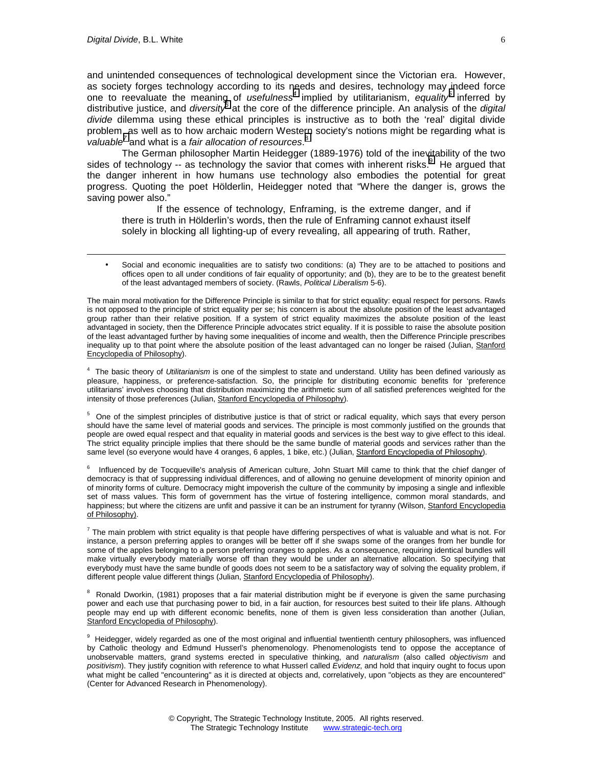and unintended consequences of technological development since the Victorian era. However, as society forges technology according to its needs and desires, technology may indeed force one to reevaluate the meaning of *usefulness<sup>4</sup>* implied by utilitarianism, *equality<sup>5</sup>* inferred by distributive justice, and *diversity*<sup>6</sup> at the core of the difference principle. An analysis of the *digital divide* dilemma using these ethical principles is instructive as to both the 'real' digital divide problem, as well as to how archaic modern Western society's notions might be regarding what is *valuable<sup>7</sup>* and what is a *fair allocation of resources*. 8

The German philosopher Martin Heidegger (1889-1976) told of the inevitability of the two sides of technology  $-$  as technology the savior that comes with inherent risks.<sup>9</sup> He argued that the danger inherent in how humans use technology also embodies the potential for great progress. Quoting the poet Hölderlin, Heidegger noted that "Where the danger is, grows the saving power also."

If the essence of technology, Enframing, is the extreme danger, and if there is truth in Hölderlin's words, then the rule of Enframing cannot exhaust itself solely in blocking all lighting-up of every revealing, all appearing of truth. Rather,

• Social and economic inequalities are to satisfy two conditions: (a) They are to be attached to positions and offices open to all under conditions of fair equality of opportunity; and (b), they are to be to the greatest benefit of the least advantaged members of society. (Rawls, *Political Liberalism* 5-6).

The main moral motivation for the Difference Principle is similar to that for strict equality: equal respect for persons. Rawls is not opposed to the principle of strict equality per se; his concern is about the absolute position of the least advantaged group rather than their relative position. If a system of strict equality maximizes the absolute position of the least advantaged in society, then the Difference Principle advocates strict equality. If it is possible to raise the absolute position of the least advantaged further by having some inequalities of income and wealth, then the Difference Principle prescribes inequality up to that point where the absolute position of the least advantaged can no longer be raised (Julian, Stanford Encyclopedia of Philosophy).

4 The basic theory of *Utilitarianism* is one of the simplest to state and understand. Utility has been defined variously as pleasure, happiness, or preference-satisfaction. So, the principle for distributing economic benefits for 'preference utilitarians' involves choosing that distribution maximizing the arithmetic sum of all satisfied preferences weighted for the intensity of those preferences (Julian, Stanford Encyclopedia of Philosophy).

 $5$  One of the simplest principles of distributive justice is that of strict or radical equality, which says that every person should have the same level of material goods and services. The principle is most commonly justified on the grounds that people are owed equal respect and that equality in material goods and services is the best way to give effect to this ideal. The strict equality principle implies that there should be the same bundle of material goods and services rather than the same level (so everyone would have 4 oranges, 6 apples, 1 bike, etc.) (Julian, Stanford Encyclopedia of Philosophy).

6 Influenced by de Tocqueville's analysis of American culture, John Stuart Mill came to think that the chief danger of democracy is that of suppressing individual differences, and of allowing no genuine development of minority opinion and of minority forms of culture. Democracy might impoverish the culture of the community by imposing a single and inflexible set of mass values. This form of government has the virtue of fostering intelligence, common moral standards, and happiness; but where the citizens are unfit and passive it can be an instrument for tyranny (Wilson, Stanford Encyclopedia of Philosophy).

 $^7$  The main problem with strict equality is that people have differing perspectives of what is valuable and what is not. For instance, a person preferring apples to oranges will be better off if she swaps some of the oranges from her bundle for some of the apples belonging to a person preferring oranges to apples. As a consequence, requiring identical bundles will make virtually everybody materially worse off than they would be under an alternative allocation. So specifying that everybody must have the same bundle of goods does not seem to be a satisfactory way of solving the equality problem, if different people value different things (Julian, Stanford Encyclopedia of Philosophy).

 $8$  Ronald Dworkin, (1981) proposes that a fair material distribution might be if everyone is given the same purchasing power and each use that purchasing power to bid, in a fair auction, for resources best suited to their life plans. Although people may end up with different economic benefits, none of them is given less consideration than another (Julian, Stanford Encyclopedia of Philosophy).

<sup>9</sup> Heidegger, widely regarded as one of the most original and influential twentienth century philosophers, was influenced by Catholic theology and Edmund Husserl's phenomenology. Phenomenologists tend to oppose the acceptance of unobservable matters, grand systems erected in speculative thinking, and *naturalism* (also called *objectivism* and *positivism*). They justify cognition with reference to what Husserl called *Evidenz*, and hold that inquiry ought to focus upon what might be called "encountering" as it is directed at objects and, correlatively, upon "objects as they are encountered" (Center for Advanced Research in Phenomenology).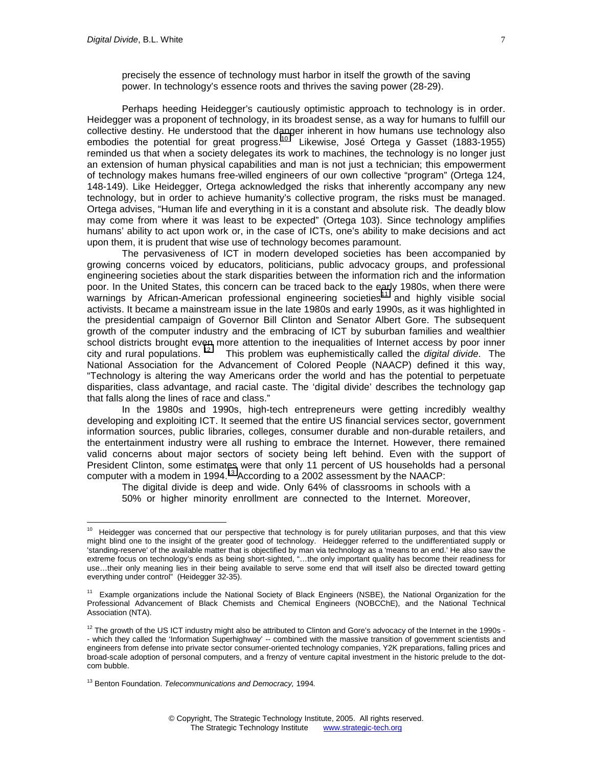precisely the essence of technology must harbor in itself the growth of the saving power. In technology's essence roots and thrives the saving power (28-29).

Perhaps heeding Heidegger's cautiously optimistic approach to technology is in order. Heidegger was a proponent of technology, in its broadest sense, as a way for humans to fulfill our collective destiny. He understood that the danger inherent in how humans use technology also embodies the potential for great progress.<sup>10</sup> Likewise, José Ortega y Gasset (1883-1955) reminded us that when a society delegates its work to machines, the technology is no longer just an extension of human physical capabilities and man is not just a technician; this empowerment of technology makes humans free-willed engineers of our own collective "program" (Ortega 124, 148-149). Like Heidegger, Ortega acknowledged the risks that inherently accompany any new technology, but in order to achieve humanity's collective program, the risks must be managed. Ortega advises, "Human life and everything in it is a constant and absolute risk. The deadly blow may come from where it was least to be expected" (Ortega 103). Since technology amplifies humans' ability to act upon work or, in the case of ICTs, one's ability to make decisions and act upon them, it is prudent that wise use of technology becomes paramount.

The pervasiveness of ICT in modern developed societies has been accompanied by growing concerns voiced by educators, politicians, public advocacy groups, and professional engineering societies about the stark disparities between the information rich and the information poor. In the United States, this concern can be traced back to the early 1980s, when there were warnings by African-American professional engineering societies<sup>11</sup> and highly visible social activists. It became a mainstream issue in the late 1980s and early 1990s, as it was highlighted in the presidential campaign of Governor Bill Clinton and Senator Albert Gore. The subsequent growth of the computer industry and the embracing of ICT by suburban families and wealthier school districts brought even more attention to the inequalities of Internet access by poor inner city and rural populations.  $12$  This problem was euphemistically called the *digital divide*. The This problem was euphemistically called the *digital divide*. The National Association for the Advancement of Colored People (NAACP) defined it this way, "Technology is altering the way Americans order the world and has the potential to perpetuate disparities, class advantage, and racial caste. The 'digital divide' describes the technology gap that falls along the lines of race and class."

In the 1980s and 1990s, high-tech entrepreneurs were getting incredibly wealthy developing and exploiting ICT. It seemed that the entire US financial services sector, government information sources, public libraries, colleges, consumer durable and non-durable retailers, and the entertainment industry were all rushing to embrace the Internet. However, there remained valid concerns about major sectors of society being left behind. Even with the support of President Clinton, some estimates were that only 11 percent of US households had a personal computer with a modem in 1994.<sup>13</sup> According to a 2002 assessment by the NAACP:

The digital divide is deep and wide. Only 64% of classrooms in schools with a 50% or higher minority enrollment are connected to the Internet. Moreover,

 $10$  Heidegger was concerned that our perspective that technology is for purely utilitarian purposes, and that this view might blind one to the insight of the greater good of technology. Heidegger referred to the undifferentiated supply or 'standing-reserve' of the available matter that is objectified by man via technology as a 'means to an end.' He also saw the extreme focus on technology's ends as being short-sighted, "…the only important quality has become their readiness for use…their only meaning lies in their being available to serve some end that will itself also be directed toward getting everything under control" (Heidegger 32-35).

<sup>&</sup>lt;sup>11</sup> Example organizations include the National Society of Black Engineers (NSBE), the National Organization for the Professional Advancement of Black Chemists and Chemical Engineers (NOBCChE), and the National Technical Association (NTA).

 $12$  The growth of the US ICT industry might also be attributed to Clinton and Gore's advocacy of the Internet in the 1990s -- which they called the 'Information Superhighway' -- combined with the massive transition of government scientists and engineers from defense into private sector consumer-oriented technology companies, Y2K preparations, falling prices and broad-scale adoption of personal computers, and a frenzy of venture capital investment in the historic prelude to the dotcom bubble.

<sup>13</sup> Benton Foundation. *Telecommunications and Democracy,* 1994*.*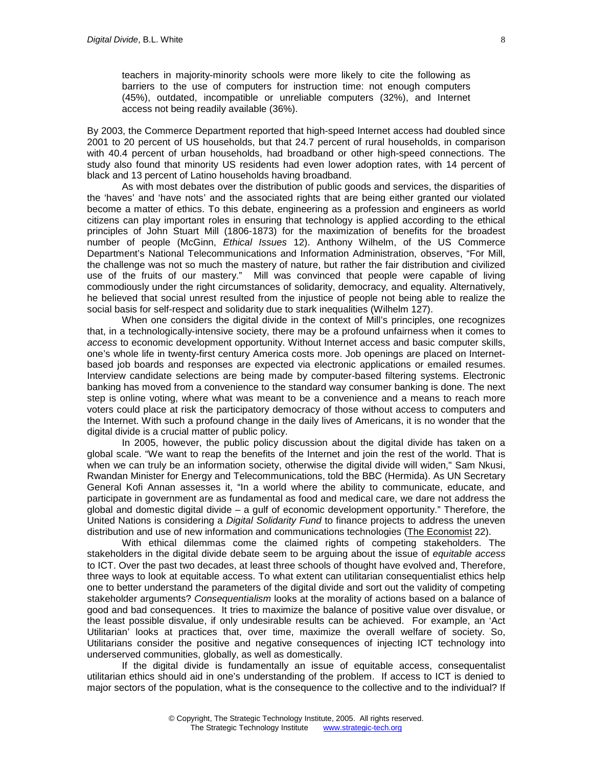teachers in majority-minority schools were more likely to cite the following as barriers to the use of computers for instruction time: not enough computers (45%), outdated, incompatible or unreliable computers (32%), and Internet access not being readily available (36%).

By 2003, the Commerce Department reported that high-speed Internet access had doubled since 2001 to 20 percent of US households, but that 24.7 percent of rural households, in comparison with 40.4 percent of urban households, had broadband or other high-speed connections. The study also found that minority US residents had even lower adoption rates, with 14 percent of black and 13 percent of Latino households having broadband.

As with most debates over the distribution of public goods and services, the disparities of the 'haves' and 'have nots' and the associated rights that are being either granted our violated become a matter of ethics. To this debate, engineering as a profession and engineers as world citizens can play important roles in ensuring that technology is applied according to the ethical principles of John Stuart Mill (1806-1873) for the maximization of benefits for the broadest number of people (McGinn, *Ethical Issues* 12). Anthony Wilhelm, of the US Commerce Department's National Telecommunications and Information Administration, observes, "For Mill, the challenge was not so much the mastery of nature, but rather the fair distribution and civilized use of the fruits of our mastery." Mill was convinced that people were capable of living commodiously under the right circumstances of solidarity, democracy, and equality. Alternatively, he believed that social unrest resulted from the injustice of people not being able to realize the social basis for self-respect and solidarity due to stark inequalities (Wilhelm 127).

When one considers the digital divide in the context of Mill's principles, one recognizes that, in a technologically-intensive society, there may be a profound unfairness when it comes to *access* to economic development opportunity. Without Internet access and basic computer skills, one's whole life in twenty-first century America costs more. Job openings are placed on Internetbased job boards and responses are expected via electronic applications or emailed resumes. Interview candidate selections are being made by computer-based filtering systems. Electronic banking has moved from a convenience to the standard way consumer banking is done. The next step is online voting, where what was meant to be a convenience and a means to reach more voters could place at risk the participatory democracy of those without access to computers and the Internet. With such a profound change in the daily lives of Americans, it is no wonder that the digital divide is a crucial matter of public policy.

In 2005, however, the public policy discussion about the digital divide has taken on a global scale. "We want to reap the benefits of the Internet and join the rest of the world. That is when we can truly be an information society, otherwise the digital divide will widen," Sam Nkusi, Rwandan Minister for Energy and Telecommunications, told the BBC (Hermida). As UN Secretary General Kofi Annan assesses it, "In a world where the ability to communicate, educate, and participate in government are as fundamental as food and medical care, we dare not address the global and domestic digital divide – a gulf of economic development opportunity." Therefore, the United Nations is considering a *Digital Solidarity Fund* to finance projects to address the uneven distribution and use of new information and communications technologies (The Economist 22).

With ethical dilemmas come the claimed rights of competing stakeholders. The stakeholders in the digital divide debate seem to be arguing about the issue of *equitable access* to ICT. Over the past two decades, at least three schools of thought have evolved and, Therefore, three ways to look at equitable access. To what extent can utilitarian consequentialist ethics help one to better understand the parameters of the digital divide and sort out the validity of competing stakeholder arguments? *Consequentialism* looks at the morality of actions based on a balance of good and bad consequences. It tries to maximize the balance of positive value over disvalue, or the least possible disvalue, if only undesirable results can be achieved. For example, an 'Act Utilitarian' looks at practices that, over time, maximize the overall welfare of society. So, Utilitarians consider the positive and negative consequences of injecting ICT technology into underserved communities, globally, as well as domestically.

If the digital divide is fundamentally an issue of equitable access, consequentalist utilitarian ethics should aid in one's understanding of the problem. If access to ICT is denied to major sectors of the population, what is the consequence to the collective and to the individual? If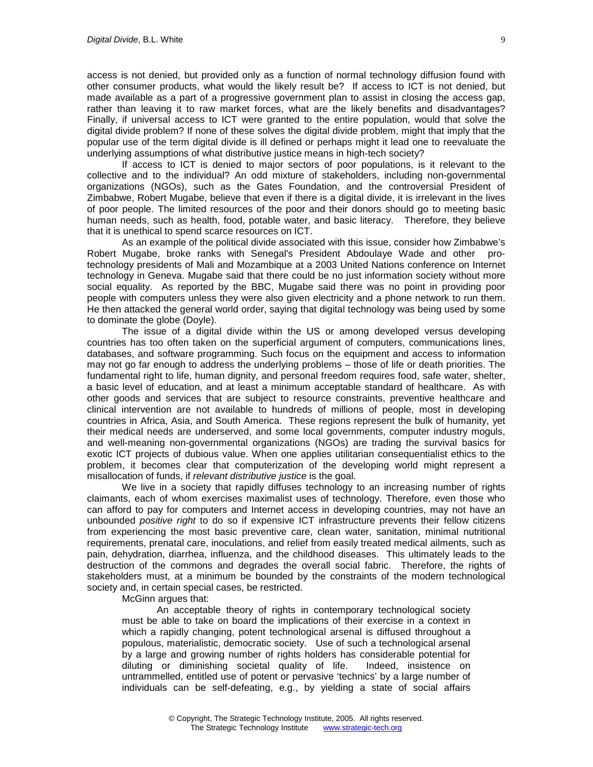access is not denied, but provided only as a function of normal technology diffusion found with other consumer products, what would the likely result be? If access to ICT is not denied, but made available as a part of a progressive government plan to assist in closing the access gap, rather than leaving it to raw market forces, what are the likely benefits and disadvantages? Finally, if universal access to ICT were granted to the entire population, would that solve the digital divide problem? If none of these solves the digital divide problem, might that imply that the popular use of the term digital divide is ill defined or perhaps might it lead one to reevaluate the underlying assumptions of what distributive justice means in high-tech society?

If access to ICT is denied to major sectors of poor populations, is it relevant to the collective and to the individual? An odd mixture of stakeholders, including non-governmental organizations (NGOs), such as the Gates Foundation, and the controversial President of Zimbabwe, Robert Mugabe, believe that even if there is a digital divide, it is irrelevant in the lives of poor people. The limited resources of the poor and their donors should go to meeting basic human needs, such as health, food, potable water, and basic literacy. Therefore, they believe that it is unethical to spend scarce resources on ICT.

As an example of the political divide associated with this issue, consider how Zimbabwe's Robert Mugabe, broke ranks with Senegal's President Abdoulaye Wade and other protechnology presidents of Mali and Mozambique at a 2003 United Nations conference on Internet technology in Geneva. Mugabe said that there could be no just information society without more social equality. As reported by the BBC, Mugabe said there was no point in providing poor people with computers unless they were also given electricity and a phone network to run them. He then attacked the general world order, saying that digital technology was being used by some to dominate the globe (Doyle).

The issue of a digital divide within the US or among developed versus developing countries has too often taken on the superficial argument of computers, communications lines, databases, and software programming. Such focus on the equipment and access to information may not go far enough to address the underlying problems – those of life or death priorities. The fundamental right to life, human dignity, and personal freedom requires food, safe water, shelter, a basic level of education, and at least a minimum acceptable standard of healthcare. As with other goods and services that are subject to resource constraints, preventive healthcare and clinical intervention are not available to hundreds of millions of people, most in developing countries in Africa, Asia, and South America. These regions represent the bulk of humanity, yet their medical needs are underserved, and some local governments, computer industry moguls, and well-meaning non-governmental organizations (NGOs) are trading the survival basics for exotic ICT projects of dubious value. When one applies utilitarian consequentialist ethics to the problem, it becomes clear that computerization of the developing world might represent a misallocation of funds, if *relevant distributive justice* is the goal.

We live in a society that rapidly diffuses technology to an increasing number of rights claimants, each of whom exercises maximalist uses of technology. Therefore, even those who can afford to pay for computers and Internet access in developing countries, may not have an unbounded *positive right* to do so if expensive ICT infrastructure prevents their fellow citizens from experiencing the most basic preventive care, clean water, sanitation, minimal nutritional requirements, prenatal care, inoculations, and relief from easily treated medical ailments, such as pain, dehydration, diarrhea, influenza, and the childhood diseases. This ultimately leads to the destruction of the commons and degrades the overall social fabric. Therefore, the rights of stakeholders must, at a minimum be bounded by the constraints of the modern technological society and, in certain special cases, be restricted.

McGinn argues that:

An acceptable theory of rights in contemporary technological society must be able to take on board the implications of their exercise in a context in which a rapidly changing, potent technological arsenal is diffused throughout a populous, materialistic, democratic society. Use of such a technological arsenal by a large and growing number of rights holders has considerable potential for diluting or diminishing societal quality of life. Indeed, insistence on untrammelled, entitled use of potent or pervasive 'technics' by a large number of individuals can be self-defeating, e.g., by yielding a state of social affairs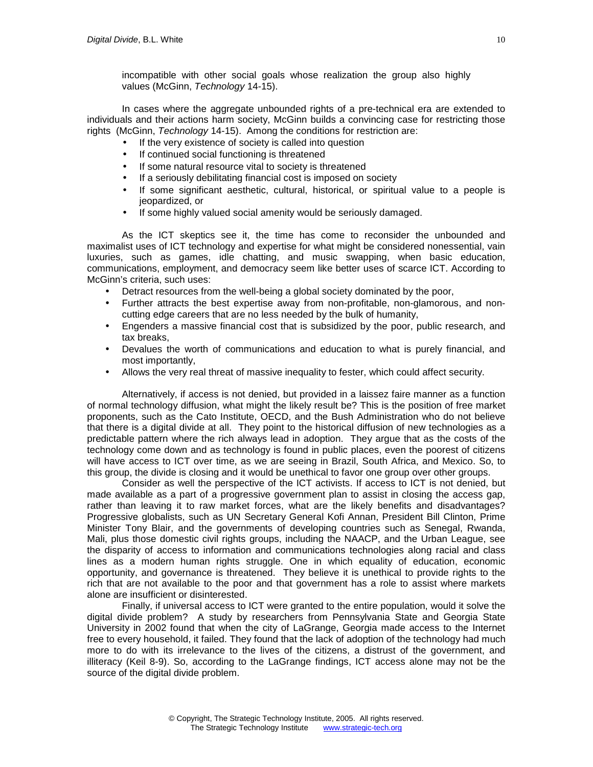incompatible with other social goals whose realization the group also highly values (McGinn, *Technology* 14-15).

In cases where the aggregate unbounded rights of a pre-technical era are extended to individuals and their actions harm society, McGinn builds a convincing case for restricting those rights (McGinn, *Technology* 14-15). Among the conditions for restriction are:

- If the very existence of society is called into question
- If continued social functioning is threatened
- If some natural resource vital to society is threatened
- If a seriously debilitating financial cost is imposed on society
- If some significant aesthetic, cultural, historical, or spiritual value to a people is jeopardized, or
- If some highly valued social amenity would be seriously damaged.

As the ICT skeptics see it, the time has come to reconsider the unbounded and maximalist uses of ICT technology and expertise for what might be considered nonessential, vain luxuries, such as games, idle chatting, and music swapping, when basic education, communications, employment, and democracy seem like better uses of scarce ICT. According to McGinn's criteria, such uses:

- Detract resources from the well-being a global society dominated by the poor,
- Further attracts the best expertise away from non-profitable, non-glamorous, and noncutting edge careers that are no less needed by the bulk of humanity,
- Engenders a massive financial cost that is subsidized by the poor, public research, and tax breaks,
- Devalues the worth of communications and education to what is purely financial, and most importantly,
- Allows the very real threat of massive inequality to fester, which could affect security.

Alternatively, if access is not denied, but provided in a laissez faire manner as a function of normal technology diffusion, what might the likely result be? This is the position of free market proponents, such as the Cato Institute, OECD, and the Bush Administration who do not believe that there is a digital divide at all. They point to the historical diffusion of new technologies as a predictable pattern where the rich always lead in adoption. They argue that as the costs of the technology come down and as technology is found in public places, even the poorest of citizens will have access to ICT over time, as we are seeing in Brazil, South Africa, and Mexico. So, to this group, the divide is closing and it would be unethical to favor one group over other groups.

Consider as well the perspective of the ICT activists. If access to ICT is not denied, but made available as a part of a progressive government plan to assist in closing the access gap, rather than leaving it to raw market forces, what are the likely benefits and disadvantages? Progressive globalists, such as UN Secretary General Kofi Annan, President Bill Clinton, Prime Minister Tony Blair, and the governments of developing countries such as Senegal, Rwanda, Mali, plus those domestic civil rights groups, including the NAACP, and the Urban League, see the disparity of access to information and communications technologies along racial and class lines as a modern human rights struggle. One in which equality of education, economic opportunity, and governance is threatened. They believe it is unethical to provide rights to the rich that are not available to the poor and that government has a role to assist where markets alone are insufficient or disinterested.

Finally, if universal access to ICT were granted to the entire population, would it solve the digital divide problem? A study by researchers from Pennsylvania State and Georgia State University in 2002 found that when the city of LaGrange, Georgia made access to the Internet free to every household, it failed. They found that the lack of adoption of the technology had much more to do with its irrelevance to the lives of the citizens, a distrust of the government, and illiteracy (Keil 8-9). So, according to the LaGrange findings, ICT access alone may not be the source of the digital divide problem.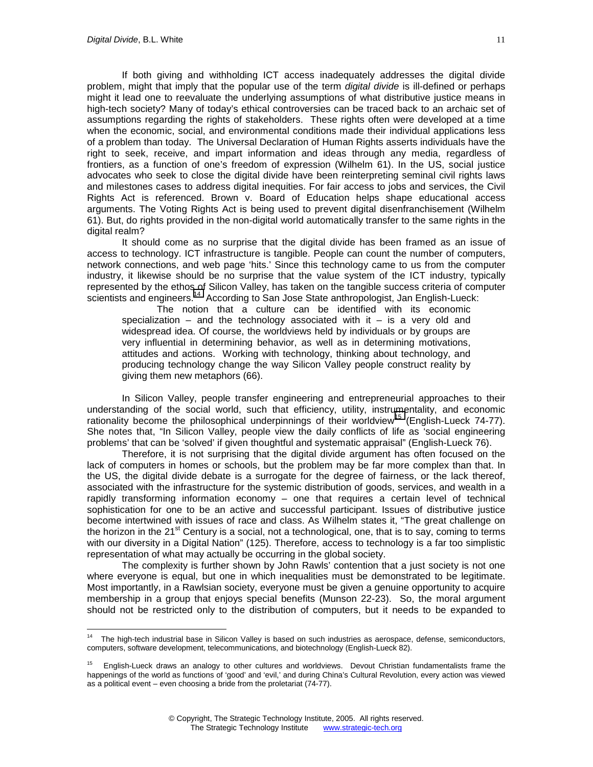If both giving and withholding ICT access inadequately addresses the digital divide problem, might that imply that the popular use of the term *digital divide* is ill-defined or perhaps might it lead one to reevaluate the underlying assumptions of what distributive justice means in high-tech society? Many of today's ethical controversies can be traced back to an archaic set of assumptions regarding the rights of stakeholders. These rights often were developed at a time when the economic, social, and environmental conditions made their individual applications less of a problem than today. The Universal Declaration of Human Rights asserts individuals have the right to seek, receive, and impart information and ideas through any media, regardless of frontiers, as a function of one's freedom of expression (Wilhelm 61). In the US, social justice advocates who seek to close the digital divide have been reinterpreting seminal civil rights laws and milestones cases to address digital inequities. For fair access to jobs and services, the Civil Rights Act is referenced. Brown v. Board of Education helps shape educational access arguments. The Voting Rights Act is being used to prevent digital disenfranchisement (Wilhelm 61). But, do rights provided in the non-digital world automatically transfer to the same rights in the digital realm?

It should come as no surprise that the digital divide has been framed as an issue of access to technology. ICT infrastructure is tangible. People can count the number of computers, network connections, and web page 'hits.' Since this technology came to us from the computer industry, it likewise should be no surprise that the value system of the ICT industry, typically represented by the ethos of Silicon Valley, has taken on the tangible success criteria of computer scientists and engineers.<sup>14</sup> According to San Jose State anthropologist, Jan English-Lueck:

The notion that a culture can be identified with its economic specialization – and the technology associated with it – is a very old and widespread idea. Of course, the worldviews held by individuals or by groups are very influential in determining behavior, as well as in determining motivations, attitudes and actions. Working with technology, thinking about technology, and producing technology change the way Silicon Valley people construct reality by giving them new metaphors (66).

In Silicon Valley, people transfer engineering and entrepreneurial approaches to their understanding of the social world, such that efficiency, utility, instrumentality, and economic rationality become the philosophical underpinnings of their worldview<sup>15</sup> (English-Lueck 74-77). She notes that, "In Silicon Valley, people view the daily conflicts of life as 'social engineering problems' that can be 'solved' if given thoughtful and systematic appraisal" (English-Lueck 76).

Therefore, it is not surprising that the digital divide argument has often focused on the lack of computers in homes or schools, but the problem may be far more complex than that. In the US, the digital divide debate is a surrogate for the degree of fairness, or the lack thereof, associated with the infrastructure for the systemic distribution of goods, services, and wealth in a rapidly transforming information economy – one that requires a certain level of technical sophistication for one to be an active and successful participant. Issues of distributive justice become intertwined with issues of race and class. As Wilhelm states it, "The great challenge on the horizon in the  $21^{st}$  Century is a social, not a technological, one, that is to say, coming to terms with our diversity in a Digital Nation" (125). Therefore, access to technology is a far too simplistic representation of what may actually be occurring in the global society.

The complexity is further shown by John Rawls' contention that a just society is not one where everyone is equal, but one in which inequalities must be demonstrated to be legitimate. Most importantly, in a Rawlsian society, everyone must be given a genuine opportunity to acquire membership in a group that enjoys special benefits (Munson 22-23). So, the moral argument should not be restricted only to the distribution of computers, but it needs to be expanded to

 $14$ The high-tech industrial base in Silicon Valley is based on such industries as aerospace, defense, semiconductors, computers, software development, telecommunications, and biotechnology (English-Lueck 82).

<sup>15</sup> English-Lueck draws an analogy to other cultures and worldviews. Devout Christian fundamentalists frame the happenings of the world as functions of 'good' and 'evil,' and during China's Cultural Revolution, every action was viewed as a political event – even choosing a bride from the proletariat (74-77).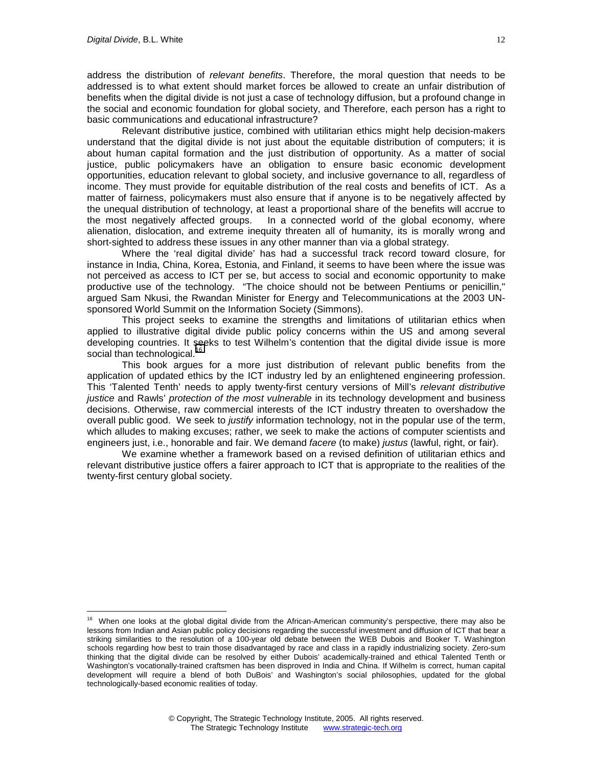address the distribution of *relevant benefits*. Therefore, the moral question that needs to be addressed is to what extent should market forces be allowed to create an unfair distribution of benefits when the digital divide is not just a case of technology diffusion, but a profound change in the social and economic foundation for global society, and Therefore, each person has a right to basic communications and educational infrastructure?

Relevant distributive justice, combined with utilitarian ethics might help decision-makers understand that the digital divide is not just about the equitable distribution of computers; it is about human capital formation and the just distribution of opportunity. As a matter of social justice, public policymakers have an obligation to ensure basic economic development opportunities, education relevant to global society, and inclusive governance to all, regardless of income. They must provide for equitable distribution of the real costs and benefits of ICT. As a matter of fairness, policymakers must also ensure that if anyone is to be negatively affected by the unequal distribution of technology, at least a proportional share of the benefits will accrue to the most negatively affected groups. In a connected world of the global economy, where alienation, dislocation, and extreme inequity threaten all of humanity, its is morally wrong and short-sighted to address these issues in any other manner than via a global strategy.

Where the 'real digital divide' has had a successful track record toward closure, for instance in India, China, Korea, Estonia, and Finland, it seems to have been where the issue was not perceived as access to ICT per se, but access to social and economic opportunity to make productive use of the technology. "The choice should not be between Pentiums or penicillin," argued Sam Nkusi, the Rwandan Minister for Energy and Telecommunications at the 2003 UNsponsored World Summit on the Information Society (Simmons).

This project seeks to examine the strengths and limitations of utilitarian ethics when applied to illustrative digital divide public policy concerns within the US and among several developing countries. It seeks to test Wilhelm's contention that the digital divide issue is more social than technological.<sup>16</sup>

This book argues for a more just distribution of relevant public benefits from the application of updated ethics by the ICT industry led by an enlightened engineering profession. This 'Talented Tenth' needs to apply twenty-first century versions of Mill's *relevant distributive justice* and Rawls' *protection of the most vulnerable* in its technology development and business decisions. Otherwise, raw commercial interests of the ICT industry threaten to overshadow the overall public good. We seek to *justify* information technology, not in the popular use of the term, which alludes to making excuses; rather, we seek to make the actions of computer scientists and engineers just, i.e., honorable and fair. We demand *facere* (to make) *justus* (lawful, right, or fair).

We examine whether a framework based on a revised definition of utilitarian ethics and relevant distributive justice offers a fairer approach to ICT that is appropriate to the realities of the twenty-first century global society.

<sup>&</sup>lt;sup>16</sup> When one looks at the global digital divide from the African-American community's perspective, there may also be lessons from Indian and Asian public policy decisions regarding the successful investment and diffusion of ICT that bear a striking similarities to the resolution of a 100-year old debate between the WEB Dubois and Booker T. Washington schools regarding how best to train those disadvantaged by race and class in a rapidly industrializing society. Zero-sum thinking that the digital divide can be resolved by either Dubois' academically-trained and ethical Talented Tenth or Washington's vocationally-trained craftsmen has been disproved in India and China. If Wilhelm is correct, human capital development will require a blend of both DuBois' and Washington's social philosophies, updated for the global technologically-based economic realities of today.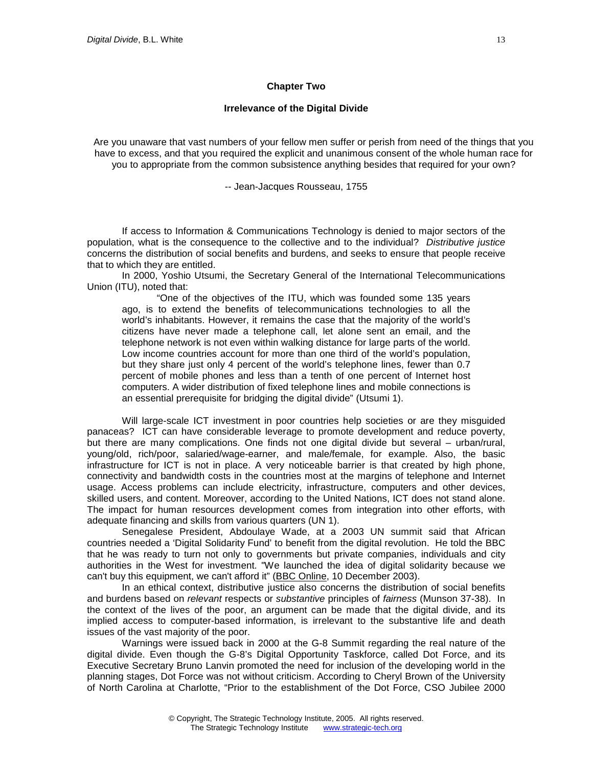# **Chapter Two**

# **Irrelevance of the Digital Divide**

Are you unaware that vast numbers of your fellow men suffer or perish from need of the things that you have to excess, and that you required the explicit and unanimous consent of the whole human race for you to appropriate from the common subsistence anything besides that required for your own?

-- Jean-Jacques Rousseau, 1755

If access to Information & Communications Technology is denied to major sectors of the population, what is the consequence to the collective and to the individual? *Distributive justice* concerns the distribution of social benefits and burdens, and seeks to ensure that people receive that to which they are entitled.

In 2000, Yoshio Utsumi, the Secretary General of the International Telecommunications Union (ITU), noted that:

"One of the objectives of the ITU, which was founded some 135 years ago, is to extend the benefits of telecommunications technologies to all the world's inhabitants. However, it remains the case that the majority of the world's citizens have never made a telephone call, let alone sent an email, and the telephone network is not even within walking distance for large parts of the world. Low income countries account for more than one third of the world's population, but they share just only 4 percent of the world's telephone lines, fewer than 0.7 percent of mobile phones and less than a tenth of one percent of Internet host computers. A wider distribution of fixed telephone lines and mobile connections is an essential prerequisite for bridging the digital divide" (Utsumi 1).

Will large-scale ICT investment in poor countries help societies or are they misguided panaceas? ICT can have considerable leverage to promote development and reduce poverty, but there are many complications. One finds not one digital divide but several – urban/rural, young/old, rich/poor, salaried/wage-earner, and male/female, for example. Also, the basic infrastructure for ICT is not in place. A very noticeable barrier is that created by high phone, connectivity and bandwidth costs in the countries most at the margins of telephone and Internet usage. Access problems can include electricity, infrastructure, computers and other devices, skilled users, and content. Moreover, according to the United Nations, ICT does not stand alone. The impact for human resources development comes from integration into other efforts, with adequate financing and skills from various quarters (UN 1).

Senegalese President, Abdoulaye Wade, at a 2003 UN summit said that African countries needed a 'Digital Solidarity Fund' to benefit from the digital revolution. He told the BBC that he was ready to turn not only to governments but private companies, individuals and city authorities in the West for investment. "We launched the idea of digital solidarity because we can't buy this equipment, we can't afford it" (BBC Online, 10 December 2003).

In an ethical context, distributive justice also concerns the distribution of social benefits and burdens based on *relevant* respects or *substantive* principles of *fairness* (Munson 37-38). In the context of the lives of the poor, an argument can be made that the digital divide, and its implied access to computer-based information, is irrelevant to the substantive life and death issues of the vast majority of the poor.

Warnings were issued back in 2000 at the G-8 Summit regarding the real nature of the digital divide. Even though the G-8's Digital Opportunity Taskforce, called Dot Force, and its Executive Secretary Bruno Lanvin promoted the need for inclusion of the developing world in the planning stages, Dot Force was not without criticism. According to Cheryl Brown of the University of North Carolina at Charlotte, "Prior to the establishment of the Dot Force, CSO Jubilee 2000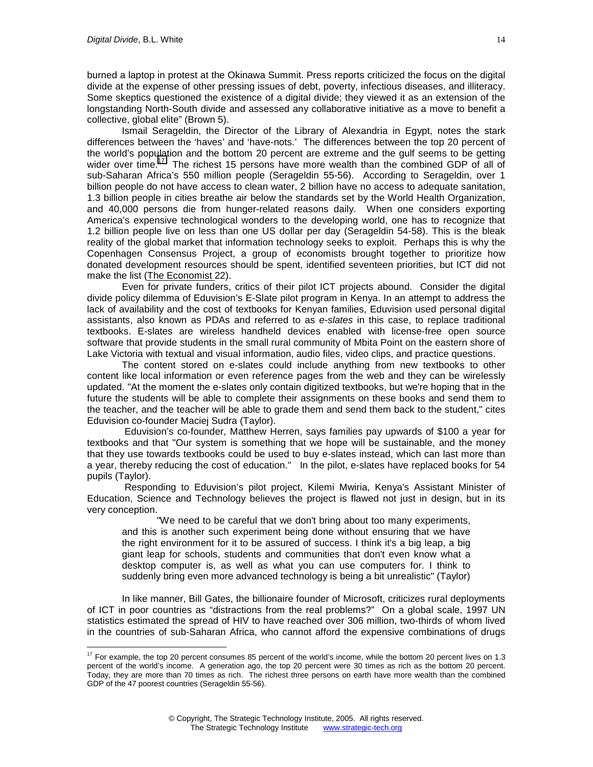burned a laptop in protest at the Okinawa Summit. Press reports criticized the focus on the digital divide at the expense of other pressing issues of debt, poverty, infectious diseases, and illiteracy. Some skeptics questioned the existence of a digital divide; they viewed it as an extension of the longstanding North-South divide and assessed any collaborative initiative as a move to benefit a collective, global elite" (Brown 5).

Ismail Serageldin, the Director of the Library of Alexandria in Egypt, notes the stark differences between the 'haves' and 'have-nots.' The differences between the top 20 percent of the world's population and the bottom 20 percent are extreme and the gulf seems to be getting wider over time.<sup>17</sup> The richest 15 persons have more wealth than the combined GDP of all of sub-Saharan Africa's 550 million people (Serageldin 55-56). According to Serageldin, over 1 billion people do not have access to clean water, 2 billion have no access to adequate sanitation, 1.3 billion people in cities breathe air below the standards set by the World Health Organization, and 40,000 persons die from hunger-related reasons daily. When one considers exporting America's expensive technological wonders to the developing world, one has to recognize that 1.2 billion people live on less than one US dollar per day (Serageldin 54-58). This is the bleak reality of the global market that information technology seeks to exploit. Perhaps this is why the Copenhagen Consensus Project, a group of economists brought together to prioritize how donated development resources should be spent, identified seventeen priorities, but ICT did not make the list (The Economist 22).

Even for private funders, critics of their pilot ICT projects abound. Consider the digital divide policy dilemma of Eduvision's E-Slate pilot program in Kenya. In an attempt to address the lack of availability and the cost of textbooks for Kenyan families, Eduvision used personal digital assistants, also known as PDAs and referred to as *e-slates* in this case, to replace traditional textbooks. E-slates are wireless handheld devices enabled with license-free open source software that provide students in the small rural community of Mbita Point on the eastern shore of Lake Victoria with textual and visual information, audio files, video clips, and practice questions.

The content stored on e-slates could include anything from new textbooks to other content like local information or even reference pages from the web and they can be wirelessly updated. "At the moment the e-slates only contain digitized textbooks, but we're hoping that in the future the students will be able to complete their assignments on these books and send them to the teacher, and the teacher will be able to grade them and send them back to the student," cites Eduvision co-founder Maciej Sudra (Taylor).

 Eduvision's co-founder, Matthew Herren, says families pay upwards of \$100 a year for textbooks and that "Our system is something that we hope will be sustainable, and the money that they use towards textbooks could be used to buy e-slates instead, which can last more than a year, thereby reducing the cost of education." In the pilot, e-slates have replaced books for 54 pupils (Taylor).

 Responding to Eduvision's pilot project, Kilemi Mwiria, Kenya's Assistant Minister of Education, Science and Technology believes the project is flawed not just in design, but in its very conception.

"We need to be careful that we don't bring about too many experiments, and this is another such experiment being done without ensuring that we have the right environment for it to be assured of success. I think it's a big leap, a big giant leap for schools, students and communities that don't even know what a desktop computer is, as well as what you can use computers for. I think to suddenly bring even more advanced technology is being a bit unrealistic" (Taylor)

In like manner, Bill Gates, the billionaire founder of Microsoft, criticizes rural deployments of ICT in poor countries as "distractions from the real problems?" On a global scale, 1997 UN statistics estimated the spread of HIV to have reached over 306 million, two-thirds of whom lived in the countries of sub-Saharan Africa, who cannot afford the expensive combinations of drugs

 $17$  For example, the top 20 percent consumes 85 percent of the world's income, while the bottom 20 percent lives on 1.3 percent of the world's income. A generation ago, the top 20 percent were 30 times as rich as the bottom 20 percent. Today, they are more than 70 times as rich. The richest three persons on earth have more wealth than the combined GDP of the 47 poorest countries (Serageldin 55-56).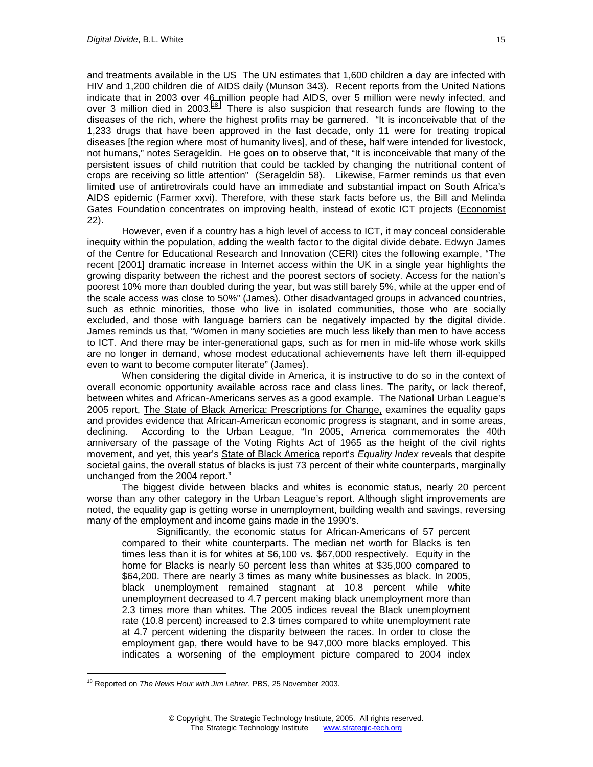and treatments available in the US The UN estimates that 1,600 children a day are infected with HIV and 1,200 children die of AIDS daily (Munson 343). Recent reports from the United Nations indicate that in 2003 over 46 million people had AIDS, over 5 million were newly infected, and over 3 million died in 2003.<sup>18</sup> There is also suspicion that research funds are flowing to the diseases of the rich, where the highest profits may be garnered. "It is inconceivable that of the 1,233 drugs that have been approved in the last decade, only 11 were for treating tropical diseases [the region where most of humanity lives], and of these, half were intended for livestock, not humans," notes Serageldin. He goes on to observe that, "It is inconceivable that many of the persistent issues of child nutrition that could be tackled by changing the nutritional content of crops are receiving so little attention" (Serageldin 58). Likewise, Farmer reminds us that even limited use of antiretrovirals could have an immediate and substantial impact on South Africa's AIDS epidemic (Farmer xxvi). Therefore, with these stark facts before us, the Bill and Melinda Gates Foundation concentrates on improving health, instead of exotic ICT projects (Economist 22).

However, even if a country has a high level of access to ICT, it may conceal considerable inequity within the population, adding the wealth factor to the digital divide debate. Edwyn James of the Centre for Educational Research and Innovation (CERI) cites the following example, "The recent [2001] dramatic increase in Internet access within the UK in a single year highlights the growing disparity between the richest and the poorest sectors of society. Access for the nation's poorest 10% more than doubled during the year, but was still barely 5%, while at the upper end of the scale access was close to 50%" (James). Other disadvantaged groups in advanced countries, such as ethnic minorities, those who live in isolated communities, those who are socially excluded, and those with language barriers can be negatively impacted by the digital divide. James reminds us that, "Women in many societies are much less likely than men to have access to ICT. And there may be inter-generational gaps, such as for men in mid-life whose work skills are no longer in demand, whose modest educational achievements have left them ill-equipped even to want to become computer literate" (James).

When considering the digital divide in America, it is instructive to do so in the context of overall economic opportunity available across race and class lines. The parity, or lack thereof, between whites and African-Americans serves as a good example. The National Urban League's 2005 report, The State of Black America: Prescriptions for Change, examines the equality gaps and provides evidence that African-American economic progress is stagnant, and in some areas, declining. According to the Urban League, "In 2005, America commemorates the 40th anniversary of the passage of the Voting Rights Act of 1965 as the height of the civil rights movement, and yet, this year's State of Black America report's *Equality Index* reveals that despite societal gains, the overall status of blacks is just 73 percent of their white counterparts, marginally unchanged from the 2004 report."

The biggest divide between blacks and whites is economic status, nearly 20 percent worse than any other category in the Urban League's report. Although slight improvements are noted, the equality gap is getting worse in unemployment, building wealth and savings, reversing many of the employment and income gains made in the 1990's.

Significantly, the economic status for African-Americans of 57 percent compared to their white counterparts. The median net worth for Blacks is ten times less than it is for whites at \$6,100 vs. \$67,000 respectively. Equity in the home for Blacks is nearly 50 percent less than whites at \$35,000 compared to \$64,200. There are nearly 3 times as many white businesses as black. In 2005, black unemployment remained stagnant at 10.8 percent while white unemployment decreased to 4.7 percent making black unemployment more than 2.3 times more than whites. The 2005 indices reveal the Black unemployment rate (10.8 percent) increased to 2.3 times compared to white unemployment rate at 4.7 percent widening the disparity between the races. In order to close the employment gap, there would have to be 947,000 more blacks employed. This indicates a worsening of the employment picture compared to 2004 index

 $\overline{a}$ 18 Reported on *The News Hour with Jim Lehrer*, PBS, 25 November 2003.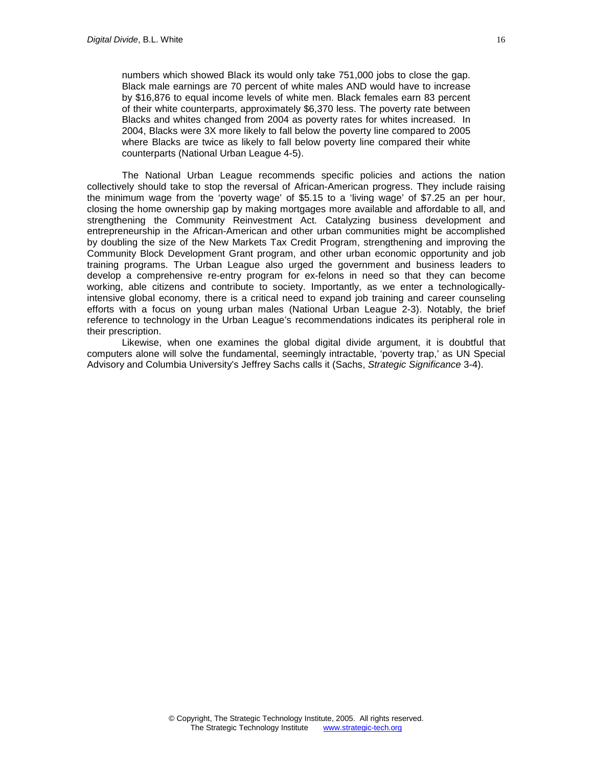numbers which showed Black its would only take 751,000 jobs to close the gap. Black male earnings are 70 percent of white males AND would have to increase by \$16,876 to equal income levels of white men. Black females earn 83 percent of their white counterparts, approximately \$6,370 less. The poverty rate between Blacks and whites changed from 2004 as poverty rates for whites increased. In 2004, Blacks were 3X more likely to fall below the poverty line compared to 2005 where Blacks are twice as likely to fall below poverty line compared their white counterparts (National Urban League 4-5).

The National Urban League recommends specific policies and actions the nation collectively should take to stop the reversal of African-American progress. They include raising the minimum wage from the 'poverty wage' of \$5.15 to a 'living wage' of \$7.25 an per hour, closing the home ownership gap by making mortgages more available and affordable to all, and strengthening the Community Reinvestment Act. Catalyzing business development and entrepreneurship in the African-American and other urban communities might be accomplished by doubling the size of the New Markets Tax Credit Program, strengthening and improving the Community Block Development Grant program, and other urban economic opportunity and job training programs. The Urban League also urged the government and business leaders to develop a comprehensive re-entry program for ex-felons in need so that they can become working, able citizens and contribute to society. Importantly, as we enter a technologicallyintensive global economy, there is a critical need to expand job training and career counseling efforts with a focus on young urban males (National Urban League 2-3). Notably, the brief reference to technology in the Urban League's recommendations indicates its peripheral role in their prescription.

Likewise, when one examines the global digital divide argument, it is doubtful that computers alone will solve the fundamental, seemingly intractable, 'poverty trap,' as UN Special Advisory and Columbia University's Jeffrey Sachs calls it (Sachs, *Strategic Significance* 3-4).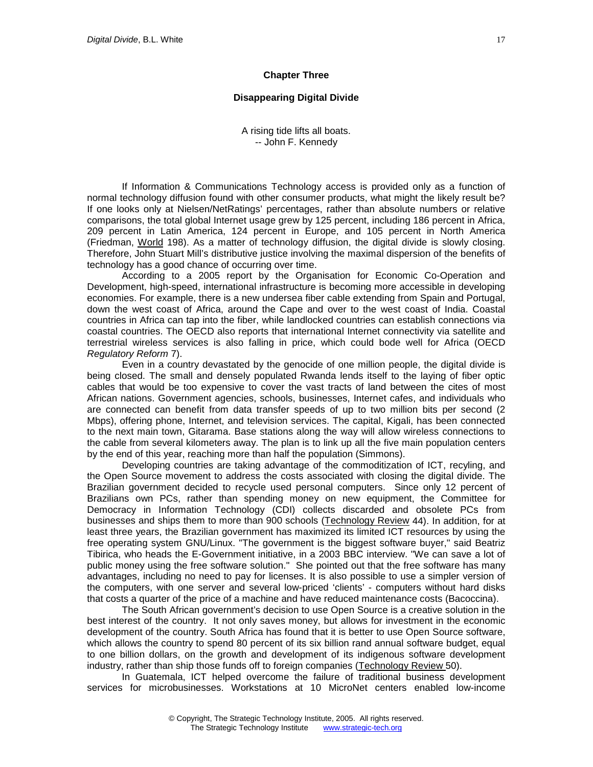# **Chapter Three**

# **Disappearing Digital Divide**

A rising tide lifts all boats. -- John F. Kennedy

If Information & Communications Technology access is provided only as a function of normal technology diffusion found with other consumer products, what might the likely result be? If one looks only at Nielsen/NetRatings' percentages, rather than absolute numbers or relative comparisons, the total global Internet usage grew by 125 percent, including 186 percent in Africa, 209 percent in Latin America, 124 percent in Europe, and 105 percent in North America (Friedman, World 198). As a matter of technology diffusion, the digital divide is slowly closing. Therefore, John Stuart Mill's distributive justice involving the maximal dispersion of the benefits of technology has a good chance of occurring over time.

According to a 2005 report by the Organisation for Economic Co-Operation and Development, high-speed, international infrastructure is becoming more accessible in developing economies. For example, there is a new undersea fiber cable extending from Spain and Portugal, down the west coast of Africa, around the Cape and over to the west coast of India. Coastal countries in Africa can tap into the fiber, while landlocked countries can establish connections via coastal countries. The OECD also reports that international Internet connectivity via satellite and terrestrial wireless services is also falling in price, which could bode well for Africa (OECD *Regulatory Reform* 7).

Even in a country devastated by the genocide of one million people, the digital divide is being closed. The small and densely populated Rwanda lends itself to the laying of fiber optic cables that would be too expensive to cover the vast tracts of land between the cites of most African nations. Government agencies, schools, businesses, Internet cafes, and individuals who are connected can benefit from data transfer speeds of up to two million bits per second (2 Mbps), offering phone, Internet, and television services. The capital, Kigali, has been connected to the next main town, Gitarama. Base stations along the way will allow wireless connections to the cable from several kilometers away. The plan is to link up all the five main population centers by the end of this year, reaching more than half the population (Simmons).

Developing countries are taking advantage of the commoditization of ICT, recyling, and the Open Source movement to address the costs associated with closing the digital divide. The Brazilian government decided to recycle used personal computers. Since only 12 percent of Brazilians own PCs, rather than spending money on new equipment, the Committee for Democracy in Information Technology (CDI) collects discarded and obsolete PCs from businesses and ships them to more than 900 schools (Technology Review 44). In addition, for at least three years, the Brazilian government has maximized its limited ICT resources by using the free operating system GNU/Linux. "The government is the biggest software buyer," said Beatriz Tibirica, who heads the E-Government initiative, in a 2003 BBC interview. "We can save a lot of public money using the free software solution." She pointed out that the free software has many advantages, including no need to pay for licenses. It is also possible to use a simpler version of the computers, with one server and several low-priced 'clients' - computers without hard disks that costs a quarter of the price of a machine and have reduced maintenance costs (Bacoccina).

The South African government's decision to use Open Source is a creative solution in the best interest of the country. It not only saves money, but allows for investment in the economic development of the country. South Africa has found that it is better to use Open Source software, which allows the country to spend 80 percent of its six billion rand annual software budget, equal to one billion dollars, on the growth and development of its indigenous software development industry, rather than ship those funds off to foreign companies (Technology Review 50).

In Guatemala, ICT helped overcome the failure of traditional business development services for microbusinesses. Workstations at 10 MicroNet centers enabled low-income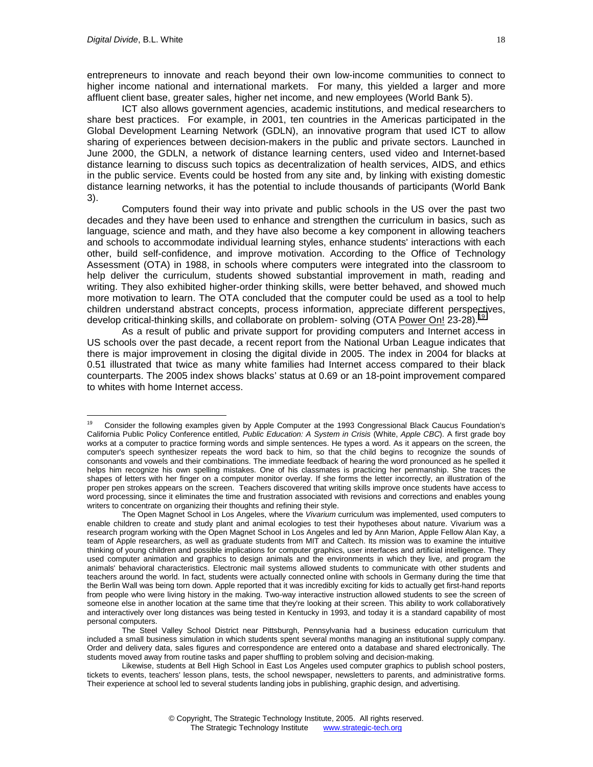entrepreneurs to innovate and reach beyond their own low-income communities to connect to higher income national and international markets. For many, this yielded a larger and more affluent client base, greater sales, higher net income, and new employees (World Bank 5).

ICT also allows government agencies, academic institutions, and medical researchers to share best practices. For example, in 2001, ten countries in the Americas participated in the Global Development Learning Network (GDLN), an innovative program that used ICT to allow sharing of experiences between decision-makers in the public and private sectors. Launched in June 2000, the GDLN, a network of distance learning centers, used video and Internet-based distance learning to discuss such topics as decentralization of health services, AIDS, and ethics in the public service. Events could be hosted from any site and, by linking with existing domestic distance learning networks, it has the potential to include thousands of participants (World Bank 3).

Computers found their way into private and public schools in the US over the past two decades and they have been used to enhance and strengthen the curriculum in basics, such as language, science and math, and they have also become a key component in allowing teachers and schools to accommodate individual learning styles, enhance students' interactions with each other, build self-confidence, and improve motivation. According to the Office of Technology Assessment (OTA) in 1988, in schools where computers were integrated into the classroom to help deliver the curriculum, students showed substantial improvement in math, reading and writing. They also exhibited higher-order thinking skills, were better behaved, and showed much more motivation to learn. The OTA concluded that the computer could be used as a tool to help children understand abstract concepts, process information, appreciate different perspectives, develop critical-thinking skills, and collaborate on problem- solving (OTA Power On! 23-28).<sup>19</sup>

As a result of public and private support for providing computers and Internet access in US schools over the past decade, a recent report from the National Urban League indicates that there is major improvement in closing the digital divide in 2005. The index in 2004 for blacks at 0.51 illustrated that twice as many white families had Internet access compared to their black counterparts. The 2005 index shows blacks' status at 0.69 or an 18-point improvement compared to whites with home Internet access.

 $19$ 19 Consider the following examples given by Apple Computer at the 1993 Congressional Black Caucus Foundation's California Public Policy Conference entitled, *Public Education: A System in Crisis* (White, *Apple CBC*). A first grade boy works at a computer to practice forming words and simple sentences. He types a word. As it appears on the screen, the computer's speech synthesizer repeats the word back to him, so that the child begins to recognize the sounds of consonants and vowels and their combinations. The immediate feedback of hearing the word pronounced as he spelled it helps him recognize his own spelling mistakes. One of his classmates is practicing her penmanship. She traces the shapes of letters with her finger on a computer monitor overlay. If she forms the letter incorrectly, an illustration of the proper pen strokes appears on the screen. Teachers discovered that writing skills improve once students have access to word processing, since it eliminates the time and frustration associated with revisions and corrections and enables young writers to concentrate on organizing their thoughts and refining their style.

The Open Magnet School in Los Angeles, where the *Vivarium* curriculum was implemented, used computers to enable children to create and study plant and animal ecologies to test their hypotheses about nature. Vivarium was a research program working with the Open Magnet School in Los Angeles and led by Ann Marion, Apple Fellow Alan Kay, a team of Apple researchers, as well as graduate students from MIT and Caltech. Its mission was to examine the intuitive thinking of young children and possible implications for computer graphics, user interfaces and artificial intelligence. They used computer animation and graphics to design animals and the environments in which they live, and program the animals' behavioral characteristics. Electronic mail systems allowed students to communicate with other students and teachers around the world. In fact, students were actually connected online with schools in Germany during the time that the Berlin Wall was being torn down. Apple reported that it was incredibly exciting for kids to actually get first-hand reports from people who were living history in the making. Two-way interactive instruction allowed students to see the screen of someone else in another location at the same time that they're looking at their screen. This ability to work collaboratively and interactively over long distances was being tested in Kentucky in 1993, and today it is a standard capability of most personal computers.

The Steel Valley School District near Pittsburgh, Pennsylvania had a business education curriculum that included a small business simulation in which students spent several months managing an institutional supply company. Order and delivery data, sales figures and correspondence are entered onto a database and shared electronically. The students moved away from routine tasks and paper shuffling to problem solving and decision-making.

Likewise, students at Bell High School in East Los Angeles used computer graphics to publish school posters, tickets to events, teachers' lesson plans, tests, the school newspaper, newsletters to parents, and administrative forms. Their experience at school led to several students landing jobs in publishing, graphic design, and advertising.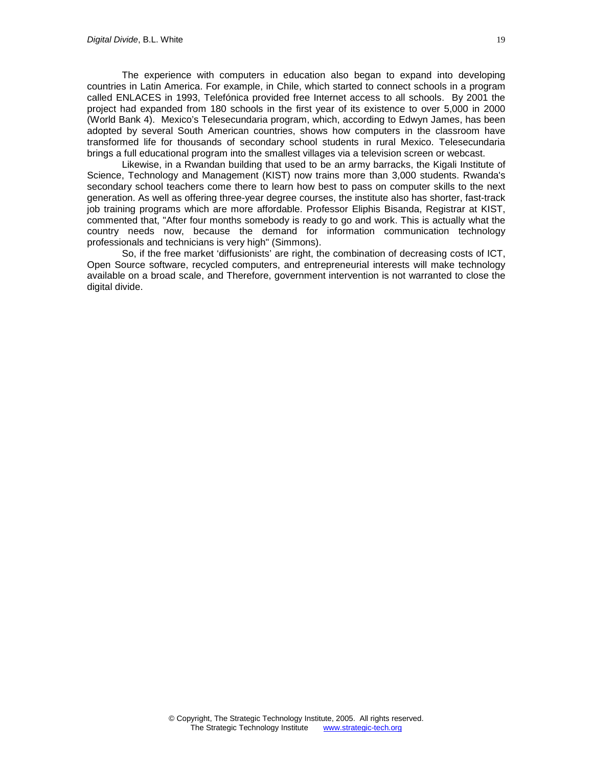The experience with computers in education also began to expand into developing countries in Latin America. For example, in Chile, which started to connect schools in a program called ENLACES in 1993, Telefónica provided free Internet access to all schools. By 2001 the project had expanded from 180 schools in the first year of its existence to over 5,000 in 2000 (World Bank 4). Mexico's Telesecundaria program, which, according to Edwyn James, has been adopted by several South American countries, shows how computers in the classroom have transformed life for thousands of secondary school students in rural Mexico. Telesecundaria brings a full educational program into the smallest villages via a television screen or webcast.

Likewise, in a Rwandan building that used to be an army barracks, the Kigali Institute of Science, Technology and Management (KIST) now trains more than 3,000 students. Rwanda's secondary school teachers come there to learn how best to pass on computer skills to the next generation. As well as offering three-year degree courses, the institute also has shorter, fast-track job training programs which are more affordable. Professor Eliphis Bisanda, Registrar at KIST, commented that, "After four months somebody is ready to go and work. This is actually what the country needs now, because the demand for information communication technology professionals and technicians is very high" (Simmons).

So, if the free market 'diffusionists' are right, the combination of decreasing costs of ICT, Open Source software, recycled computers, and entrepreneurial interests will make technology available on a broad scale, and Therefore, government intervention is not warranted to close the digital divide.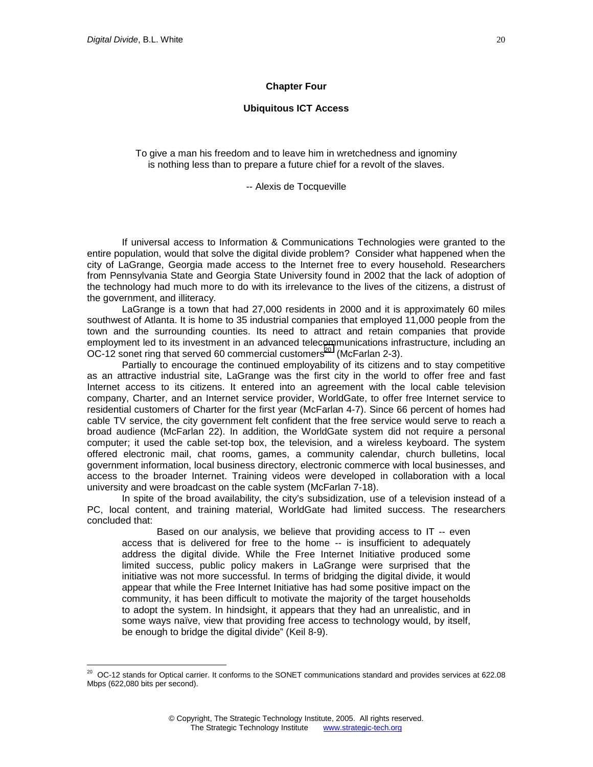# **Chapter Four**

# **Ubiquitous ICT Access**

To give a man his freedom and to leave him in wretchedness and ignominy is nothing less than to prepare a future chief for a revolt of the slaves.

-- Alexis de Tocqueville

If universal access to Information & Communications Technologies were granted to the entire population, would that solve the digital divide problem? Consider what happened when the city of LaGrange, Georgia made access to the Internet free to every household. Researchers from Pennsylvania State and Georgia State University found in 2002 that the lack of adoption of the technology had much more to do with its irrelevance to the lives of the citizens, a distrust of the government, and illiteracy.

LaGrange is a town that had 27,000 residents in 2000 and it is approximately 60 miles southwest of Atlanta. It is home to 35 industrial companies that employed 11,000 people from the town and the surrounding counties. Its need to attract and retain companies that provide employment led to its investment in an advanced telecommunications infrastructure, including an  $OC-12$  sonet ring that served 60 commercial customers<sup>20</sup> (McFarlan 2-3).

Partially to encourage the continued employability of its citizens and to stay competitive as an attractive industrial site, LaGrange was the first city in the world to offer free and fast Internet access to its citizens. It entered into an agreement with the local cable television company, Charter, and an Internet service provider, WorldGate, to offer free Internet service to residential customers of Charter for the first year (McFarlan 4-7). Since 66 percent of homes had cable TV service, the city government felt confident that the free service would serve to reach a broad audience (McFarlan 22). In addition, the WorldGate system did not require a personal computer; it used the cable set-top box, the television, and a wireless keyboard. The system offered electronic mail, chat rooms, games, a community calendar, church bulletins, local government information, local business directory, electronic commerce with local businesses, and access to the broader Internet. Training videos were developed in collaboration with a local university and were broadcast on the cable system (McFarlan 7-18).

In spite of the broad availability, the city's subsidization, use of a television instead of a PC, local content, and training material, WorldGate had limited success. The researchers concluded that:

Based on our analysis, we believe that providing access to IT -- even access that is delivered for free to the home -- is insufficient to adequately address the digital divide. While the Free Internet Initiative produced some limited success, public policy makers in LaGrange were surprised that the initiative was not more successful. In terms of bridging the digital divide, it would appear that while the Free Internet Initiative has had some positive impact on the community, it has been difficult to motivate the majority of the target households to adopt the system. In hindsight, it appears that they had an unrealistic, and in some ways naïve, view that providing free access to technology would, by itself, be enough to bridge the digital divide" (Keil 8-9).

<sup>&</sup>lt;sup>20</sup> OC-12 stands for Optical carrier. It conforms to the SONET communications standard and provides services at 622.08 Mbps (622,080 bits per second).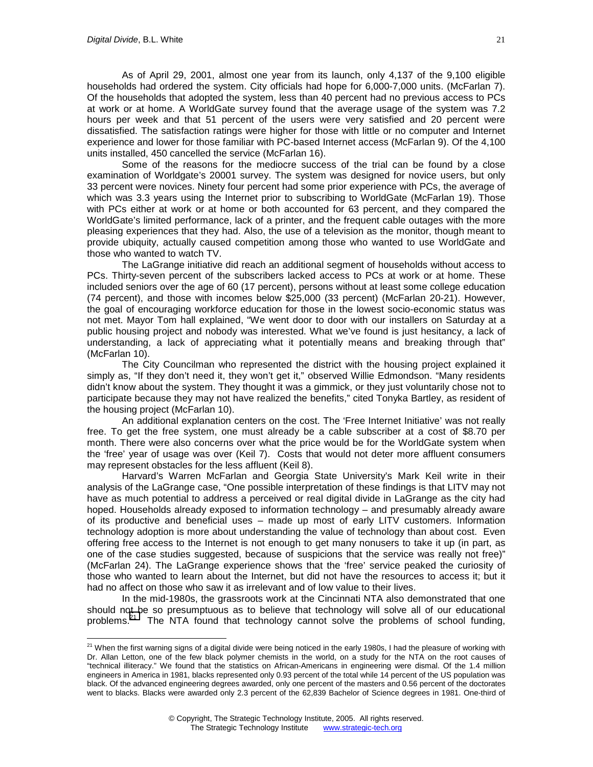As of April 29, 2001, almost one year from its launch, only 4,137 of the 9,100 eligible households had ordered the system. City officials had hope for 6,000-7,000 units. (McFarlan 7). Of the households that adopted the system, less than 40 percent had no previous access to PCs at work or at home. A WorldGate survey found that the average usage of the system was 7.2 hours per week and that 51 percent of the users were very satisfied and 20 percent were dissatisfied. The satisfaction ratings were higher for those with little or no computer and Internet experience and lower for those familiar with PC-based Internet access (McFarlan 9). Of the 4,100 units installed, 450 cancelled the service (McFarlan 16).

Some of the reasons for the mediocre success of the trial can be found by a close examination of Worldgate's 20001 survey. The system was designed for novice users, but only 33 percent were novices. Ninety four percent had some prior experience with PCs, the average of which was 3.3 years using the Internet prior to subscribing to WorldGate (McFarlan 19). Those with PCs either at work or at home or both accounted for 63 percent, and they compared the WorldGate's limited performance, lack of a printer, and the frequent cable outages with the more pleasing experiences that they had. Also, the use of a television as the monitor, though meant to provide ubiquity, actually caused competition among those who wanted to use WorldGate and those who wanted to watch TV.

The LaGrange initiative did reach an additional segment of households without access to PCs. Thirty-seven percent of the subscribers lacked access to PCs at work or at home. These included seniors over the age of 60 (17 percent), persons without at least some college education (74 percent), and those with incomes below \$25,000 (33 percent) (McFarlan 20-21). However, the goal of encouraging workforce education for those in the lowest socio-economic status was not met. Mayor Tom hall explained, "We went door to door with our installers on Saturday at a public housing project and nobody was interested. What we've found is just hesitancy, a lack of understanding, a lack of appreciating what it potentially means and breaking through that" (McFarlan 10).

The City Councilman who represented the district with the housing project explained it simply as, "If they don't need it, they won't get it," observed Willie Edmondson. "Many residents didn't know about the system. They thought it was a gimmick, or they just voluntarily chose not to participate because they may not have realized the benefits," cited Tonyka Bartley, as resident of the housing project (McFarlan 10).

An additional explanation centers on the cost. The 'Free Internet Initiative' was not really free. To get the free system, one must already be a cable subscriber at a cost of \$8.70 per month. There were also concerns over what the price would be for the WorldGate system when the 'free' year of usage was over (Keil 7). Costs that would not deter more affluent consumers may represent obstacles for the less affluent (Keil 8).

Harvard's Warren McFarlan and Georgia State University's Mark Keil write in their analysis of the LaGrange case, "One possible interpretation of these findings is that LITV may not have as much potential to address a perceived or real digital divide in LaGrange as the city had hoped. Households already exposed to information technology – and presumably already aware of its productive and beneficial uses – made up most of early LITV customers. Information technology adoption is more about understanding the value of technology than about cost. Even offering free access to the Internet is not enough to get many nonusers to take it up (in part, as one of the case studies suggested, because of suspicions that the service was really not free)" (McFarlan 24). The LaGrange experience shows that the 'free' service peaked the curiosity of those who wanted to learn about the Internet, but did not have the resources to access it; but it had no affect on those who saw it as irrelevant and of low value to their lives.

In the mid-1980s, the grassroots work at the Cincinnati NTA also demonstrated that one should not be so presumptuous as to believe that technology will solve all of our educational problems.<sup>21</sup> The NTA found that technology cannot solve the problems of school funding,

<sup>&</sup>lt;sup>21</sup> When the first warning signs of a digital divide were being noticed in the early 1980s, I had the pleasure of working with Dr. Allan Letton, one of the few black polymer chemists in the world, on a study for the NTA on the root causes of "technical illiteracy." We found that the statistics on African-Americans in engineering were dismal. Of the 1.4 million engineers in America in 1981, blacks represented only 0.93 percent of the total while 14 percent of the US population was black. Of the advanced engineering degrees awarded, only one percent of the masters and 0.56 percent of the doctorates went to blacks. Blacks were awarded only 2.3 percent of the 62,839 Bachelor of Science degrees in 1981. One-third of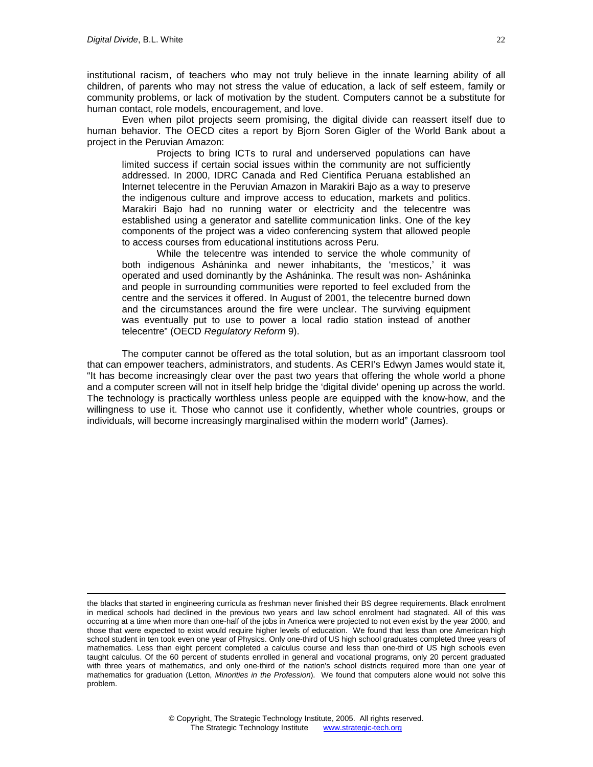institutional racism, of teachers who may not truly believe in the innate learning ability of all children, of parents who may not stress the value of education, a lack of self esteem, family or community problems, or lack of motivation by the student. Computers cannot be a substitute for human contact, role models, encouragement, and love.

Even when pilot projects seem promising, the digital divide can reassert itself due to human behavior. The OECD cites a report by Bjorn Soren Gigler of the World Bank about a project in the Peruvian Amazon:

Projects to bring ICTs to rural and underserved populations can have limited success if certain social issues within the community are not sufficiently addressed. In 2000, IDRC Canada and Red Cientifica Peruana established an Internet telecentre in the Peruvian Amazon in Marakiri Bajo as a way to preserve the indigenous culture and improve access to education, markets and politics. Marakiri Bajo had no running water or electricity and the telecentre was established using a generator and satellite communication links. One of the key components of the project was a video conferencing system that allowed people to access courses from educational institutions across Peru.

While the telecentre was intended to service the whole community of both indigenous Asháninka and newer inhabitants, the 'mesticos,' it was operated and used dominantly by the Asháninka. The result was non- Asháninka and people in surrounding communities were reported to feel excluded from the centre and the services it offered. In August of 2001, the telecentre burned down and the circumstances around the fire were unclear. The surviving equipment was eventually put to use to power a local radio station instead of another telecentre" (OECD *Regulatory Reform* 9).

The computer cannot be offered as the total solution, but as an important classroom tool that can empower teachers, administrators, and students. As CERI's Edwyn James would state it, "It has become increasingly clear over the past two years that offering the whole world a phone and a computer screen will not in itself help bridge the 'digital divide' opening up across the world. The technology is practically worthless unless people are equipped with the know-how, and the willingness to use it. Those who cannot use it confidently, whether whole countries, groups or individuals, will become increasingly marginalised within the modern world" (James).

the blacks that started in engineering curricula as freshman never finished their BS degree requirements. Black enrolment in medical schools had declined in the previous two years and law school enrolment had stagnated. All of this was occurring at a time when more than one-half of the jobs in America were projected to not even exist by the year 2000, and those that were expected to exist would require higher levels of education. We found that less than one American high school student in ten took even one year of Physics. Only one-third of US high school graduates completed three years of mathematics. Less than eight percent completed a calculus course and less than one-third of US high schools even taught calculus. Of the 60 percent of students enrolled in general and vocational programs, only 20 percent graduated with three years of mathematics, and only one-third of the nation's school districts required more than one year of mathematics for graduation (Letton, *Minorities in the Profession*). We found that computers alone would not solve this problem.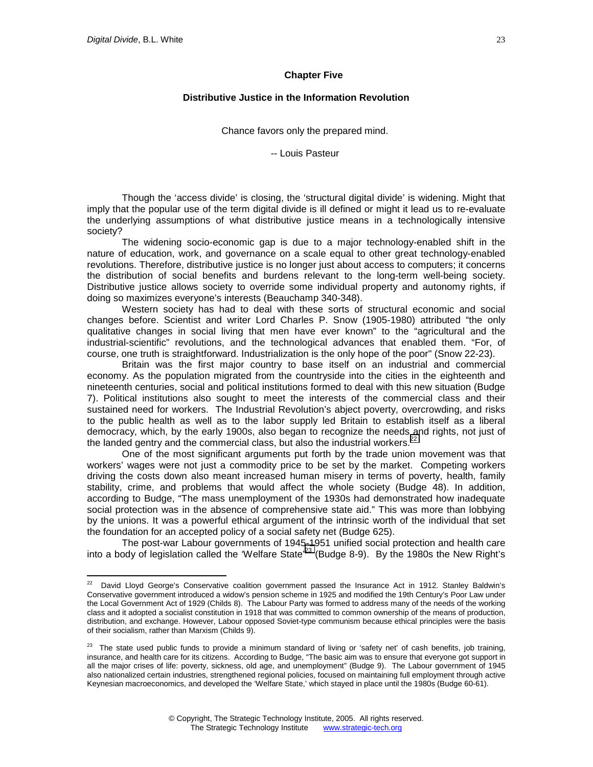# **Chapter Five**

# **Distributive Justice in the Information Revolution**

Chance favors only the prepared mind.

-- Louis Pasteur

Though the 'access divide' is closing, the 'structural digital divide' is widening. Might that imply that the popular use of the term digital divide is ill defined or might it lead us to re-evaluate the underlying assumptions of what distributive justice means in a technologically intensive society?

The widening socio-economic gap is due to a major technology-enabled shift in the nature of education, work, and governance on a scale equal to other great technology-enabled revolutions. Therefore, distributive justice is no longer just about access to computers; it concerns the distribution of social benefits and burdens relevant to the long-term well-being society. Distributive justice allows society to override some individual property and autonomy rights, if doing so maximizes everyone's interests (Beauchamp 340-348).

Western society has had to deal with these sorts of structural economic and social changes before. Scientist and writer Lord Charles P. Snow (1905-1980) attributed "the only qualitative changes in social living that men have ever known" to the "agricultural and the industrial-scientific" revolutions, and the technological advances that enabled them. "For, of course, one truth is straightforward. Industrialization is the only hope of the poor" (Snow 22-23).

Britain was the first major country to base itself on an industrial and commercial economy. As the population migrated from the countryside into the cities in the eighteenth and nineteenth centuries, social and political institutions formed to deal with this new situation (Budge 7). Political institutions also sought to meet the interests of the commercial class and their sustained need for workers. The Industrial Revolution's abject poverty, overcrowding, and risks to the public health as well as to the labor supply led Britain to establish itself as a liberal democracy, which, by the early 1900s, also began to recognize the needs and rights, not just of the landed gentry and the commercial class, but also the industrial workers. $^{22}$ 

One of the most significant arguments put forth by the trade union movement was that workers' wages were not just a commodity price to be set by the market. Competing workers driving the costs down also meant increased human misery in terms of poverty, health, family stability, crime, and problems that would affect the whole society (Budge 48). In addition, according to Budge, "The mass unemployment of the 1930s had demonstrated how inadequate social protection was in the absence of comprehensive state aid." This was more than lobbying by the unions. It was a powerful ethical argument of the intrinsic worth of the individual that set the foundation for an accepted policy of a social safety net (Budge 625).

The post-war Labour governments of 1945-1951 unified social protection and health care into a body of legislation called the 'Welfare State'<sup>23</sup> (Budge 8-9). By the 1980s the New Right's

<sup>&</sup>lt;sup>22</sup> David Lloyd George's Conservative coalition government passed the Insurance Act in 1912. Stanley Baldwin's Conservative government introduced a widow's pension scheme in 1925 and modified the 19th Century's Poor Law under the Local Government Act of 1929 (Childs 8). The Labour Party was formed to address many of the needs of the working class and it adopted a socialist constitution in 1918 that was committed to common ownership of the means of production, distribution, and exchange. However, Labour opposed Soviet-type communism because ethical principles were the basis of their socialism, rather than Marxism (Childs 9).

 $23$  The state used public funds to provide a minimum standard of living or 'safety net' of cash benefits, job training, insurance, and health care for its citizens. According to Budge, "The basic aim was to ensure that everyone got support in all the major crises of life: poverty, sickness, old age, and unemployment" (Budge 9). The Labour government of 1945 also nationalized certain industries, strengthened regional policies, focused on maintaining full employment through active Keynesian macroeconomics, and developed the 'Welfare State,' which stayed in place until the 1980s (Budge 60-61).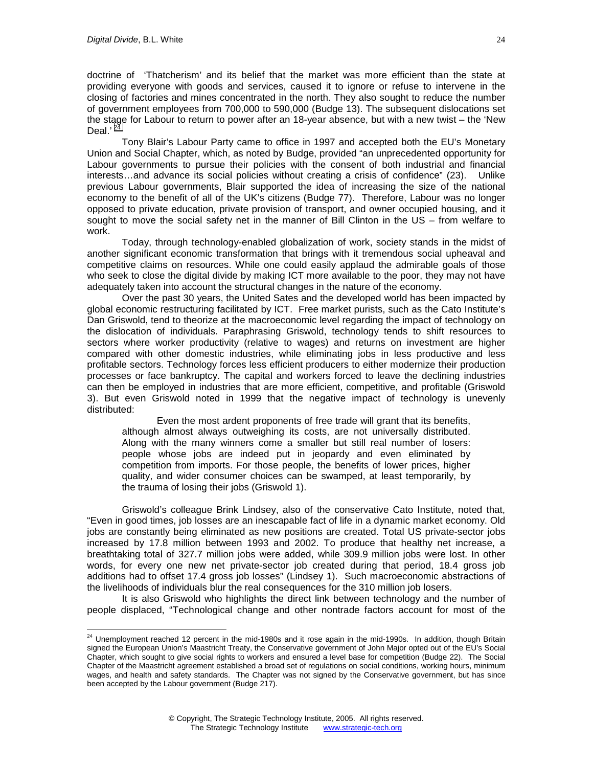doctrine of 'Thatcherism' and its belief that the market was more efficient than the state at providing everyone with goods and services, caused it to ignore or refuse to intervene in the closing of factories and mines concentrated in the north. They also sought to reduce the number of government employees from 700,000 to 590,000 (Budge 13). The subsequent dislocations set the stage for Labour to return to power after an 18-year absence, but with a new twist – the 'New Deal.'

Tony Blair's Labour Party came to office in 1997 and accepted both the EU's Monetary Union and Social Chapter, which, as noted by Budge, provided "an unprecedented opportunity for Labour governments to pursue their policies with the consent of both industrial and financial interests…and advance its social policies without creating a crisis of confidence" (23). Unlike previous Labour governments, Blair supported the idea of increasing the size of the national economy to the benefit of all of the UK's citizens (Budge 77). Therefore, Labour was no longer opposed to private education, private provision of transport, and owner occupied housing, and it sought to move the social safety net in the manner of Bill Clinton in the US – from welfare to work.

Today, through technology-enabled globalization of work, society stands in the midst of another significant economic transformation that brings with it tremendous social upheaval and competitive claims on resources. While one could easily applaud the admirable goals of those who seek to close the digital divide by making ICT more available to the poor, they may not have adequately taken into account the structural changes in the nature of the economy.

Over the past 30 years, the United Sates and the developed world has been impacted by global economic restructuring facilitated by ICT. Free market purists, such as the Cato Institute's Dan Griswold, tend to theorize at the macroeconomic level regarding the impact of technology on the dislocation of individuals. Paraphrasing Griswold, technology tends to shift resources to sectors where worker productivity (relative to wages) and returns on investment are higher compared with other domestic industries, while eliminating jobs in less productive and less profitable sectors. Technology forces less efficient producers to either modernize their production processes or face bankruptcy. The capital and workers forced to leave the declining industries can then be employed in industries that are more efficient, competitive, and profitable (Griswold 3). But even Griswold noted in 1999 that the negative impact of technology is unevenly distributed:

Even the most ardent proponents of free trade will grant that its benefits, although almost always outweighing its costs, are not universally distributed. Along with the many winners come a smaller but still real number of losers: people whose jobs are indeed put in jeopardy and even eliminated by competition from imports. For those people, the benefits of lower prices, higher quality, and wider consumer choices can be swamped, at least temporarily, by the trauma of losing their jobs (Griswold 1).

Griswold's colleague Brink Lindsey, also of the conservative Cato Institute, noted that, "Even in good times, job losses are an inescapable fact of life in a dynamic market economy. Old jobs are constantly being eliminated as new positions are created. Total US private-sector jobs increased by 17.8 million between 1993 and 2002. To produce that healthy net increase, a breathtaking total of 327.7 million jobs were added, while 309.9 million jobs were lost. In other words, for every one new net private-sector job created during that period, 18.4 gross job additions had to offset 17.4 gross job losses" (Lindsey 1). Such macroeconomic abstractions of the livelihoods of individuals blur the real consequences for the 310 million job losers.

It is also Griswold who highlights the direct link between technology and the number of people displaced, "Technological change and other nontrade factors account for most of the

 $^{24}$  Unemployment reached 12 percent in the mid-1980s and it rose again in the mid-1990s. In addition, though Britain signed the European Union's Maastricht Treaty, the Conservative government of John Major opted out of the EU's Social Chapter, which sought to give social rights to workers and ensured a level base for competition (Budge 22). The Social Chapter of the Maastricht agreement established a broad set of regulations on social conditions, working hours, minimum wages, and health and safety standards. The Chapter was not signed by the Conservative government, but has since been accepted by the Labour government (Budge 217).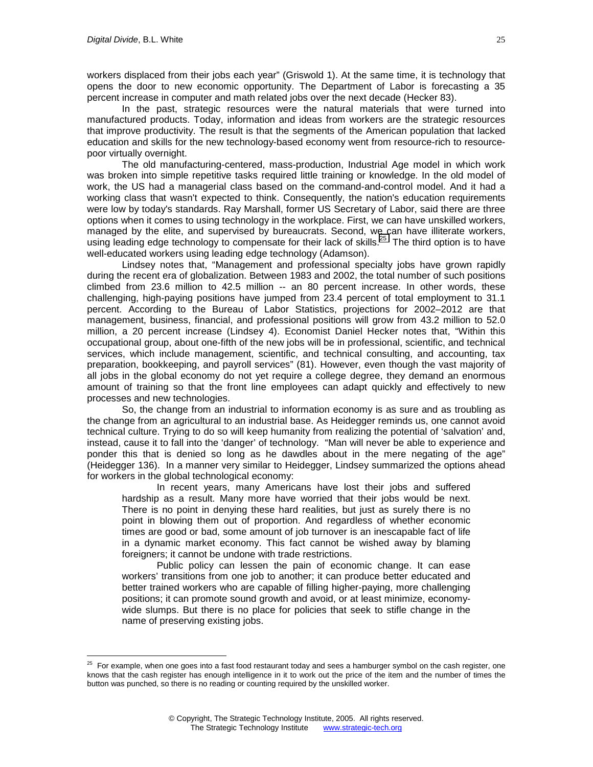workers displaced from their jobs each year" (Griswold 1). At the same time, it is technology that opens the door to new economic opportunity. The Department of Labor is forecasting a 35 percent increase in computer and math related jobs over the next decade (Hecker 83).

In the past, strategic resources were the natural materials that were turned into manufactured products. Today, information and ideas from workers are the strategic resources that improve productivity. The result is that the segments of the American population that lacked education and skills for the new technology-based economy went from resource-rich to resourcepoor virtually overnight.

The old manufacturing-centered, mass-production, Industrial Age model in which work was broken into simple repetitive tasks required little training or knowledge. In the old model of work, the US had a managerial class based on the command-and-control model. And it had a working class that wasn't expected to think. Consequently, the nation's education requirements were low by today's standards. Ray Marshall, former US Secretary of Labor, said there are three options when it comes to using technology in the workplace. First, we can have unskilled workers, managed by the elite, and supervised by bureaucrats. Second, we can have illiterate workers, using leading edge technology to compensate for their lack of skills.<sup>25</sup> The third option is to have well-educated workers using leading edge technology (Adamson).

Lindsey notes that, "Management and professional specialty jobs have grown rapidly during the recent era of globalization. Between 1983 and 2002, the total number of such positions climbed from 23.6 million to 42.5 million -- an 80 percent increase. In other words, these challenging, high-paying positions have jumped from 23.4 percent of total employment to 31.1 percent. According to the Bureau of Labor Statistics, projections for 2002–2012 are that management, business, financial, and professional positions will grow from 43.2 million to 52.0 million, a 20 percent increase (Lindsey 4). Economist Daniel Hecker notes that, "Within this occupational group, about one-fifth of the new jobs will be in professional, scientific, and technical services, which include management, scientific, and technical consulting, and accounting, tax preparation, bookkeeping, and payroll services" (81). However, even though the vast majority of all jobs in the global economy do not yet require a college degree, they demand an enormous amount of training so that the front line employees can adapt quickly and effectively to new processes and new technologies.

So, the change from an industrial to information economy is as sure and as troubling as the change from an agricultural to an industrial base. As Heidegger reminds us, one cannot avoid technical culture. Trying to do so will keep humanity from realizing the potential of 'salvation' and, instead, cause it to fall into the 'danger' of technology. "Man will never be able to experience and ponder this that is denied so long as he dawdles about in the mere negating of the age" (Heidegger 136). In a manner very similar to Heidegger, Lindsey summarized the options ahead for workers in the global technological economy:

In recent years, many Americans have lost their jobs and suffered hardship as a result. Many more have worried that their jobs would be next. There is no point in denying these hard realities, but just as surely there is no point in blowing them out of proportion. And regardless of whether economic times are good or bad, some amount of job turnover is an inescapable fact of life in a dynamic market economy. This fact cannot be wished away by blaming foreigners; it cannot be undone with trade restrictions.

Public policy can lessen the pain of economic change. It can ease workers' transitions from one job to another; it can produce better educated and better trained workers who are capable of filling higher-paying, more challenging positions; it can promote sound growth and avoid, or at least minimize, economywide slumps. But there is no place for policies that seek to stifle change in the name of preserving existing jobs.

 $^{25}$  For example, when one goes into a fast food restaurant today and sees a hamburger symbol on the cash register, one knows that the cash register has enough intelligence in it to work out the price of the item and the number of times the button was punched, so there is no reading or counting required by the unskilled worker.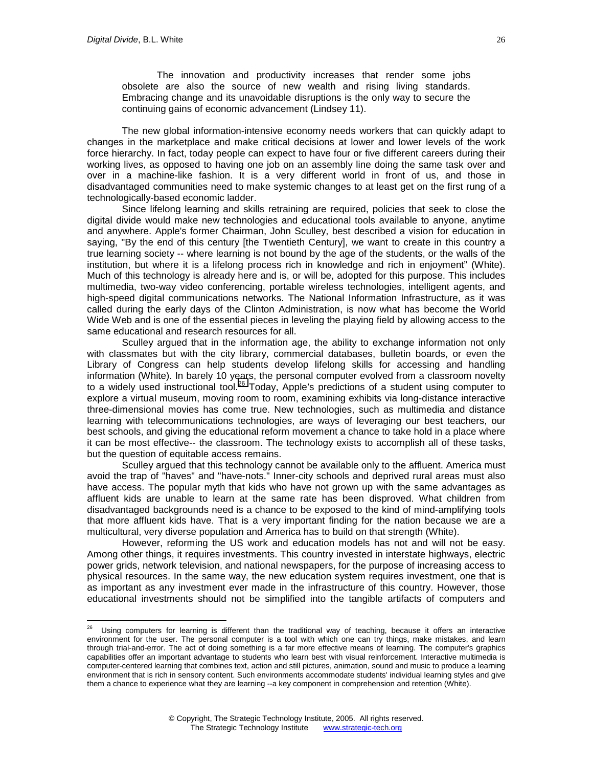The innovation and productivity increases that render some jobs obsolete are also the source of new wealth and rising living standards. Embracing change and its unavoidable disruptions is the only way to secure the continuing gains of economic advancement (Lindsey 11).

The new global information-intensive economy needs workers that can quickly adapt to changes in the marketplace and make critical decisions at lower and lower levels of the work force hierarchy. In fact, today people can expect to have four or five different careers during their working lives, as opposed to having one job on an assembly line doing the same task over and over in a machine-like fashion. It is a very different world in front of us, and those in disadvantaged communities need to make systemic changes to at least get on the first rung of a technologically-based economic ladder.

Since lifelong learning and skills retraining are required, policies that seek to close the digital divide would make new technologies and educational tools available to anyone, anytime and anywhere. Apple's former Chairman, John Sculley, best described a vision for education in saying, "By the end of this century [the Twentieth Century], we want to create in this country a true learning society -- where learning is not bound by the age of the students, or the walls of the institution, but where it is a lifelong process rich in knowledge and rich in enjoyment" (White). Much of this technology is already here and is, or will be, adopted for this purpose. This includes multimedia, two-way video conferencing, portable wireless technologies, intelligent agents, and high-speed digital communications networks. The National Information Infrastructure, as it was called during the early days of the Clinton Administration, is now what has become the World Wide Web and is one of the essential pieces in leveling the playing field by allowing access to the same educational and research resources for all.

Sculley argued that in the information age, the ability to exchange information not only with classmates but with the city library, commercial databases, bulletin boards, or even the Library of Congress can help students develop lifelong skills for accessing and handling information (White). In barely 10 years, the personal computer evolved from a classroom novelty to a widely used instructional tool.<sup>26</sup> Today, Apple's predictions of a student using computer to explore a virtual museum, moving room to room, examining exhibits via long-distance interactive three-dimensional movies has come true. New technologies, such as multimedia and distance learning with telecommunications technologies, are ways of leveraging our best teachers, our best schools, and giving the educational reform movement a chance to take hold in a place where it can be most effective-- the classroom. The technology exists to accomplish all of these tasks, but the question of equitable access remains.

Sculley argued that this technology cannot be available only to the affluent. America must avoid the trap of "haves" and "have-nots." Inner-city schools and deprived rural areas must also have access. The popular myth that kids who have not grown up with the same advantages as affluent kids are unable to learn at the same rate has been disproved. What children from disadvantaged backgrounds need is a chance to be exposed to the kind of mind-amplifying tools that more affluent kids have. That is a very important finding for the nation because we are a multicultural, very diverse population and America has to build on that strength (White).

However, reforming the US work and education models has not and will not be easy. Among other things, it requires investments. This country invested in interstate highways, electric power grids, network television, and national newspapers, for the purpose of increasing access to physical resources. In the same way, the new education system requires investment, one that is as important as any investment ever made in the infrastructure of this country. However, those educational investments should not be simplified into the tangible artifacts of computers and

 $26 \overline{6}$ 26 Using computers for learning is different than the traditional way of teaching, because it offers an interactive environment for the user. The personal computer is a tool with which one can try things, make mistakes, and learn through trial-and-error. The act of doing something is a far more effective means of learning. The computer's graphics capabilities offer an important advantage to students who learn best with visual reinforcement. Interactive multimedia is computer-centered learning that combines text, action and still pictures, animation, sound and music to produce a learning environment that is rich in sensory content. Such environments accommodate students' individual learning styles and give them a chance to experience what they are learning --a key component in comprehension and retention (White).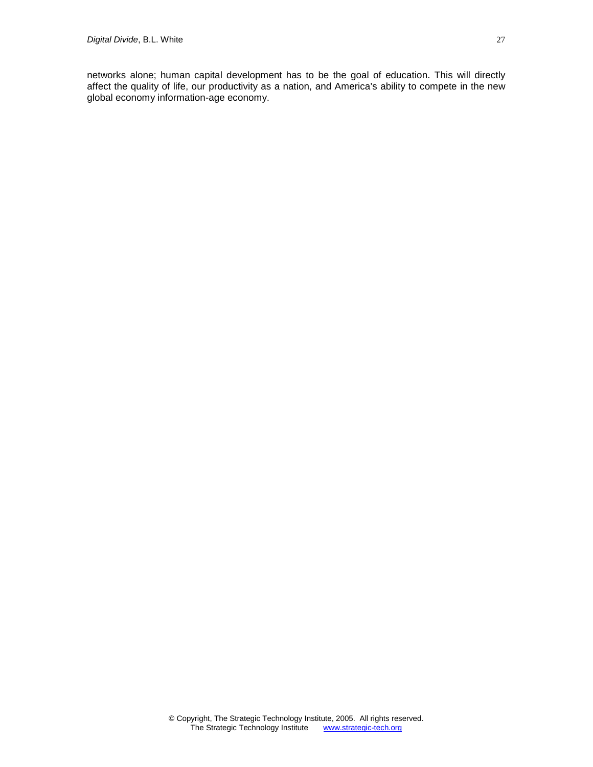networks alone; human capital development has to be the goal of education. This will directly affect the quality of life, our productivity as a nation, and America's ability to compete in the new global economy information-age economy.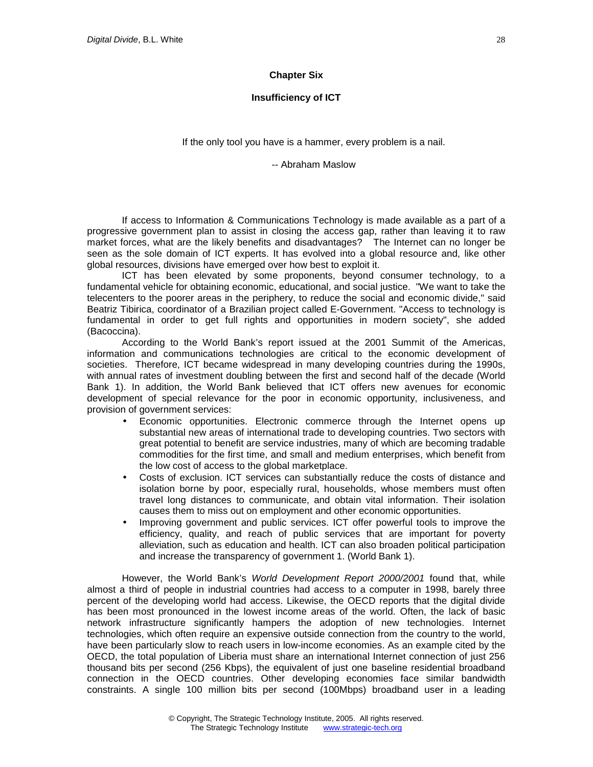# **Chapter Six**

# **Insufficiency of ICT**

If the only tool you have is a hammer, every problem is a nail.

-- Abraham Maslow

If access to Information & Communications Technology is made available as a part of a progressive government plan to assist in closing the access gap, rather than leaving it to raw market forces, what are the likely benefits and disadvantages? The Internet can no longer be seen as the sole domain of ICT experts. It has evolved into a global resource and, like other global resources, divisions have emerged over how best to exploit it.

ICT has been elevated by some proponents, beyond consumer technology, to a fundamental vehicle for obtaining economic, educational, and social justice. "We want to take the telecenters to the poorer areas in the periphery, to reduce the social and economic divide," said Beatriz Tibirica, coordinator of a Brazilian project called E-Government. "Access to technology is fundamental in order to get full rights and opportunities in modern society", she added (Bacoccina).

According to the World Bank's report issued at the 2001 Summit of the Americas, information and communications technologies are critical to the economic development of societies. Therefore, ICT became widespread in many developing countries during the 1990s, with annual rates of investment doubling between the first and second half of the decade (World Bank 1). In addition, the World Bank believed that ICT offers new avenues for economic development of special relevance for the poor in economic opportunity, inclusiveness, and provision of government services:

- Economic opportunities. Electronic commerce through the Internet opens up substantial new areas of international trade to developing countries. Two sectors with great potential to benefit are service industries, many of which are becoming tradable commodities for the first time, and small and medium enterprises, which benefit from the low cost of access to the global marketplace.
- Costs of exclusion. ICT services can substantially reduce the costs of distance and isolation borne by poor, especially rural, households, whose members must often travel long distances to communicate, and obtain vital information. Their isolation causes them to miss out on employment and other economic opportunities.
- Improving government and public services. ICT offer powerful tools to improve the efficiency, quality, and reach of public services that are important for poverty alleviation, such as education and health. ICT can also broaden political participation and increase the transparency of government 1. (World Bank 1).

However, the World Bank's *World Development Report 2000/2001* found that, while almost a third of people in industrial countries had access to a computer in 1998, barely three percent of the developing world had access. Likewise, the OECD reports that the digital divide has been most pronounced in the lowest income areas of the world. Often, the lack of basic network infrastructure significantly hampers the adoption of new technologies. Internet technologies, which often require an expensive outside connection from the country to the world, have been particularly slow to reach users in low-income economies. As an example cited by the OECD, the total population of Liberia must share an international Internet connection of just 256 thousand bits per second (256 Kbps), the equivalent of just one baseline residential broadband connection in the OECD countries. Other developing economies face similar bandwidth constraints. A single 100 million bits per second (100Mbps) broadband user in a leading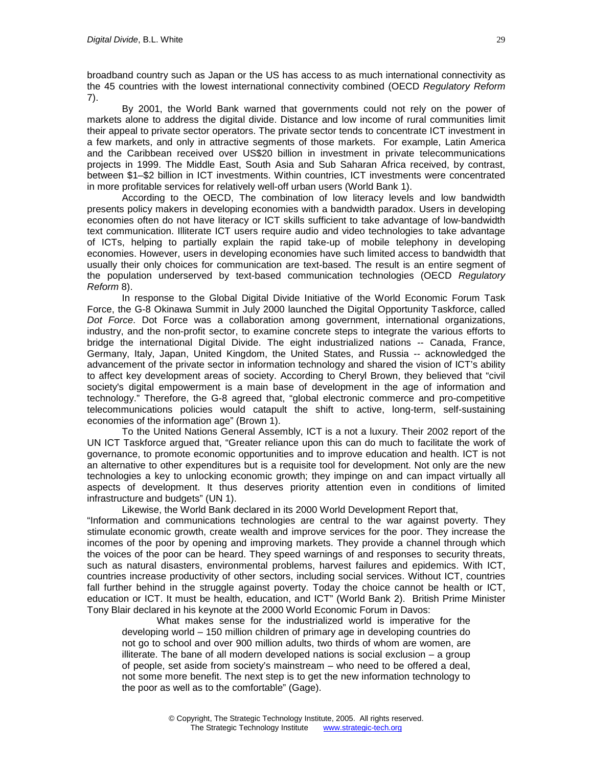broadband country such as Japan or the US has access to as much international connectivity as the 45 countries with the lowest international connectivity combined (OECD *Regulatory Reform* 7).

By 2001, the World Bank warned that governments could not rely on the power of markets alone to address the digital divide. Distance and low income of rural communities limit their appeal to private sector operators. The private sector tends to concentrate ICT investment in a few markets, and only in attractive segments of those markets. For example, Latin America and the Caribbean received over US\$20 billion in investment in private telecommunications projects in 1999. The Middle East, South Asia and Sub Saharan Africa received, by contrast, between \$1–\$2 billion in ICT investments. Within countries, ICT investments were concentrated in more profitable services for relatively well-off urban users (World Bank 1).

According to the OECD, The combination of low literacy levels and low bandwidth presents policy makers in developing economies with a bandwidth paradox. Users in developing economies often do not have literacy or ICT skills sufficient to take advantage of low-bandwidth text communication. Illiterate ICT users require audio and video technologies to take advantage of ICTs, helping to partially explain the rapid take-up of mobile telephony in developing economies. However, users in developing economies have such limited access to bandwidth that usually their only choices for communication are text-based. The result is an entire segment of the population underserved by text-based communication technologies (OECD *Regulatory Reform* 8).

In response to the Global Digital Divide Initiative of the World Economic Forum Task Force, the G-8 Okinawa Summit in July 2000 launched the Digital Opportunity Taskforce, called *Dot Force*. Dot Force was a collaboration among government, international organizations, industry, and the non-profit sector, to examine concrete steps to integrate the various efforts to bridge the international Digital Divide. The eight industrialized nations -- Canada, France, Germany, Italy, Japan, United Kingdom, the United States, and Russia -- acknowledged the advancement of the private sector in information technology and shared the vision of ICT's ability to affect key development areas of society. According to Cheryl Brown, they believed that "civil society's digital empowerment is a main base of development in the age of information and technology." Therefore, the G-8 agreed that, "global electronic commerce and pro-competitive telecommunications policies would catapult the shift to active, long-term, self-sustaining economies of the information age" (Brown 1).

To the United Nations General Assembly, ICT is a not a luxury. Their 2002 report of the UN ICT Taskforce argued that, "Greater reliance upon this can do much to facilitate the work of governance, to promote economic opportunities and to improve education and health. ICT is not an alternative to other expenditures but is a requisite tool for development. Not only are the new technologies a key to unlocking economic growth; they impinge on and can impact virtually all aspects of development. It thus deserves priority attention even in conditions of limited infrastructure and budgets" (UN 1).

Likewise, the World Bank declared in its 2000 World Development Report that, "Information and communications technologies are central to the war against poverty. They stimulate economic growth, create wealth and improve services for the poor. They increase the incomes of the poor by opening and improving markets. They provide a channel through which the voices of the poor can be heard. They speed warnings of and responses to security threats, such as natural disasters, environmental problems, harvest failures and epidemics. With ICT, countries increase productivity of other sectors, including social services. Without ICT, countries fall further behind in the struggle against poverty. Today the choice cannot be health or ICT, education or ICT. It must be health, education, and ICT" (World Bank 2). British Prime Minister Tony Blair declared in his keynote at the 2000 World Economic Forum in Davos:

What makes sense for the industrialized world is imperative for the developing world – 150 million children of primary age in developing countries do not go to school and over 900 million adults, two thirds of whom are women, are illiterate. The bane of all modern developed nations is social exclusion – a group of people, set aside from society's mainstream – who need to be offered a deal, not some more benefit. The next step is to get the new information technology to the poor as well as to the comfortable" (Gage).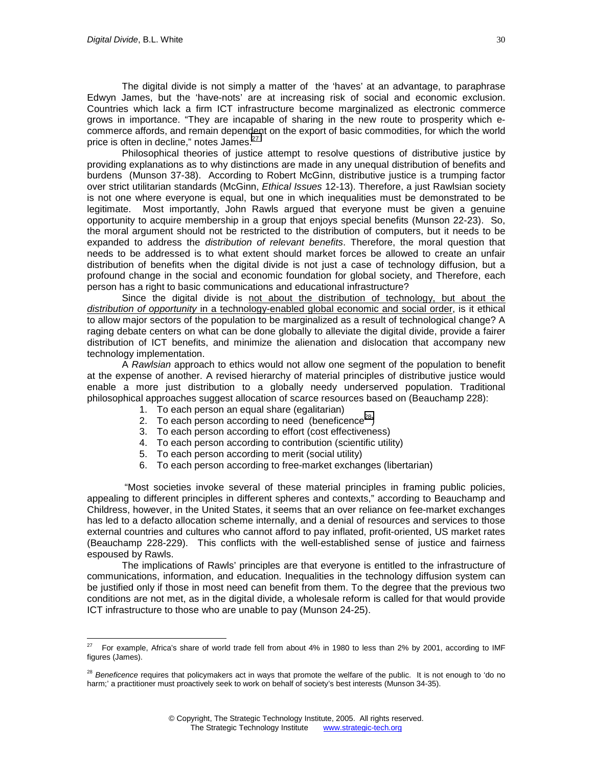The digital divide is not simply a matter of the 'haves' at an advantage, to paraphrase Edwyn James, but the 'have-nots' are at increasing risk of social and economic exclusion. Countries which lack a firm ICT infrastructure become marginalized as electronic commerce grows in importance. "They are incapable of sharing in the new route to prosperity which ecommerce affords, and remain dependent on the export of basic commodities, for which the world price is often in decline," notes James. $27$ 

Philosophical theories of justice attempt to resolve questions of distributive justice by providing explanations as to why distinctions are made in any unequal distribution of benefits and burdens (Munson 37-38). According to Robert McGinn, distributive justice is a trumping factor over strict utilitarian standards (McGinn, *Ethical Issues* 12-13). Therefore, a just Rawlsian society is not one where everyone is equal, but one in which inequalities must be demonstrated to be legitimate. Most importantly, John Rawls argued that everyone must be given a genuine opportunity to acquire membership in a group that enjoys special benefits (Munson 22-23). So, the moral argument should not be restricted to the distribution of computers, but it needs to be expanded to address the *distribution of relevant benefits*. Therefore, the moral question that needs to be addressed is to what extent should market forces be allowed to create an unfair distribution of benefits when the digital divide is not just a case of technology diffusion, but a profound change in the social and economic foundation for global society, and Therefore, each person has a right to basic communications and educational infrastructure?

Since the digital divide is not about the distribution of technology, but about the *distribution of opportunity* in a technology-enabled global economic and social order, is it ethical to allow major sectors of the population to be marginalized as a result of technological change? A raging debate centers on what can be done globally to alleviate the digital divide, provide a fairer distribution of ICT benefits, and minimize the alienation and dislocation that accompany new technology implementation.

A *Rawlsian* approach to ethics would not allow one segment of the population to benefit at the expense of another. A revised hierarchy of material principles of distributive justice would enable a more just distribution to a globally needy underserved population. Traditional philosophical approaches suggest allocation of scarce resources based on (Beauchamp 228):

- 1. To each person an equal share (egalitarian)
- 2. To each person according to need (beneficence $^{28}$ )
- 3. To each person according to effort (cost effectiveness)
- 4. To each person according to contribution (scientific utility)
- 5. To each person according to merit (social utility)
- 6. To each person according to free-market exchanges (libertarian)

 "Most societies invoke several of these material principles in framing public policies, appealing to different principles in different spheres and contexts," according to Beauchamp and Childress, however, in the United States, it seems that an over reliance on fee-market exchanges has led to a defacto allocation scheme internally, and a denial of resources and services to those external countries and cultures who cannot afford to pay inflated, profit-oriented, US market rates (Beauchamp 228-229). This conflicts with the well-established sense of justice and fairness espoused by Rawls.

The implications of Rawls' principles are that everyone is entitled to the infrastructure of communications, information, and education. Inequalities in the technology diffusion system can be justified only if those in most need can benefit from them. To the degree that the previous two conditions are not met, as in the digital divide, a wholesale reform is called for that would provide ICT infrastructure to those who are unable to pay (Munson 24-25).

 $\overline{a}$  $27$  For example, Africa's share of world trade fell from about 4% in 1980 to less than 2% by 2001, according to IMF figures (James).

<sup>&</sup>lt;sup>28</sup> Beneficence requires that policymakers act in ways that promote the welfare of the public. It is not enough to 'do no harm;' a practitioner must proactively seek to work on behalf of society's best interests (Munson 34-35).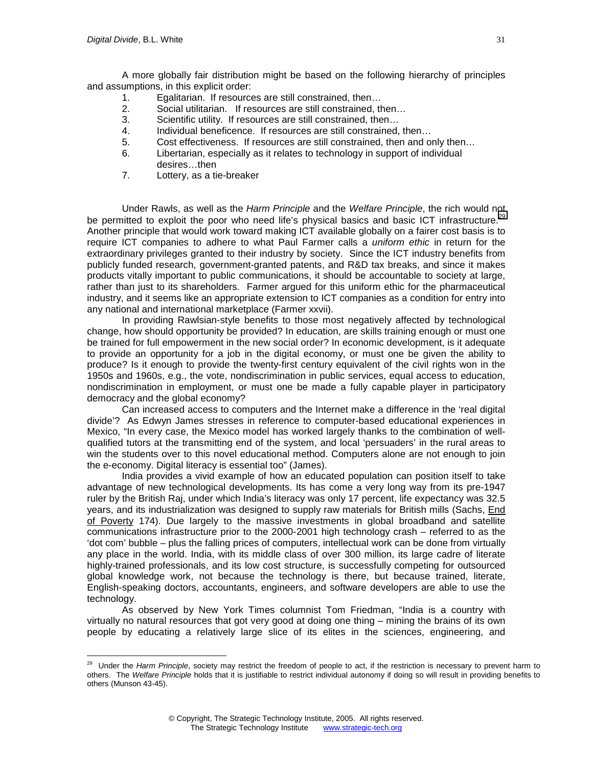A more globally fair distribution might be based on the following hierarchy of principles and assumptions, in this explicit order:

- 1. Egalitarian. If resources are still constrained, then…
- 2. Social utilitarian. If resources are still constrained, then…
- 3. Scientific utility. If resources are still constrained, then…
- 4. Individual beneficence. If resources are still constrained, then…
- 5. Cost effectiveness. If resources are still constrained, then and only then…
- 6. Libertarian, especially as it relates to technology in support of individual
- desires…then
- 7. Lottery, as a tie-breaker

Under Rawls, as well as the *Harm Principle* and the *Welfare Principle*, the rich would not be permitted to exploit the poor who need life's physical basics and basic ICT infrastructure.<sup>29</sup> Another principle that would work toward making ICT available globally on a fairer cost basis is to require ICT companies to adhere to what Paul Farmer calls a *uniform ethic* in return for the extraordinary privileges granted to their industry by society. Since the ICT industry benefits from publicly funded research, government-granted patents, and R&D tax breaks, and since it makes products vitally important to public communications, it should be accountable to society at large, rather than just to its shareholders. Farmer argued for this uniform ethic for the pharmaceutical industry, and it seems like an appropriate extension to ICT companies as a condition for entry into any national and international marketplace (Farmer xxvii).

In providing Rawlsian-style benefits to those most negatively affected by technological change, how should opportunity be provided? In education, are skills training enough or must one be trained for full empowerment in the new social order? In economic development, is it adequate to provide an opportunity for a job in the digital economy, or must one be given the ability to produce? Is it enough to provide the twenty-first century equivalent of the civil rights won in the 1950s and 1960s, e.g., the vote, nondiscrimination in public services, equal access to education, nondiscrimination in employment, or must one be made a fully capable player in participatory democracy and the global economy?

Can increased access to computers and the Internet make a difference in the 'real digital divide'? As Edwyn James stresses in reference to computer-based educational experiences in Mexico, "In every case, the Mexico model has worked largely thanks to the combination of wellqualified tutors at the transmitting end of the system, and local 'persuaders' in the rural areas to win the students over to this novel educational method. Computers alone are not enough to join the e-economy. Digital literacy is essential too" (James).

India provides a vivid example of how an educated population can position itself to take advantage of new technological developments. Its has come a very long way from its pre-1947 ruler by the British Raj, under which India's literacy was only 17 percent, life expectancy was 32.5 years, and its industrialization was designed to supply raw materials for British mills (Sachs, *End* of Poverty 174). Due largely to the massive investments in global broadband and satellite communications infrastructure prior to the 2000-2001 high technology crash – referred to as the 'dot com' bubble – plus the falling prices of computers, intellectual work can be done from virtually any place in the world. India, with its middle class of over 300 million, its large cadre of literate highly-trained professionals, and its low cost structure, is successfully competing for outsourced global knowledge work, not because the technology is there, but because trained, literate, English-speaking doctors, accountants, engineers, and software developers are able to use the technology.

As observed by New York Times columnist Tom Friedman, "India is a country with virtually no natural resources that got very good at doing one thing – mining the brains of its own people by educating a relatively large slice of its elites in the sciences, engineering, and

<sup>29</sup> Under the *Harm Principle*, society may restrict the freedom of people to act, if the restriction is necessary to prevent harm to others. The *Welfare Principle* holds that it is justifiable to restrict individual autonomy if doing so will result in providing benefits to others (Munson 43-45).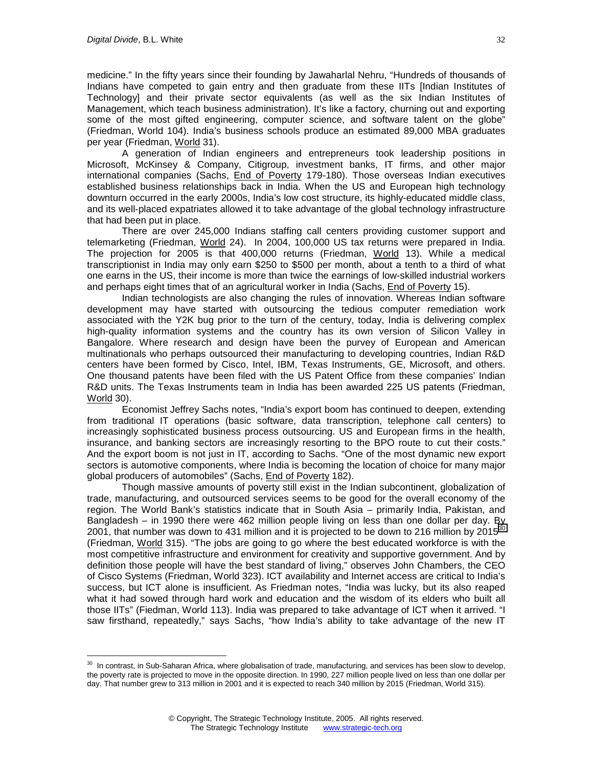medicine." In the fifty years since their founding by Jawaharlal Nehru, "Hundreds of thousands of Indians have competed to gain entry and then graduate from these IITs [Indian Institutes of Technology] and their private sector equivalents (as well as the six Indian Institutes of Management, which teach business administration). It's like a factory, churning out and exporting some of the most gifted engineering, computer science, and software talent on the globe" (Friedman, World 104). India's business schools produce an estimated 89,000 MBA graduates per year (Friedman, World 31).

A generation of Indian engineers and entrepreneurs took leadership positions in Microsoft, McKinsey & Company, Citigroup, investment banks, IT firms, and other major international companies (Sachs, End of Poverty 179-180). Those overseas Indian executives established business relationships back in India. When the US and European high technology downturn occurred in the early 2000s, India's low cost structure, its highly-educated middle class, and its well-placed expatriates allowed it to take advantage of the global technology infrastructure that had been put in place.

There are over 245,000 Indians staffing call centers providing customer support and telemarketing (Friedman, World 24). In 2004, 100,000 US tax returns were prepared in India. The projection for 2005 is that 400,000 returns (Friedman, World 13). While a medical transcriptionist in India may only earn \$250 to \$500 per month, about a tenth to a third of what one earns in the US, their income is more than twice the earnings of low-skilled industrial workers and perhaps eight times that of an agricultural worker in India (Sachs, End of Poverty 15).

Indian technologists are also changing the rules of innovation. Whereas Indian software development may have started with outsourcing the tedious computer remediation work associated with the Y2K bug prior to the turn of the century, today, India is delivering complex high-quality information systems and the country has its own version of Silicon Valley in Bangalore. Where research and design have been the purvey of European and American multinationals who perhaps outsourced their manufacturing to developing countries, Indian R&D centers have been formed by Cisco, Intel, IBM, Texas Instruments, GE, Microsoft, and others. One thousand patents have been filed with the US Patent Office from these companies' Indian R&D units. The Texas Instruments team in India has been awarded 225 US patents (Friedman, World 30).

Economist Jeffrey Sachs notes, "India's export boom has continued to deepen, extending from traditional IT operations (basic software, data transcription, telephone call centers) to increasingly sophisticated business process outsourcing. US and European firms in the health, insurance, and banking sectors are increasingly resorting to the BPO route to cut their costs." And the export boom is not just in IT, according to Sachs. "One of the most dynamic new export sectors is automotive components, where India is becoming the location of choice for many major global producers of automobiles" (Sachs, End of Poverty 182).

Though massive amounts of poverty still exist in the Indian subcontinent, globalization of trade, manufacturing, and outsourced services seems to be good for the overall economy of the region. The World Bank's statistics indicate that in South Asia – primarily India, Pakistan, and Bangladesh – in 1990 there were 462 million people living on less than one dollar per day. By 2001, that number was down to 431 million and it is projected to be down to 216 million by 2015 $^3$ (Friedman, World 315). "The jobs are going to go where the best educated workforce is with the most competitive infrastructure and environment for creativity and supportive government. And by definition those people will have the best standard of living," observes John Chambers, the CEO of Cisco Systems (Friedman, World 323). ICT availability and Internet access are critical to India's success, but ICT alone is insufficient. As Friedman notes, "India was lucky, but its also reaped what it had sowed through hard work and education and the wisdom of its elders who built all those IITs" (Fiedman, World 113). India was prepared to take advantage of ICT when it arrived. "I saw firsthand, repeatedly," says Sachs, "how India's ability to take advantage of the new IT

 $30$  In contrast, in Sub-Saharan Africa, where globalisation of trade, manufacturing, and services has been slow to develop, the poverty rate is projected to move in the opposite direction. In 1990, 227 million people lived on less than one dollar per day. That number grew to 313 million in 2001 and it is expected to reach 340 million by 2015 (Friedman, World 315).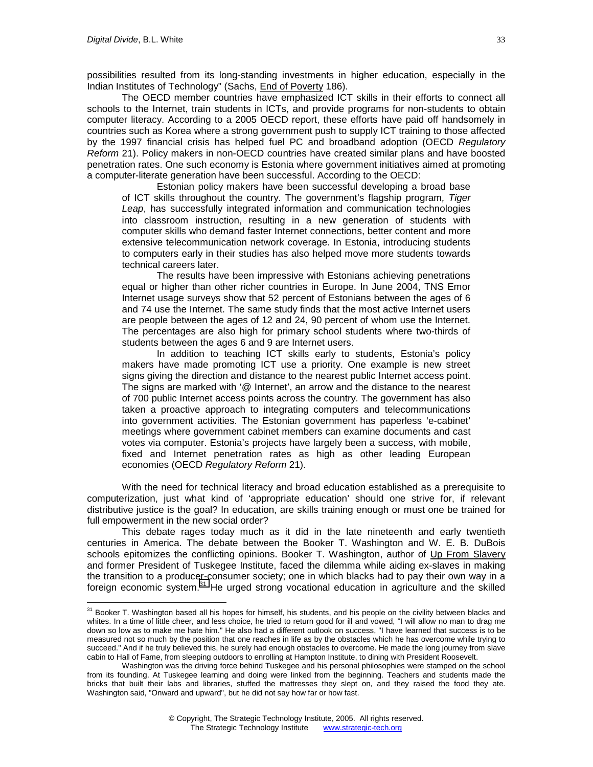possibilities resulted from its long-standing investments in higher education, especially in the Indian Institutes of Technology" (Sachs, End of Poverty 186).

The OECD member countries have emphasized ICT skills in their efforts to connect all schools to the Internet, train students in ICTs, and provide programs for non-students to obtain computer literacy. According to a 2005 OECD report, these efforts have paid off handsomely in countries such as Korea where a strong government push to supply ICT training to those affected by the 1997 financial crisis has helped fuel PC and broadband adoption (OECD *Regulatory Reform* 21). Policy makers in non-OECD countries have created similar plans and have boosted penetration rates. One such economy is Estonia where government initiatives aimed at promoting a computer-literate generation have been successful. According to the OECD:

Estonian policy makers have been successful developing a broad base of ICT skills throughout the country. The government's flagship program*, Tiger Leap*, has successfully integrated information and communication technologies into classroom instruction, resulting in a new generation of students with computer skills who demand faster Internet connections, better content and more extensive telecommunication network coverage. In Estonia, introducing students to computers early in their studies has also helped move more students towards technical careers later.

The results have been impressive with Estonians achieving penetrations equal or higher than other richer countries in Europe. In June 2004, TNS Emor Internet usage surveys show that 52 percent of Estonians between the ages of 6 and 74 use the Internet. The same study finds that the most active Internet users are people between the ages of 12 and 24, 90 percent of whom use the Internet. The percentages are also high for primary school students where two-thirds of students between the ages 6 and 9 are Internet users.

In addition to teaching ICT skills early to students, Estonia's policy makers have made promoting ICT use a priority. One example is new street signs giving the direction and distance to the nearest public Internet access point. The signs are marked with '@ Internet', an arrow and the distance to the nearest of 700 public Internet access points across the country. The government has also taken a proactive approach to integrating computers and telecommunications into government activities. The Estonian government has paperless 'e-cabinet' meetings where government cabinet members can examine documents and cast votes via computer. Estonia's projects have largely been a success, with mobile, fixed and Internet penetration rates as high as other leading European economies (OECD *Regulatory Reform* 21).

With the need for technical literacy and broad education established as a prerequisite to computerization, just what kind of 'appropriate education' should one strive for, if relevant distributive justice is the goal? In education, are skills training enough or must one be trained for full empowerment in the new social order?

This debate rages today much as it did in the late nineteenth and early twentieth centuries in America. The debate between the Booker T. Washington and W. E. B. DuBois schools epitomizes the conflicting opinions. Booker T. Washington, author of Up From Slavery and former President of Tuskegee Institute, faced the dilemma while aiding ex-slaves in making the transition to a producer-consumer society; one in which blacks had to pay their own way in a foreign economic system.<sup>31</sup> He urged strong vocational education in agriculture and the skilled

<sup>&</sup>lt;sup>31</sup> Booker T. Washington based all his hopes for himself, his students, and his people on the civility between blacks and whites. In a time of little cheer, and less choice, he tried to return good for ill and vowed, "I will allow no man to drag me down so low as to make me hate him." He also had a different outlook on success, "I have learned that success is to be measured not so much by the position that one reaches in life as by the obstacles which he has overcome while trying to succeed." And if he truly believed this, he surely had enough obstacles to overcome. He made the long journey from slave cabin to Hall of Fame, from sleeping outdoors to enrolling at Hampton Institute, to dining with President Roosevelt.

Washington was the driving force behind Tuskegee and his personal philosophies were stamped on the school from its founding. At Tuskegee learning and doing were linked from the beginning. Teachers and students made the bricks that built their labs and libraries, stuffed the mattresses they slept on, and they raised the food they ate. Washington said, "Onward and upward", but he did not say how far or how fast.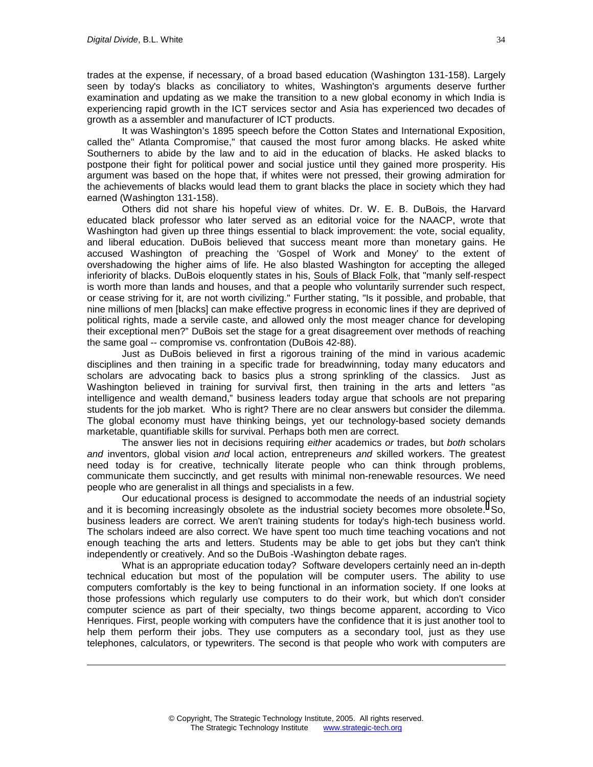trades at the expense, if necessary, of a broad based education (Washington 131-158). Largely seen by today's blacks as conciliatory to whites, Washington's arguments deserve further examination and updating as we make the transition to a new global economy in which India is experiencing rapid growth in the ICT services sector and Asia has experienced two decades of growth as a assembler and manufacturer of ICT products.

It was Washington's 1895 speech before the Cotton States and International Exposition, called the" Atlanta Compromise," that caused the most furor among blacks. He asked white Southerners to abide by the law and to aid in the education of blacks. He asked blacks to postpone their fight for political power and social justice until they gained more prosperity. His argument was based on the hope that, if whites were not pressed, their growing admiration for the achievements of blacks would lead them to grant blacks the place in society which they had earned (Washington 131-158).

Others did not share his hopeful view of whites. Dr. W. E. B. DuBois, the Harvard educated black professor who later served as an editorial voice for the NAACP, wrote that Washington had given up three things essential to black improvement: the vote, social equality, and liberal education. DuBois believed that success meant more than monetary gains. He accused Washington of preaching the 'Gospel of Work and Money' to the extent of overshadowing the higher aims of life. He also blasted Washington for accepting the alleged inferiority of blacks. DuBois eloquently states in his, Souls of Black Folk, that "manly self-respect is worth more than lands and houses, and that a people who voluntarily surrender such respect, or cease striving for it, are not worth civilizing." Further stating, "Is it possible, and probable, that nine millions of men [blacks] can make effective progress in economic lines if they are deprived of political rights, made a servile caste, and allowed only the most meager chance for developing their exceptional men?" DuBois set the stage for a great disagreement over methods of reaching the same goal -- compromise vs. confrontation (DuBois 42-88).

Just as DuBois believed in first a rigorous training of the mind in various academic disciplines and then training in a specific trade for breadwinning, today many educators and scholars are advocating back to basics plus a strong sprinkling of the classics. Just as Washington believed in training for survival first, then training in the arts and letters ''as intelligence and wealth demand," business leaders today argue that schools are not preparing students for the job market. Who is right? There are no clear answers but consider the dilemma. The global economy must have thinking beings, yet our technology-based society demands marketable, quantifiable skills for survival. Perhaps both men are correct.

The answer lies not in decisions requiring *either* academics *or* trades, but *both* scholars *and* inventors, global vision *and* local action, entrepreneurs *and* skilled workers. The greatest need today is for creative, technically literate people who can think through problems, communicate them succinctly, and get results with minimal non-renewable resources. We need people who are generalist in all things and specialists in a few.

Our educational process is designed to accommodate the needs of an industrial society andit is becoming increasingly obsolete as the industrial society becomes more obsolete. So, business leaders are correct. We aren't training students for today's high-tech business world. The scholars indeed are also correct. We have spent too much time teaching vocations and not enough teaching the arts and letters. Students may be able to get jobs but they can't think independently or creatively. And so the DuBois -Washington debate rages.

What is an appropriate education today? Software developers certainly need an in-depth technical education but most of the population will be computer users. The ability to use computers comfortably is the key to being functional in an information society. If one looks at those professions which regularly use computers to do their work, but which don't consider computer science as part of their specialty, two things become apparent, according to Vico Henriques. First, people working with computers have the confidence that it is just another tool to help them perform their jobs. They use computers as a secondary tool, just as they use telephones, calculators, or typewriters. The second is that people who work with computers are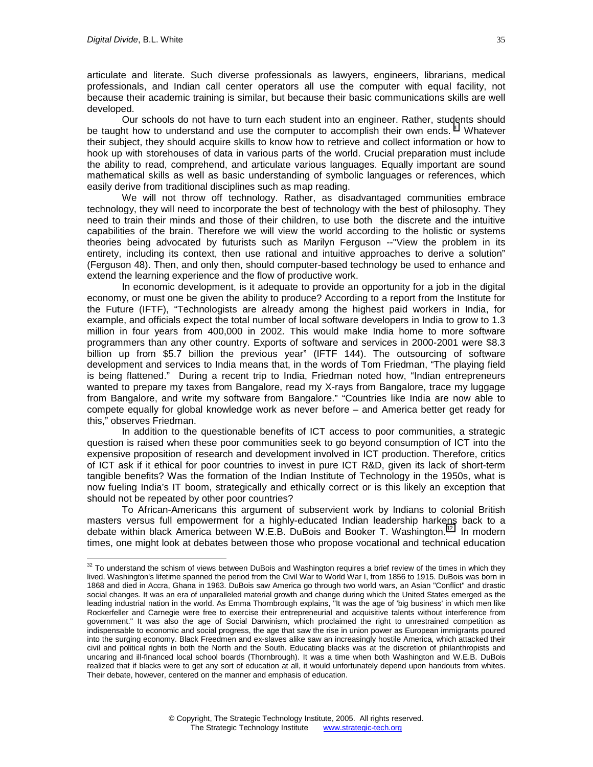articulate and literate. Such diverse professionals as lawyers, engineers, librarians, medical professionals, and Indian call center operators all use the computer with equal facility, not because their academic training is similar, but because their basic communications skills are well developed.

Our schools do not have to turn each student into an engineer. Rather, students should be taught how to understand and use the computer to accomplish their own ends. " Whatever their subject, they should acquire skills to know how to retrieve and collect information or how to hook up with storehouses of data in various parts of the world. Crucial preparation must include the ability to read, comprehend, and articulate various languages. Equally important are sound mathematical skills as well as basic understanding of symbolic languages or references, which easily derive from traditional disciplines such as map reading.

We will not throw off technology. Rather, as disadvantaged communities embrace technology, they will need to incorporate the best of technology with the best of philosophy. They need to train their minds and those of their children, to use both the discrete and the intuitive capabilities of the brain. Therefore we will view the world according to the holistic or systems theories being advocated by futurists such as Marilyn Ferguson --"View the problem in its entirety, including its context, then use rational and intuitive approaches to derive a solution" (Ferguson 48). Then, and only then, should computer-based technology be used to enhance and extend the learning experience and the flow of productive work.

In economic development, is it adequate to provide an opportunity for a job in the digital economy, or must one be given the ability to produce? According to a report from the Institute for the Future (IFTF), "Technologists are already among the highest paid workers in India, for example, and officials expect the total number of local software developers in India to grow to 1.3 million in four years from 400,000 in 2002. This would make India home to more software programmers than any other country. Exports of software and services in 2000-2001 were \$8.3 billion up from \$5.7 billion the previous year" (IFTF 144). The outsourcing of software development and services to India means that, in the words of Tom Friedman, "The playing field is being flattened." During a recent trip to India, Friedman noted how, "Indian entrepreneurs wanted to prepare my taxes from Bangalore, read my X-rays from Bangalore, trace my luggage from Bangalore, and write my software from Bangalore." "Countries like India are now able to compete equally for global knowledge work as never before – and America better get ready for this," observes Friedman.

In addition to the questionable benefits of ICT access to poor communities, a strategic question is raised when these poor communities seek to go beyond consumption of ICT into the expensive proposition of research and development involved in ICT production. Therefore, critics of ICT ask if it ethical for poor countries to invest in pure ICT R&D, given its lack of short-term tangible benefits? Was the formation of the Indian Institute of Technology in the 1950s, what is now fueling India's IT boom, strategically and ethically correct or is this likely an exception that should not be repeated by other poor countries?

To African-Americans this argument of subservient work by Indians to colonial British masters versus full empowerment for a highly-educated Indian leadership harkens back to a debate within black America between W.E.B. DuBois and Booker T. Washington.<sup>32</sup> In modern times, one might look at debates between those who propose vocational and technical education

 $32$  To understand the schism of views between DuBois and Washington requires a brief review of the times in which they lived. Washington's lifetime spanned the period from the Civil War to World War I, from 1856 to 1915. DuBois was born in 1868 and died in Accra, Ghana in 1963. DuBois saw America go through two world wars, an Asian "Conflict" and drastic social changes. It was an era of unparalleled material growth and change during which the United States emerged as the leading industrial nation in the world. As Emma Thornbrough explains, "It was the age of 'big business' in which men like Rockerfeller and Carnegie were free to exercise their entrepreneurial and acquisitive talents without interference from government." It was also the age of Social Darwinism, which proclaimed the right to unrestrained competition as indispensable to economic and social progress, the age that saw the rise in union power as European immigrants poured into the surging economy. Black Freedmen and ex-slaves alike saw an increasingly hostile America, which attacked their civil and political rights in both the North and the South. Educating blacks was at the discretion of philanthropists and uncaring and ill-financed local school boards (Thornbrough). It was a time when both Washington and W.E.B. DuBois realized that if blacks were to get any sort of education at all, it would unfortunately depend upon handouts from whites. Their debate, however, centered on the manner and emphasis of education.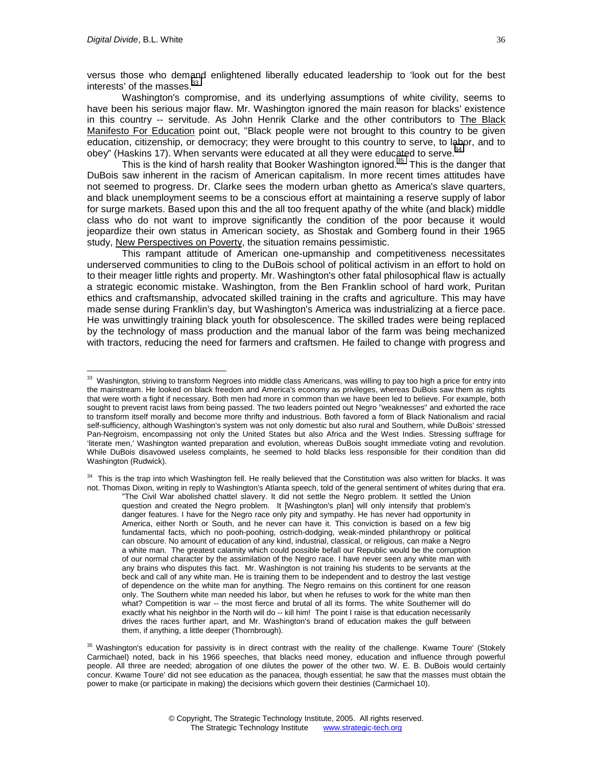versus those who demand enlightened liberally educated leadership to 'look out for the best interests' of the masses.<sup>33</sup>

Washington's compromise, and its underlying assumptions of white civility, seems to have been his serious major flaw. Mr. Washington ignored the main reason for blacks' existence in this country -- servitude. As John Henrik Clarke and the other contributors to The Black Manifesto For Education point out, "Black people were not brought to this country to be given education, citizenship, or democracy; they were brought to this country to serve, to labor, and to obey" (Haskins 17). When servants were educated at all they were educated to serve. $34$ 

This is the kind of harsh reality that Booker Washington ignored.<sup>35</sup> This is the danger that DuBois saw inherent in the racism of American capitalism. In more recent times attitudes have not seemed to progress. Dr. Clarke sees the modern urban ghetto as America's slave quarters, and black unemployment seems to be a conscious effort at maintaining a reserve supply of labor for surge markets. Based upon this and the all too frequent apathy of the white (and black) middle class who do not want to improve significantly the condition of the poor because it would jeopardize their own status in American society, as Shostak and Gomberg found in their 1965 study, New Perspectives on Poverty, the situation remains pessimistic.

This rampant attitude of American one-upmanship and competitiveness necessitates underserved communities to cling to the DuBois school of political activism in an effort to hold on to their meager little rights and property. Mr. Washington's other fatal philosophical flaw is actually a strategic economic mistake. Washington, from the Ben Franklin school of hard work, Puritan ethics and craftsmanship, advocated skilled training in the crafts and agriculture. This may have made sense during Franklin's day, but Washington's America was industrializing at a fierce pace. He was unwittingly training black youth for obsolescence. The skilled trades were being replaced by the technology of mass production and the manual labor of the farm was being mechanized with tractors, reducing the need for farmers and craftsmen. He failed to change with progress and

<sup>34</sup> This is the trap into which Washington fell. He really believed that the Constitution was also written for blacks. It was not. Thomas Dixon, writing in reply to Washington's Atlanta speech, told of the general sentiment of whites during that era.

 $33$  Washington, striving to transform Negroes into middle class Americans, was willing to pay too high a price for entry into the mainstream. He looked on black freedom and America's economy as privileges, whereas DuBois saw them as rights that were worth a fight if necessary. Both men had more in common than we have been led to believe. For example, both sought to prevent racist laws from being passed. The two leaders pointed out Negro "weaknesses" and exhorted the race to transform itself morally and become more thrifty and industrious. Both favored a form of Black Nationalism and racial self-sufficiency, although Washington's system was not only domestic but also rural and Southern, while DuBois' stressed Pan-Negroism, encompassing not only the United States but also Africa and the West Indies. Stressing suffrage for 'literate men,' Washington wanted preparation and evolution, whereas DuBois sought immediate voting and revolution. While DuBois disavowed useless complaints, he seemed to hold blacks less responsible for their condition than did Washington (Rudwick).

<sup>&</sup>quot;The Civil War abolished chattel slavery. It did not settle the Negro problem. It settled the Union question and created the Negro problem. It [Washington's plan] will only intensify that problem's danger features. I have for the Negro race only pity and sympathy. He has never had opportunity in America, either North or South, and he never can have it. This conviction is based on a few big fundamental facts, which no pooh-poohing, ostrich-dodging, weak-minded philanthropy or political can obscure. No amount of education of any kind, industrial, classical, or religious, can make a Negro a white man. The greatest calamity which could possible befall our Republic would be the corruption of our normal character by the assimilation of the Negro race. I have never seen any white man with any brains who disputes this fact. Mr. Washington is not training his students to be servants at the beck and call of any white man. He is training them to be independent and to destroy the last vestige of dependence on the white man for anything. The Negro remains on this continent for one reason only. The Southern white man needed his labor, but when he refuses to work for the white man then what? Competition is war -- the most fierce and brutal of all its forms. The white Southerner will do exactly what his neighbor in the North will do -- kill him! The point I raise is that education necessarily drives the races further apart, and Mr. Washington's brand of education makes the gulf between them, if anything, a little deeper (Thornbrough).

<sup>&</sup>lt;sup>35</sup> Washington's education for passivity is in direct contrast with the reality of the challenge. Kwame Toure' (Stokely Carmichael) noted, back in his 1966 speeches, that blacks need money, education and influence through powerful people. All three are needed; abrogation of one dilutes the power of the other two. W. E. B. DuBois would certainly concur. Kwame Toure' did not see education as the panacea, though essential; he saw that the masses must obtain the power to make (or participate in making) the decisions which govern their destinies (Carmichael 10).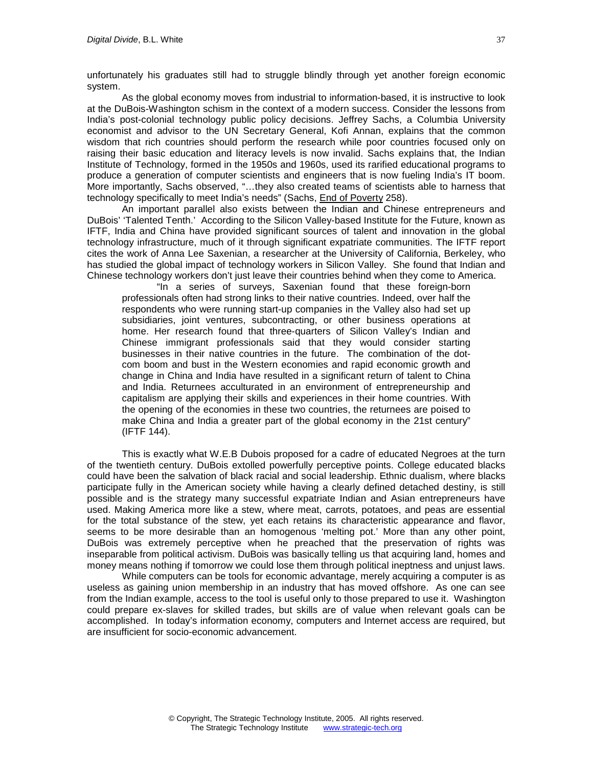unfortunately his graduates still had to struggle blindly through yet another foreign economic system.

As the global economy moves from industrial to information-based, it is instructive to look at the DuBois-Washington schism in the context of a modern success. Consider the lessons from India's post-colonial technology public policy decisions. Jeffrey Sachs, a Columbia University economist and advisor to the UN Secretary General, Kofi Annan, explains that the common wisdom that rich countries should perform the research while poor countries focused only on raising their basic education and literacy levels is now invalid. Sachs explains that, the Indian Institute of Technology, formed in the 1950s and 1960s, used its rarified educational programs to produce a generation of computer scientists and engineers that is now fueling India's IT boom. More importantly, Sachs observed, "…they also created teams of scientists able to harness that technology specifically to meet India's needs" (Sachs, End of Poverty 258).

An important parallel also exists between the Indian and Chinese entrepreneurs and DuBois' 'Talented Tenth.' According to the Silicon Valley-based Institute for the Future, known as IFTF, India and China have provided significant sources of talent and innovation in the global technology infrastructure, much of it through significant expatriate communities. The IFTF report cites the work of Anna Lee Saxenian, a researcher at the University of California, Berkeley, who has studied the global impact of technology workers in Silicon Valley. She found that Indian and Chinese technology workers don't just leave their countries behind when they come to America.

"In a series of surveys, Saxenian found that these foreign-born professionals often had strong links to their native countries. Indeed, over half the respondents who were running start-up companies in the Valley also had set up subsidiaries, joint ventures, subcontracting, or other business operations at home. Her research found that three-quarters of Silicon Valley's Indian and Chinese immigrant professionals said that they would consider starting businesses in their native countries in the future. The combination of the dotcom boom and bust in the Western economies and rapid economic growth and change in China and India have resulted in a significant return of talent to China and India. Returnees acculturated in an environment of entrepreneurship and capitalism are applying their skills and experiences in their home countries. With the opening of the economies in these two countries, the returnees are poised to make China and India a greater part of the global economy in the 21st century" (IFTF 144).

This is exactly what W.E.B Dubois proposed for a cadre of educated Negroes at the turn of the twentieth century. DuBois extolled powerfully perceptive points. College educated blacks could have been the salvation of black racial and social leadership. Ethnic dualism, where blacks participate fully in the American society while having a clearly defined detached destiny, is still possible and is the strategy many successful expatriate Indian and Asian entrepreneurs have used. Making America more like a stew, where meat, carrots, potatoes, and peas are essential for the total substance of the stew, yet each retains its characteristic appearance and flavor, seems to be more desirable than an homogenous 'melting pot.' More than any other point, DuBois was extremely perceptive when he preached that the preservation of rights was inseparable from political activism. DuBois was basically telling us that acquiring land, homes and money means nothing if tomorrow we could lose them through political ineptness and unjust laws.

While computers can be tools for economic advantage, merely acquiring a computer is as useless as gaining union membership in an industry that has moved offshore. As one can see from the Indian example, access to the tool is useful only to those prepared to use it. Washington could prepare ex-slaves for skilled trades, but skills are of value when relevant goals can be accomplished. In today's information economy, computers and Internet access are required, but are insufficient for socio-economic advancement.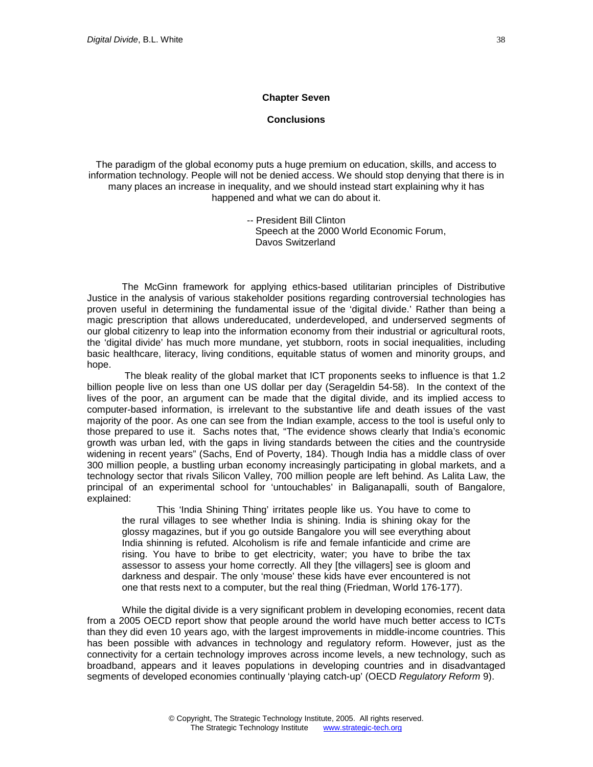### **Chapter Seven**

### **Conclusions**

The paradigm of the global economy puts a huge premium on education, skills, and access to information technology. People will not be denied access. We should stop denying that there is in many places an increase in inequality, and we should instead start explaining why it has happened and what we can do about it.

> -- President Bill Clinton Speech at the 2000 World Economic Forum, Davos Switzerland

The McGinn framework for applying ethics-based utilitarian principles of Distributive Justice in the analysis of various stakeholder positions regarding controversial technologies has proven useful in determining the fundamental issue of the 'digital divide.' Rather than being a magic prescription that allows undereducated, underdeveloped, and underserved segments of our global citizenry to leap into the information economy from their industrial or agricultural roots, the 'digital divide' has much more mundane, yet stubborn, roots in social inequalities, including basic healthcare, literacy, living conditions, equitable status of women and minority groups, and hope.

 The bleak reality of the global market that ICT proponents seeks to influence is that 1.2 billion people live on less than one US dollar per day (Serageldin 54-58). In the context of the lives of the poor, an argument can be made that the digital divide, and its implied access to computer-based information, is irrelevant to the substantive life and death issues of the vast majority of the poor. As one can see from the Indian example, access to the tool is useful only to those prepared to use it. Sachs notes that, "The evidence shows clearly that India's economic growth was urban led, with the gaps in living standards between the cities and the countryside widening in recent years" (Sachs, End of Poverty, 184). Though India has a middle class of over 300 million people, a bustling urban economy increasingly participating in global markets, and a technology sector that rivals Silicon Valley, 700 million people are left behind. As Lalita Law, the principal of an experimental school for 'untouchables' in Baliganapalli, south of Bangalore, explained:

This 'India Shining Thing' irritates people like us. You have to come to the rural villages to see whether India is shining. India is shining okay for the glossy magazines, but if you go outside Bangalore you will see everything about India shinning is refuted. Alcoholism is rife and female infanticide and crime are rising. You have to bribe to get electricity, water; you have to bribe the tax assessor to assess your home correctly. All they [the villagers] see is gloom and darkness and despair. The only 'mouse' these kids have ever encountered is not one that rests next to a computer, but the real thing (Friedman, World 176-177).

While the digital divide is a very significant problem in developing economies, recent data from a 2005 OECD report show that people around the world have much better access to ICTs than they did even 10 years ago, with the largest improvements in middle-income countries. This has been possible with advances in technology and regulatory reform. However, just as the connectivity for a certain technology improves across income levels, a new technology, such as broadband, appears and it leaves populations in developing countries and in disadvantaged segments of developed economies continually 'playing catch-up' (OECD *Regulatory Reform* 9).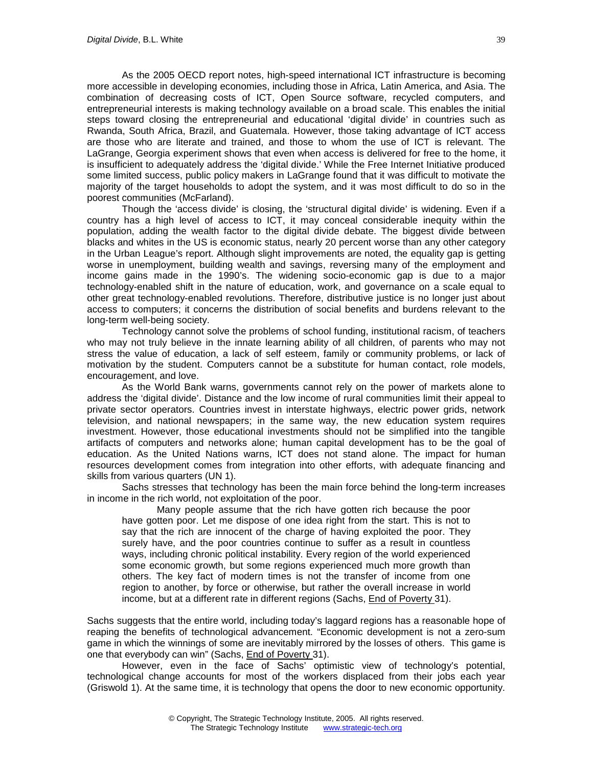As the 2005 OECD report notes, high-speed international ICT infrastructure is becoming more accessible in developing economies, including those in Africa, Latin America, and Asia. The combination of decreasing costs of ICT, Open Source software, recycled computers, and entrepreneurial interests is making technology available on a broad scale. This enables the initial steps toward closing the entrepreneurial and educational 'digital divide' in countries such as Rwanda, South Africa, Brazil, and Guatemala. However, those taking advantage of ICT access are those who are literate and trained, and those to whom the use of ICT is relevant. The LaGrange, Georgia experiment shows that even when access is delivered for free to the home, it is insufficient to adequately address the 'digital divide.' While the Free Internet Initiative produced some limited success, public policy makers in LaGrange found that it was difficult to motivate the majority of the target households to adopt the system, and it was most difficult to do so in the poorest communities (McFarland).

Though the 'access divide' is closing, the 'structural digital divide' is widening. Even if a country has a high level of access to ICT, it may conceal considerable inequity within the population, adding the wealth factor to the digital divide debate. The biggest divide between blacks and whites in the US is economic status, nearly 20 percent worse than any other category in the Urban League's report. Although slight improvements are noted, the equality gap is getting worse in unemployment, building wealth and savings, reversing many of the employment and income gains made in the 1990's. The widening socio-economic gap is due to a major technology-enabled shift in the nature of education, work, and governance on a scale equal to other great technology-enabled revolutions. Therefore, distributive justice is no longer just about access to computers; it concerns the distribution of social benefits and burdens relevant to the long-term well-being society.

Technology cannot solve the problems of school funding, institutional racism, of teachers who may not truly believe in the innate learning ability of all children, of parents who may not stress the value of education, a lack of self esteem, family or community problems, or lack of motivation by the student. Computers cannot be a substitute for human contact, role models, encouragement, and love.

As the World Bank warns, governments cannot rely on the power of markets alone to address the 'digital divide'. Distance and the low income of rural communities limit their appeal to private sector operators. Countries invest in interstate highways, electric power grids, network television, and national newspapers; in the same way, the new education system requires investment. However, those educational investments should not be simplified into the tangible artifacts of computers and networks alone; human capital development has to be the goal of education. As the United Nations warns, ICT does not stand alone. The impact for human resources development comes from integration into other efforts, with adequate financing and skills from various quarters (UN 1).

Sachs stresses that technology has been the main force behind the long-term increases in income in the rich world, not exploitation of the poor.

Many people assume that the rich have gotten rich because the poor have gotten poor. Let me dispose of one idea right from the start. This is not to say that the rich are innocent of the charge of having exploited the poor. They surely have, and the poor countries continue to suffer as a result in countless ways, including chronic political instability. Every region of the world experienced some economic growth, but some regions experienced much more growth than others. The key fact of modern times is not the transfer of income from one region to another, by force or otherwise, but rather the overall increase in world income, but at a different rate in different regions (Sachs, End of Poverty 31).

Sachs suggests that the entire world, including today's laggard regions has a reasonable hope of reaping the benefits of technological advancement. "Economic development is not a zero-sum game in which the winnings of some are inevitably mirrored by the losses of others. This game is one that everybody can win" (Sachs, End of Poverty 31).

However, even in the face of Sachs' optimistic view of technology's potential, technological change accounts for most of the workers displaced from their jobs each year (Griswold 1). At the same time, it is technology that opens the door to new economic opportunity.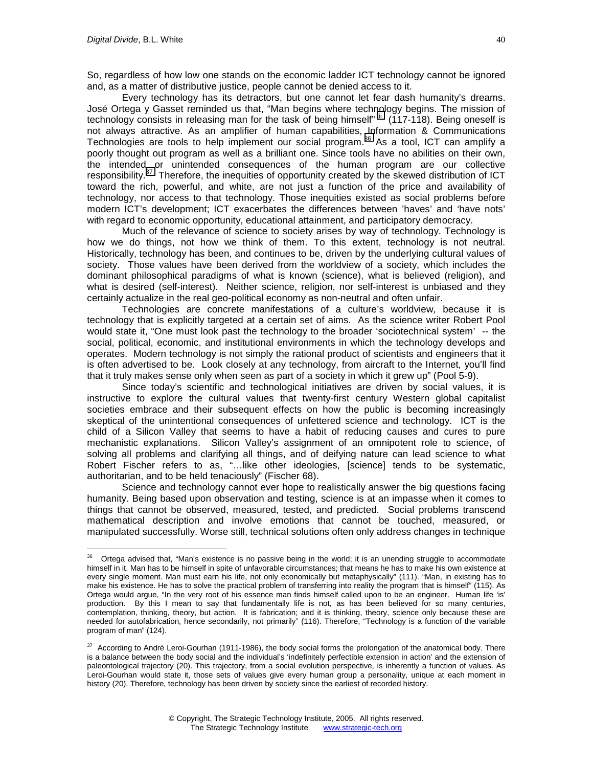So, regardless of how low one stands on the economic ladder ICT technology cannot be ignored and, as a matter of distributive justice, people cannot be denied access to it.

Every technology has its detractors, but one cannot let fear dash humanity's dreams. José Ortega y Gasset reminded us that, "Man begins where technology begins. The mission of technology consists in releasing man for the task of being himself" [iii](#page-68-0) (117-118). Being oneself is not always attractive. As an amplifier of human capabilities, Information & Communications Technologies are tools to help implement our social program.<sup>36</sup> As a tool, ICT can amplify a poorly thought out program as well as a brilliant one. Since tools have no abilities on their own, the intended or unintended consequences of the human program are our collective responsibility.<sup>37</sup> Therefore, the inequities of opportunity created by the skewed distribution of ICT toward the rich, powerful, and white, are not just a function of the price and availability of technology, nor access to that technology. Those inequities existed as social problems before modern ICT's development; ICT exacerbates the differences between 'haves' and 'have nots' with regard to economic opportunity, educational attainment, and participatory democracy.

Much of the relevance of science to society arises by way of technology. Technology is how we do things, not how we think of them. To this extent, technology is not neutral. Historically, technology has been, and continues to be, driven by the underlying cultural values of society. Those values have been derived from the worldview of a society, which includes the dominant philosophical paradigms of what is known (science), what is believed (religion), and what is desired (self-interest). Neither science, religion, nor self-interest is unbiased and they certainly actualize in the real geo-political economy as non-neutral and often unfair.

Technologies are concrete manifestations of a culture's worldview, because it is technology that is explicitly targeted at a certain set of aims. As the science writer Robert Pool would state it, "One must look past the technology to the broader 'sociotechnical system' -- the social, political, economic, and institutional environments in which the technology develops and operates. Modern technology is not simply the rational product of scientists and engineers that it is often advertised to be. Look closely at any technology, from aircraft to the Internet, you'll find that it truly makes sense only when seen as part of a society in which it grew up" (Pool 5-9).

Since today's scientific and technological initiatives are driven by social values, it is instructive to explore the cultural values that twenty-first century Western global capitalist societies embrace and their subsequent effects on how the public is becoming increasingly skeptical of the unintentional consequences of unfettered science and technology. ICT is the child of a Silicon Valley that seems to have a habit of reducing causes and cures to pure mechanistic explanations. Silicon Valley's assignment of an omnipotent role to science, of solving all problems and clarifying all things, and of deifying nature can lead science to what Robert Fischer refers to as, "…like other ideologies, [science] tends to be systematic, authoritarian, and to be held tenaciously" (Fischer 68).

Science and technology cannot ever hope to realistically answer the big questions facing humanity. Being based upon observation and testing, science is at an impasse when it comes to things that cannot be observed, measured, tested, and predicted. Social problems transcend mathematical description and involve emotions that cannot be touched, measured, or manipulated successfully. Worse still, technical solutions often only address changes in technique

<sup>36</sup> Ortega advised that, "Man's existence is no passive being in the world; it is an unending struggle to accommodate himself in it. Man has to be himself in spite of unfavorable circumstances; that means he has to make his own existence at every single moment. Man must earn his life, not only economically but metaphysically" (111). "Man, in existing has to make his existence. He has to solve the practical problem of transferring into reality the program that is himself" (115). As Ortega would argue, "In the very root of his essence man finds himself called upon to be an engineer. Human life 'is' production. By this I mean to say that fundamentally life is not, as has been believed for so many centuries, contemplation, thinking, theory, but action. It is fabrication; and it is thinking, theory, science only because these are needed for autofabrication, hence secondarily, not primarily" (116). Therefore, "Technology is a function of the variable program of man" (124).

<sup>&</sup>lt;sup>37</sup> According to André Leroi-Gourhan (1911-1986), the body social forms the prolongation of the anatomical body. There is a balance between the body social and the individual's 'indefinitely perfectible extension in action' and the extension of paleontological trajectory (20). This trajectory, from a social evolution perspective, is inherently a function of values. As Leroi-Gourhan would state it, those sets of values give every human group a personality, unique at each moment in history (20). Therefore, technology has been driven by society since the earliest of recorded history.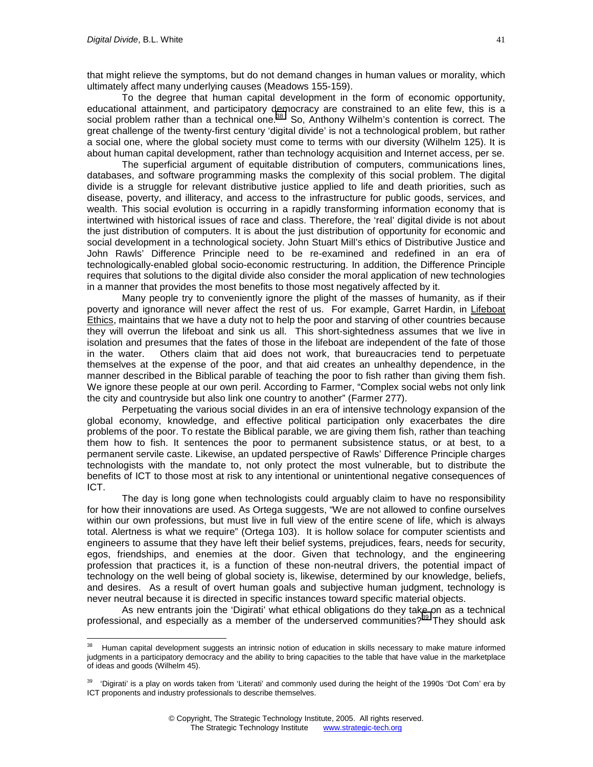that might relieve the symptoms, but do not demand changes in human values or morality, which ultimately affect many underlying causes (Meadows 155-159).

To the degree that human capital development in the form of economic opportunity, educational attainment, and participatory democracy are constrained to an elite few, this is a social problem rather than a technical one.<sup>38</sup> So, Anthony Wilhelm's contention is correct. The great challenge of the twenty-first century 'digital divide' is not a technological problem, but rather a social one, where the global society must come to terms with our diversity (Wilhelm 125). It is about human capital development, rather than technology acquisition and Internet access, per se.

The superficial argument of equitable distribution of computers, communications lines, databases, and software programming masks the complexity of this social problem. The digital divide is a struggle for relevant distributive justice applied to life and death priorities, such as disease, poverty, and illiteracy, and access to the infrastructure for public goods, services, and wealth. This social evolution is occurring in a rapidly transforming information economy that is intertwined with historical issues of race and class. Therefore, the 'real' digital divide is not about the just distribution of computers. It is about the just distribution of opportunity for economic and social development in a technological society. John Stuart Mill's ethics of Distributive Justice and John Rawls' Difference Principle need to be re-examined and redefined in an era of technologically-enabled global socio-economic restructuring. In addition, the Difference Principle requires that solutions to the digital divide also consider the moral application of new technologies in a manner that provides the most benefits to those most negatively affected by it.

Many people try to conveniently ignore the plight of the masses of humanity, as if their poverty and ignorance will never affect the rest of us. For example, Garret Hardin, in Lifeboat Ethics, maintains that we have a duty not to help the poor and starving of other countries because they will overrun the lifeboat and sink us all. This short-sightedness assumes that we live in isolation and presumes that the fates of those in the lifeboat are independent of the fate of those in the water. Others claim that aid does not work, that bureaucracies tend to perpetuate themselves at the expense of the poor, and that aid creates an unhealthy dependence, in the manner described in the Biblical parable of teaching the poor to fish rather than giving them fish. We ignore these people at our own peril. According to Farmer, "Complex social webs not only link the city and countryside but also link one country to another" (Farmer 277).

Perpetuating the various social divides in an era of intensive technology expansion of the global economy, knowledge, and effective political participation only exacerbates the dire problems of the poor. To restate the Biblical parable, we are giving them fish, rather than teaching them how to fish. It sentences the poor to permanent subsistence status, or at best, to a permanent servile caste. Likewise, an updated perspective of Rawls' Difference Principle charges technologists with the mandate to, not only protect the most vulnerable, but to distribute the benefits of ICT to those most at risk to any intentional or unintentional negative consequences of ICT.

The day is long gone when technologists could arguably claim to have no responsibility for how their innovations are used. As Ortega suggests, "We are not allowed to confine ourselves within our own professions, but must live in full view of the entire scene of life, which is always total. Alertness is what we require" (Ortega 103). It is hollow solace for computer scientists and engineers to assume that they have left their belief systems, prejudices, fears, needs for security, egos, friendships, and enemies at the door. Given that technology, and the engineering profession that practices it, is a function of these non-neutral drivers, the potential impact of technology on the well being of global society is, likewise, determined by our knowledge, beliefs, and desires. As a result of overt human goals and subjective human judgment, technology is never neutral because it is directed in specific instances toward specific material objects.

As new entrants join the 'Digirati' what ethical obligations do they take on as a technical professional, and especially as a member of the underserved communities?<sup>39</sup> They should ask

<sup>&</sup>lt;sup>38</sup> Human capital development suggests an intrinsic notion of education in skills necessary to make mature informed judgments in a participatory democracy and the ability to bring capacities to the table that have value in the marketplace of ideas and goods (Wilhelm 45).

 $39$  'Digirati' is a play on words taken from 'Literati' and commonly used during the height of the 1990s 'Dot Com' era by ICT proponents and industry professionals to describe themselves.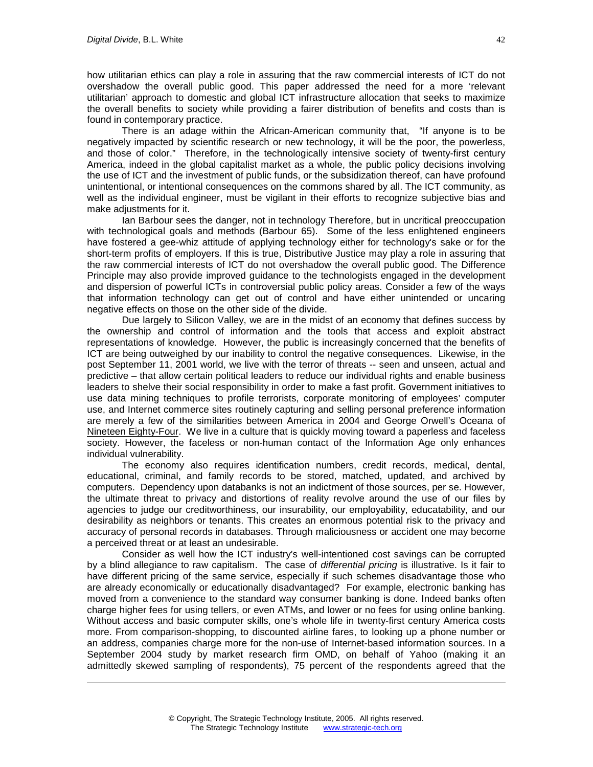how utilitarian ethics can play a role in assuring that the raw commercial interests of ICT do not overshadow the overall public good. This paper addressed the need for a more 'relevant utilitarian' approach to domestic and global ICT infrastructure allocation that seeks to maximize the overall benefits to society while providing a fairer distribution of benefits and costs than is found in contemporary practice.

There is an adage within the African-American community that, "If anyone is to be negatively impacted by scientific research or new technology, it will be the poor, the powerless, and those of color." Therefore, in the technologically intensive society of twenty-first century America, indeed in the global capitalist market as a whole, the public policy decisions involving the use of ICT and the investment of public funds, or the subsidization thereof, can have profound unintentional, or intentional consequences on the commons shared by all. The ICT community, as well as the individual engineer, must be vigilant in their efforts to recognize subjective bias and make adjustments for it.

Ian Barbour sees the danger, not in technology Therefore, but in uncritical preoccupation with technological goals and methods (Barbour 65). Some of the less enlightened engineers have fostered a gee-whiz attitude of applying technology either for technology's sake or for the short-term profits of employers. If this is true, Distributive Justice may play a role in assuring that the raw commercial interests of ICT do not overshadow the overall public good. The Difference Principle may also provide improved guidance to the technologists engaged in the development and dispersion of powerful ICTs in controversial public policy areas. Consider a few of the ways that information technology can get out of control and have either unintended or uncaring negative effects on those on the other side of the divide.

Due largely to Silicon Valley, we are in the midst of an economy that defines success by the ownership and control of information and the tools that access and exploit abstract representations of knowledge. However, the public is increasingly concerned that the benefits of ICT are being outweighed by our inability to control the negative consequences. Likewise, in the post September 11, 2001 world, we live with the terror of threats -- seen and unseen, actual and predictive – that allow certain political leaders to reduce our individual rights and enable business leaders to shelve their social responsibility in order to make a fast profit. Government initiatives to use data mining techniques to profile terrorists, corporate monitoring of employees' computer use, and Internet commerce sites routinely capturing and selling personal preference information are merely a few of the similarities between America in 2004 and George Orwell's Oceana of Nineteen Eighty-Four. We live in a culture that is quickly moving toward a paperless and faceless society. However, the faceless or non-human contact of the Information Age only enhances individual vulnerability.

The economy also requires identification numbers, credit records, medical, dental, educational, criminal, and family records to be stored, matched, updated, and archived by computers. Dependency upon databanks is not an indictment of those sources, per se. However, the ultimate threat to privacy and distortions of reality revolve around the use of our files by agencies to judge our creditworthiness, our insurability, our employability, educatability, and our desirability as neighbors or tenants. This creates an enormous potential risk to the privacy and accuracy of personal records in databases. Through maliciousness or accident one may become a perceived threat or at least an undesirable.

Consider as well how the ICT industry's well-intentioned cost savings can be corrupted by a blind allegiance to raw capitalism. The case of *differential pricing* is illustrative. Is it fair to have different pricing of the same service, especially if such schemes disadvantage those who are already economically or educationally disadvantaged? For example, electronic banking has moved from a convenience to the standard way consumer banking is done. Indeed banks often charge higher fees for using tellers, or even ATMs, and lower or no fees for using online banking. Without access and basic computer skills, one's whole life in twenty-first century America costs more. From comparison-shopping, to discounted airline fares, to looking up a phone number or an address, companies charge more for the non-use of Internet-based information sources. In a September 2004 study by market research firm OMD, on behalf of Yahoo (making it an admittedly skewed sampling of respondents), 75 percent of the respondents agreed that the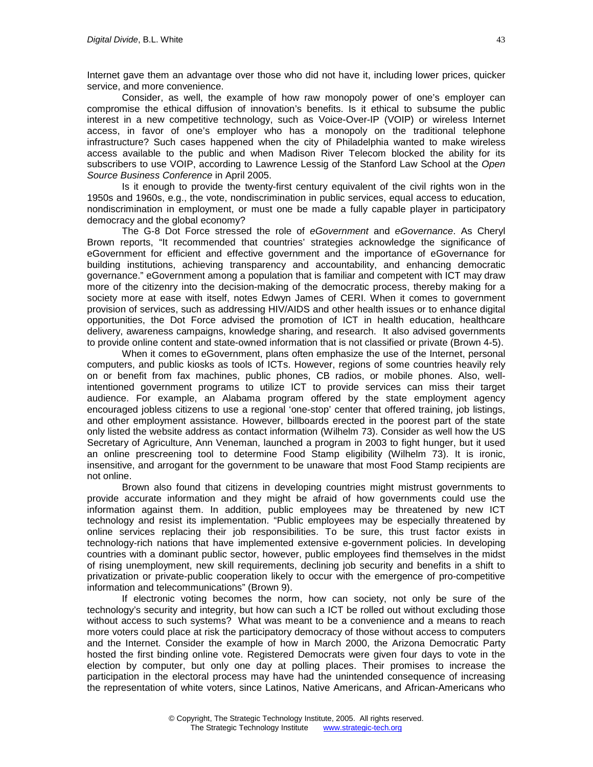Internet gave them an advantage over those who did not have it, including lower prices, quicker service, and more convenience.

Consider, as well, the example of how raw monopoly power of one's employer can compromise the ethical diffusion of innovation's benefits. Is it ethical to subsume the public interest in a new competitive technology, such as Voice-Over-IP (VOIP) or wireless Internet access, in favor of one's employer who has a monopoly on the traditional telephone infrastructure? Such cases happened when the city of Philadelphia wanted to make wireless access available to the public and when Madison River Telecom blocked the ability for its subscribers to use VOIP, according to Lawrence Lessig of the Stanford Law School at the *Open Source Business Conference* in April 2005.

Is it enough to provide the twenty-first century equivalent of the civil rights won in the 1950s and 1960s, e.g., the vote, nondiscrimination in public services, equal access to education, nondiscrimination in employment, or must one be made a fully capable player in participatory democracy and the global economy?

The G-8 Dot Force stressed the role of *eGovernment* and *eGovernance*. As Cheryl Brown reports, "It recommended that countries' strategies acknowledge the significance of eGovernment for efficient and effective government and the importance of eGovernance for building institutions, achieving transparency and accountability, and enhancing democratic governance." eGovernment among a population that is familiar and competent with ICT may draw more of the citizenry into the decision-making of the democratic process, thereby making for a society more at ease with itself, notes Edwyn James of CERI. When it comes to government provision of services, such as addressing HIV/AIDS and other health issues or to enhance digital opportunities, the Dot Force advised the promotion of ICT in health education, healthcare delivery, awareness campaigns, knowledge sharing, and research. It also advised governments to provide online content and state-owned information that is not classified or private (Brown 4-5).

When it comes to eGovernment, plans often emphasize the use of the Internet, personal computers, and public kiosks as tools of ICTs. However, regions of some countries heavily rely on or benefit from fax machines, public phones, CB radios, or mobile phones. Also, wellintentioned government programs to utilize ICT to provide services can miss their target audience. For example, an Alabama program offered by the state employment agency encouraged jobless citizens to use a regional 'one-stop' center that offered training, job listings, and other employment assistance. However, billboards erected in the poorest part of the state only listed the website address as contact information (Wilhelm 73). Consider as well how the US Secretary of Agriculture, Ann Veneman, launched a program in 2003 to fight hunger, but it used an online prescreening tool to determine Food Stamp eligibility (Wilhelm 73). It is ironic, insensitive, and arrogant for the government to be unaware that most Food Stamp recipients are not online.

Brown also found that citizens in developing countries might mistrust governments to provide accurate information and they might be afraid of how governments could use the information against them. In addition, public employees may be threatened by new ICT technology and resist its implementation. "Public employees may be especially threatened by online services replacing their job responsibilities. To be sure, this trust factor exists in technology-rich nations that have implemented extensive e-government policies. In developing countries with a dominant public sector, however, public employees find themselves in the midst of rising unemployment, new skill requirements, declining job security and benefits in a shift to privatization or private-public cooperation likely to occur with the emergence of pro-competitive information and telecommunications" (Brown 9).

If electronic voting becomes the norm, how can society, not only be sure of the technology's security and integrity, but how can such a ICT be rolled out without excluding those without access to such systems? What was meant to be a convenience and a means to reach more voters could place at risk the participatory democracy of those without access to computers and the Internet. Consider the example of how in March 2000, the Arizona Democratic Party hosted the first binding online vote. Registered Democrats were given four days to vote in the election by computer, but only one day at polling places. Their promises to increase the participation in the electoral process may have had the unintended consequence of increasing the representation of white voters, since Latinos, Native Americans, and African-Americans who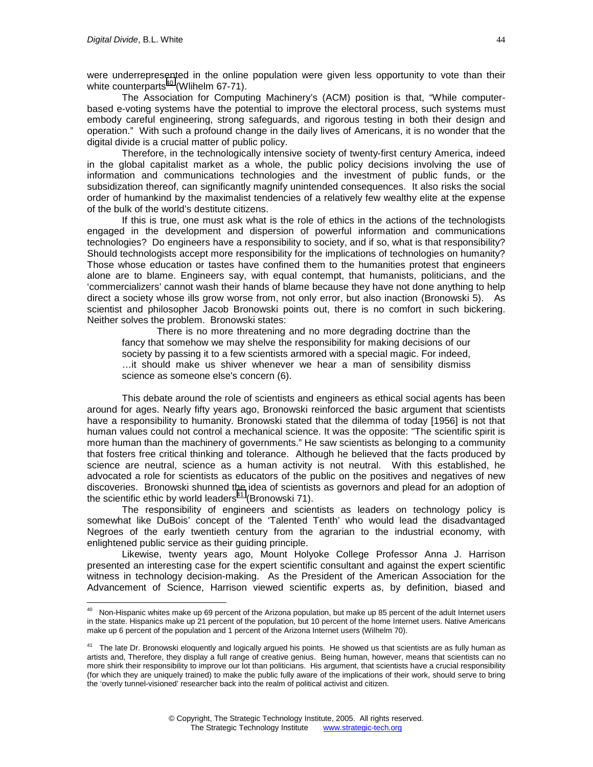were underrepresented in the online population were given less opportunity to vote than their white counterparts $40$  (Wlihelm 67-71).

The Association for Computing Machinery's (ACM) position is that, "While computerbased e-voting systems have the potential to improve the electoral process, such systems must embody careful engineering, strong safeguards, and rigorous testing in both their design and operation." With such a profound change in the daily lives of Americans, it is no wonder that the digital divide is a crucial matter of public policy.

Therefore, in the technologically intensive society of twenty-first century America, indeed in the global capitalist market as a whole, the public policy decisions involving the use of information and communications technologies and the investment of public funds, or the subsidization thereof, can significantly magnify unintended consequences. It also risks the social order of humankind by the maximalist tendencies of a relatively few wealthy elite at the expense of the bulk of the world's destitute citizens.

If this is true, one must ask what is the role of ethics in the actions of the technologists engaged in the development and dispersion of powerful information and communications technologies? Do engineers have a responsibility to society, and if so, what is that responsibility? Should technologists accept more responsibility for the implications of technologies on humanity? Those whose education or tastes have confined them to the humanities protest that engineers alone are to blame. Engineers say, with equal contempt, that humanists, politicians, and the 'commercializers' cannot wash their hands of blame because they have not done anything to help direct a society whose ills grow worse from, not only error, but also inaction (Bronowski 5). As scientist and philosopher Jacob Bronowski points out, there is no comfort in such bickering. Neither solves the problem. Bronowski states:

There is no more threatening and no more degrading doctrine than the fancy that somehow we may shelve the responsibility for making decisions of our society by passing it to a few scientists armored with a special magic. For indeed, …it should make us shiver whenever we hear a man of sensibility dismiss science as someone else's concern (6).

This debate around the role of scientists and engineers as ethical social agents has been around for ages. Nearly fifty years ago, Bronowski reinforced the basic argument that scientists have a responsibility to humanity. Bronowski stated that the dilemma of today [1956] is not that human values could not control a mechanical science. It was the opposite: "The scientific spirit is more human than the machinery of governments." He saw scientists as belonging to a community that fosters free critical thinking and tolerance. Although he believed that the facts produced by science are neutral, science as a human activity is not neutral. With this established, he advocated a role for scientists as educators of the public on the positives and negatives of new discoveries. Bronowski shunned the idea of scientists as governors and plead for an adoption of the scientific ethic by world leaders $41$  (Bronowski 71).

The responsibility of engineers and scientists as leaders on technology policy is somewhat like DuBois' concept of the 'Talented Tenth' who would lead the disadvantaged Negroes of the early twentieth century from the agrarian to the industrial economy, with enlightened public service as their guiding principle.

Likewise, twenty years ago, Mount Holyoke College Professor Anna J. Harrison presented an interesting case for the expert scientific consultant and against the expert scientific witness in technology decision-making. As the President of the American Association for the Advancement of Science, Harrison viewed scientific experts as, by definition, biased and

 $40$  Non-Hispanic whites make up 69 percent of the Arizona population, but make up 85 percent of the adult Internet users in the state. Hispanics make up 21 percent of the population, but 10 percent of the home Internet users. Native Americans make up 6 percent of the population and 1 percent of the Arizona Internet users (Wilhelm 70).

<sup>&</sup>lt;sup>41</sup> The late Dr. Bronowski eloquently and logically argued his points. He showed us that scientists are as fully human as artists and, Therefore, they display a full range of creative genius. Being human, however, means that scientists can no more shirk their responsibility to improve our lot than politicians. His argument, that scientists have a crucial responsibility (for which they are uniquely trained) to make the public fully aware of the implications of their work, should serve to bring the 'overly tunnel-visioned' researcher back into the realm of political activist and citizen.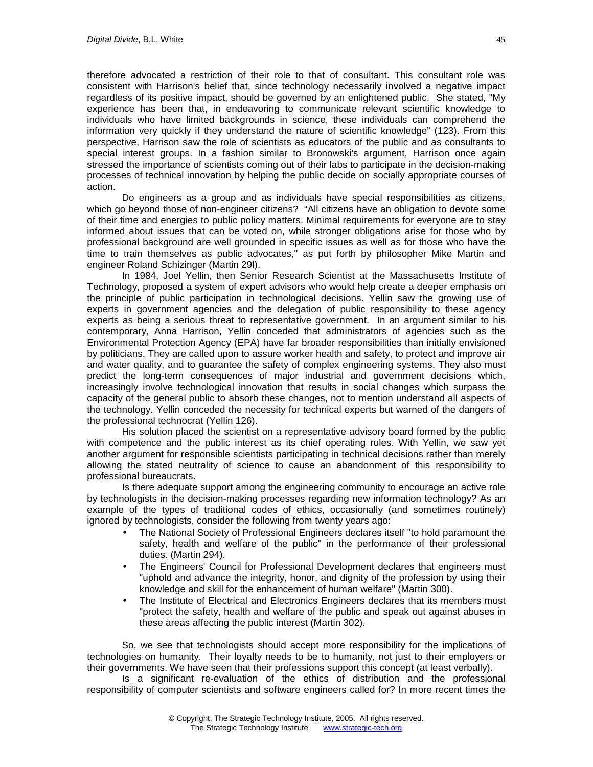therefore advocated a restriction of their role to that of consultant. This consultant role was consistent with Harrison's belief that, since technology necessarily involved a negative impact regardless of its positive impact, should be governed by an enlightened public. She stated, "My experience has been that, in endeavoring to communicate relevant scientific knowledge to individuals who have limited backgrounds in science, these individuals can comprehend the information very quickly if they understand the nature of scientific knowledge" (123). From this perspective, Harrison saw the role of scientists as educators of the public and as consultants to special interest groups. In a fashion similar to Bronowski's argument, Harrison once again stressed the importance of scientists coming out of their labs to participate in the decision-making processes of technical innovation by helping the public decide on socially appropriate courses of action.

Do engineers as a group and as individuals have special responsibilities as citizens, which go beyond those of non-engineer citizens? "All citizens have an obligation to devote some of their time and energies to public policy matters. Minimal requirements for everyone are to stay informed about issues that can be voted on, while stronger obligations arise for those who by professional background are well grounded in specific issues as well as for those who have the time to train themselves as public advocates," as put forth by philosopher Mike Martin and engineer Roland Schizinger (Martin 29l).

In 1984, Joel Yellin, then Senior Research Scientist at the Massachusetts Institute of Technology, proposed a system of expert advisors who would help create a deeper emphasis on the principle of public participation in technological decisions. Yellin saw the growing use of experts in government agencies and the delegation of public responsibility to these agency experts as being a serious threat to representative government. In an argument similar to his contemporary, Anna Harrison, Yellin conceded that administrators of agencies such as the Environmental Protection Agency (EPA) have far broader responsibilities than initially envisioned by politicians. They are called upon to assure worker health and safety, to protect and improve air and water quality, and to guarantee the safety of complex engineering systems. They also must predict the long-term consequences of major industrial and government decisions which, increasingly involve technological innovation that results in social changes which surpass the capacity of the general public to absorb these changes, not to mention understand all aspects of the technology. Yellin conceded the necessity for technical experts but warned of the dangers of the professional technocrat (Yellin 126).

His solution placed the scientist on a representative advisory board formed by the public with competence and the public interest as its chief operating rules. With Yellin, we saw yet another argument for responsible scientists participating in technical decisions rather than merely allowing the stated neutrality of science to cause an abandonment of this responsibility to professional bureaucrats.

Is there adequate support among the engineering community to encourage an active role by technologists in the decision-making processes regarding new information technology? As an example of the types of traditional codes of ethics, occasionally (and sometimes routinely) ignored by technologists, consider the following from twenty years ago:

- The National Society of Professional Engineers declares itself "to hold paramount the safety, health and welfare of the public" in the performance of their professional duties. (Martin 294).
- The Engineers' Council for Professional Development declares that engineers must "uphold and advance the integrity, honor, and dignity of the profession by using their knowledge and skill for the enhancement of human welfare" (Martin 300).
- The Institute of Electrical and Electronics Engineers declares that its members must "protect the safety, health and welfare of the public and speak out against abuses in these areas affecting the public interest (Martin 302).

So, we see that technologists should accept more responsibility for the implications of technologies on humanity. Their loyalty needs to be to humanity, not just to their employers or their governments. We have seen that their professions support this concept (at least verbally).

Is a significant re-evaluation of the ethics of distribution and the professional responsibility of computer scientists and software engineers called for? In more recent times the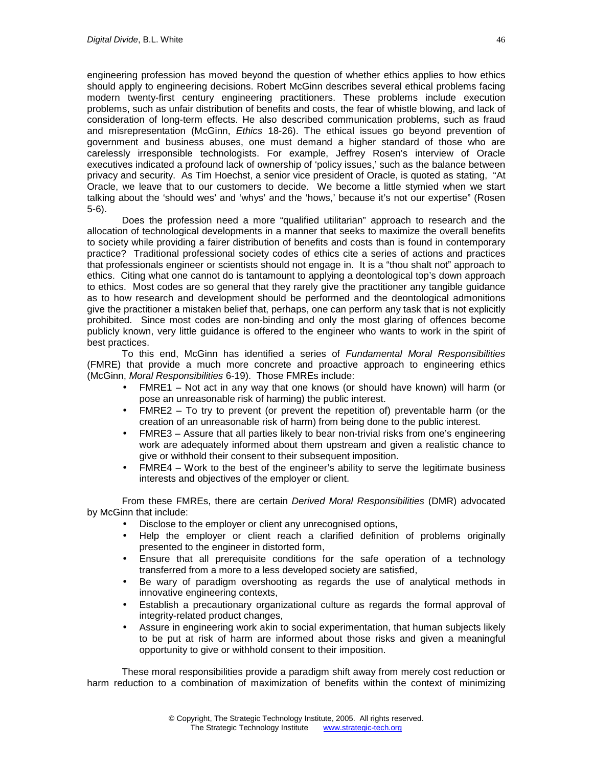engineering profession has moved beyond the question of whether ethics applies to how ethics should apply to engineering decisions. Robert McGinn describes several ethical problems facing modern twenty-first century engineering practitioners. These problems include execution problems, such as unfair distribution of benefits and costs, the fear of whistle blowing, and lack of consideration of long-term effects. He also described communication problems, such as fraud and misrepresentation (McGinn, *Ethics* 18-26). The ethical issues go beyond prevention of government and business abuses, one must demand a higher standard of those who are carelessly irresponsible technologists. For example, Jeffrey Rosen's interview of Oracle executives indicated a profound lack of ownership of 'policy issues,' such as the balance between privacy and security. As Tim Hoechst, a senior vice president of Oracle, is quoted as stating, "At Oracle, we leave that to our customers to decide. We become a little stymied when we start talking about the 'should wes' and 'whys' and the 'hows,' because it's not our expertise" (Rosen 5-6).

Does the profession need a more "qualified utilitarian" approach to research and the allocation of technological developments in a manner that seeks to maximize the overall benefits to society while providing a fairer distribution of benefits and costs than is found in contemporary practice? Traditional professional society codes of ethics cite a series of actions and practices that professionals engineer or scientists should not engage in. It is a "thou shalt not" approach to ethics. Citing what one cannot do is tantamount to applying a deontological top's down approach to ethics. Most codes are so general that they rarely give the practitioner any tangible guidance as to how research and development should be performed and the deontological admonitions give the practitioner a mistaken belief that, perhaps, one can perform any task that is not explicitly prohibited. Since most codes are non-binding and only the most glaring of offences become publicly known, very little guidance is offered to the engineer who wants to work in the spirit of best practices.

To this end, McGinn has identified a series of *Fundamental Moral Responsibilities* (FMRE) that provide a much more concrete and proactive approach to engineering ethics (McGinn, *Moral Responsibilities* 6-19). Those FMREs include:

- FMRE1 Not act in any way that one knows (or should have known) will harm (or pose an unreasonable risk of harming) the public interest.
- FMRE2 To try to prevent (or prevent the repetition of) preventable harm (or the creation of an unreasonable risk of harm) from being done to the public interest.
- FMRE3 Assure that all parties likely to bear non-trivial risks from one's engineering work are adequately informed about them upstream and given a realistic chance to give or withhold their consent to their subsequent imposition.
- FMRE4 Work to the best of the engineer's ability to serve the legitimate business interests and objectives of the employer or client.

From these FMREs, there are certain *Derived Moral Responsibilities* (DMR) advocated by McGinn that include:

- Disclose to the employer or client any unrecognised options,
- Help the employer or client reach a clarified definition of problems originally presented to the engineer in distorted form,
- Ensure that all prerequisite conditions for the safe operation of a technology transferred from a more to a less developed society are satisfied,
- Be wary of paradigm overshooting as regards the use of analytical methods in innovative engineering contexts,
- Establish a precautionary organizational culture as regards the formal approval of integrity-related product changes,
- Assure in engineering work akin to social experimentation, that human subjects likely to be put at risk of harm are informed about those risks and given a meaningful opportunity to give or withhold consent to their imposition.

These moral responsibilities provide a paradigm shift away from merely cost reduction or harm reduction to a combination of maximization of benefits within the context of minimizing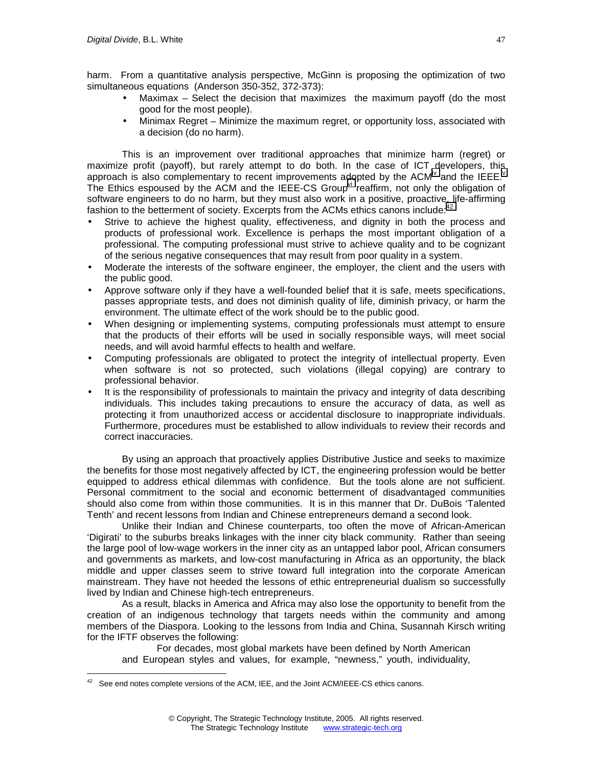harm. From a quantitative analysis perspective, McGinn is proposing the optimization of two simultaneous equations (Anderson 350-352, 372-373):

- Maximax Select the decision that maximizes the maximum payoff (do the most good for the most people).
- Minimax Regret Minimize the maximum regret, or opportunity loss, associated with a decision (do no harm).

This is an improvement over traditional approaches that minimize harm (regret) or maximize profit (payoff), but rarely attempt to do both. In the case of ICT developers, this approach is also complementary to recent improvements adopted by the ACM<sup>IV</sup> and the IEEE. The Ethics espoused by the ACM and the IEEE-CS Group<sup>vi</sup> reaffirm, not only the obligation of software engineers to do no harm, but they must also work in a positive, proactive, life-affirming fashion to the betterment of society. Excerpts from the ACMs ethics canons include: $^{42}$ 

- Strive to achieve the highest quality, effectiveness, and dignity in both the process and products of professional work. Excellence is perhaps the most important obligation of a professional. The computing professional must strive to achieve quality and to be cognizant of the serious negative consequences that may result from poor quality in a system.
- Moderate the interests of the software engineer, the employer, the client and the users with the public good.
- Approve software only if they have a well-founded belief that it is safe, meets specifications, passes appropriate tests, and does not diminish quality of life, diminish privacy, or harm the environment. The ultimate effect of the work should be to the public good.
- When designing or implementing systems, computing professionals must attempt to ensure that the products of their efforts will be used in socially responsible ways, will meet social needs, and will avoid harmful effects to health and welfare.
- Computing professionals are obligated to protect the integrity of intellectual property. Even when software is not so protected, such violations (illegal copying) are contrary to professional behavior.
- It is the responsibility of professionals to maintain the privacy and integrity of data describing individuals. This includes taking precautions to ensure the accuracy of data, as well as protecting it from unauthorized access or accidental disclosure to inappropriate individuals. Furthermore, procedures must be established to allow individuals to review their records and correct inaccuracies.

By using an approach that proactively applies Distributive Justice and seeks to maximize the benefits for those most negatively affected by ICT, the engineering profession would be better equipped to address ethical dilemmas with confidence. But the tools alone are not sufficient. Personal commitment to the social and economic betterment of disadvantaged communities should also come from within those communities. It is in this manner that Dr. DuBois 'Talented Tenth' and recent lessons from Indian and Chinese entrepreneurs demand a second look.

Unlike their Indian and Chinese counterparts, too often the move of African-American 'Digirati' to the suburbs breaks linkages with the inner city black community. Rather than seeing the large pool of low-wage workers in the inner city as an untapped labor pool, African consumers and governments as markets, and low-cost manufacturing in Africa as an opportunity, the black middle and upper classes seem to strive toward full integration into the corporate American mainstream. They have not heeded the lessons of ethic entrepreneurial dualism so successfully lived by Indian and Chinese high-tech entrepreneurs.

As a result, blacks in America and Africa may also lose the opportunity to benefit from the creation of an indigenous technology that targets needs within the community and among members of the Diaspora. Looking to the lessons from India and China, Susannah Kirsch writing for the IFTF observes the following:

For decades, most global markets have been defined by North American and European styles and values, for example, "newness," youth, individuality,

 $\overline{a}$ 

 $42$  See end notes complete versions of the ACM, IEE, and the Joint ACM/IEEE-CS ethics canons.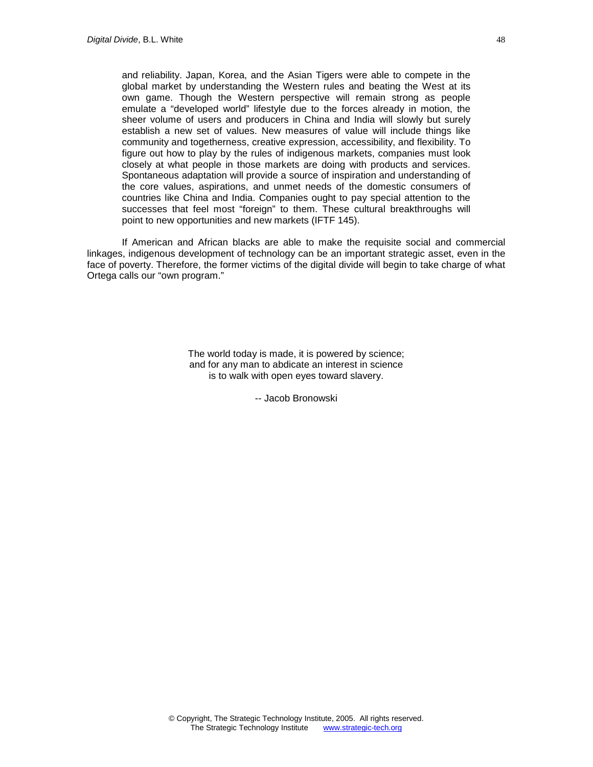and reliability. Japan, Korea, and the Asian Tigers were able to compete in the global market by understanding the Western rules and beating the West at its own game. Though the Western perspective will remain strong as people emulate a "developed world" lifestyle due to the forces already in motion, the sheer volume of users and producers in China and India will slowly but surely establish a new set of values. New measures of value will include things like community and togetherness, creative expression, accessibility, and flexibility. To figure out how to play by the rules of indigenous markets, companies must look closely at what people in those markets are doing with products and services. Spontaneous adaptation will provide a source of inspiration and understanding of the core values, aspirations, and unmet needs of the domestic consumers of countries like China and India. Companies ought to pay special attention to the successes that feel most "foreign" to them. These cultural breakthroughs will point to new opportunities and new markets (IFTF 145).

If American and African blacks are able to make the requisite social and commercial linkages, indigenous development of technology can be an important strategic asset, even in the face of poverty. Therefore, the former victims of the digital divide will begin to take charge of what Ortega calls our "own program."

> The world today is made, it is powered by science; and for any man to abdicate an interest in science is to walk with open eyes toward slavery.

> > -- Jacob Bronowski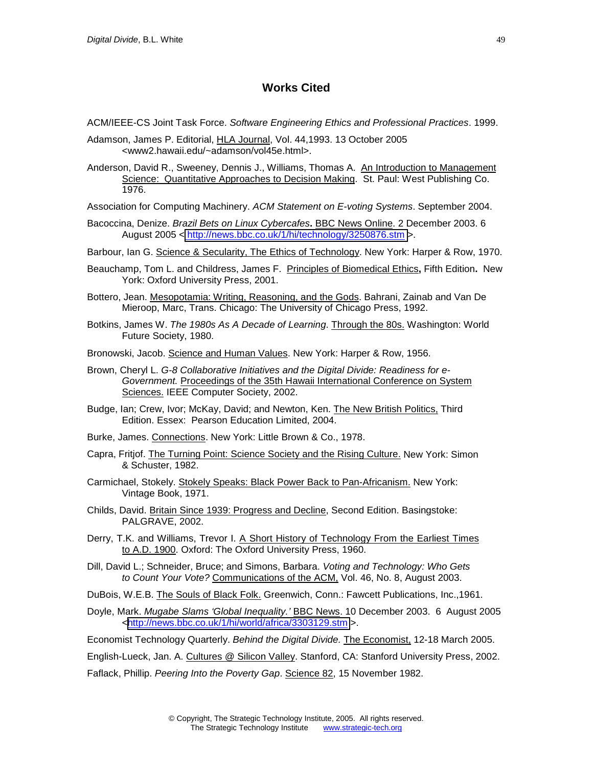# **Works Cited**

ACM/IEEE-CS Joint Task Force. *Software Engineering Ethics and Professional Practices*. 1999.

- Adamson, James P. Editorial, HLA Journal, Vol. 44,1993. 13 October 2005 <www2.hawaii.edu/~adamson/vol45e.html>.
- Anderson, David R., Sweeney, Dennis J., Williams, Thomas A. An Introduction to Management Science: Quantitative Approaches to Decision Making. St. Paul: West Publishing Co. 1976.

Association for Computing Machinery. *ACM Statement on E-voting Systems*. September 2004.

Bacoccina, Denize. *Brazil Bets on Linux Cybercafes***.** BBC News Online. 2 December 2003. 6 August 2005 < [http://news.bbc.co.uk/1/hi/technology/3250876.stm >](http://news.bbc.co.uk/1/hi/world/africa/3303129.stm).

Barbour, Ian G. Science & Secularity, The Ethics of Technology. New York: Harper & Row, 1970.

- Beauchamp, Tom L. and Childress, James F. Principles of Biomedical Ethics**,** Fifth Edition**.** New York: Oxford University Press, 2001.
- Bottero, Jean. Mesopotamia: Writing, Reasoning, and the Gods. Bahrani, Zainab and Van De Mieroop, Marc, Trans. Chicago: The University of Chicago Press, 1992.
- Botkins, James W. *The 1980s As A Decade of Learning*. Through the 80s. Washington: World Future Society, 1980.
- Bronowski, Jacob. Science and Human Values. New York: Harper & Row, 1956.
- Brown, Cheryl L. *G-8 Collaborative Initiatives and the Digital Divide: Readiness for e-Government.* Proceedings of the 35th Hawaii International Conference on System Sciences. IEEE Computer Society, 2002.
- Budge, Ian; Crew, Ivor; McKay, David; and Newton, Ken. The New British Politics, Third Edition. Essex: Pearson Education Limited, 2004.
- Burke, James. Connections. New York: Little Brown & Co., 1978.
- Capra, Fritjof. The Turning Point: Science Society and the Rising Culture. New York: Simon & Schuster, 1982.
- Carmichael, Stokely. Stokely Speaks: Black Power Back to Pan-Africanism. New York: Vintage Book, 1971.
- Childs, David. Britain Since 1939: Progress and Decline, Second Edition. Basingstoke: PALGRAVE, 2002.
- Derry, T.K. and Williams, Trevor I. A Short History of Technology From the Earliest Times to A.D. 1900. Oxford: The Oxford University Press, 1960.
- Dill, David L.; Schneider, Bruce; and Simons, Barbara. *Voting and Technology: Who Gets to Count Your Vote?* Communications of the ACM, Vol. 46, No. 8, August 2003.

DuBois, W.E.B. The Souls of Black Folk. Greenwich, Conn.: Fawcett Publications, Inc.,1961.

- Doyle, Mark. *Mugabe Slams 'Global Inequality.'* BBC News. 10 December 2003. 6 August 2005 <<http://news.bbc.co.uk/1/hi/world/africa/3303129.stm>>.
- Economist Technology Quarterly. *Behind the Digital Divide.* The Economist, 12-18 March 2005.

English-Lueck, Jan. A. Cultures @ Silicon Valley. Stanford, CA: Stanford University Press, 2002.

Faflack, Phillip. *Peering Into the Poverty Gap*. Science 82, 15 November 1982.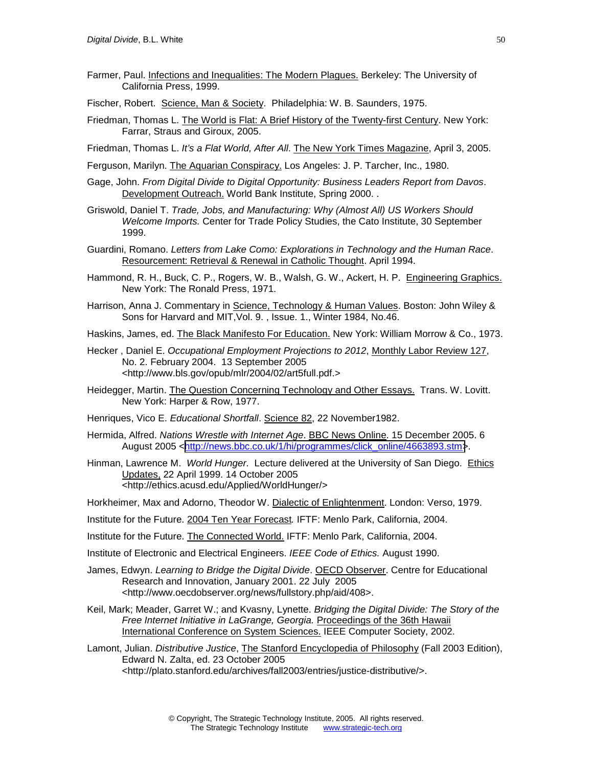- Farmer, Paul. Infections and Inequalities: The Modern Plagues. Berkeley: The University of California Press, 1999.
- Fischer, Robert. Science, Man & Society. Philadelphia: W. B. Saunders, 1975.
- Friedman, Thomas L. The World is Flat: A Brief History of the Twenty-first Century. New York: Farrar, Straus and Giroux, 2005.

Friedman, Thomas L. *It's a Flat World, After All*. The New York Times Magazine, April 3, 2005.

- Ferguson, Marilyn. The Aquarian Conspiracy. Los Angeles: J. P. Tarcher, Inc., 1980.
- Gage, John. *From Digital Divide to Digital Opportunity: Business Leaders Report from Davos*. Development Outreach. World Bank Institute, Spring 2000. .
- Griswold, Daniel T. *Trade, Jobs, and Manufacturing: Why (Almost All) US Workers Should Welcome Imports.* Center for Trade Policy Studies, the Cato Institute, 30 September 1999.
- Guardini, Romano. *Letters from Lake Como: Explorations in Technology and the Human Race*. Resourcement: Retrieval & Renewal in Catholic Thought. April 1994.
- Hammond, R. H., Buck, C. P., Rogers, W. B., Walsh, G. W., Ackert, H. P. Engineering Graphics. New York: The Ronald Press, 1971.
- Harrison, Anna J. Commentary in Science, Technology & Human Values. Boston: John Wiley & Sons for Harvard and MIT,Vol. 9. , Issue. 1., Winter 1984, No.46.
- Haskins, James, ed. The Black Manifesto For Education. New York: William Morrow & Co., 1973.
- Hecker , Daniel E. *Occupational Employment Projections to 2012*, Monthly Labor Review 127, No. 2. February 2004. 13 September 2005 <http://www.bls.gov/opub/mlr/2004/02/art5full.pdf.>
- Heidegger, Martin. The Question Concerning Technology and Other Essays. Trans. W. Lovitt. New York: Harper & Row, 1977.
- Henriques, Vico E. *Educational Shortfall*. Science 82, 22 November1982.
- Hermida, Alfred. *Nations Wrestle with Internet Age*. BBC News Online. 15 December 2005. 6 August 2005 <[http://news.bbc.co.uk/1/hi/programmes/click\\_online/4663893.stm>](http://news.bbc.co.uk/1/hi/programmes/click_online/4663893.stm).
- Hinman, Lawrence M. *World Hunger.* Lecture delivered at the University of San Diego. Ethics Updates, 22 April 1999. 14 October 2005 <http://ethics.acusd.edu/Applied/WorldHunger/>

Horkheimer, Max and Adorno, Theodor W. Dialectic of Enlightenment. London: Verso, 1979.

- Institute for the Future. 2004 Ten Year Forecast*.* IFTF: Menlo Park, California, 2004.
- Institute for the Future. The Connected World. IFTF: Menlo Park, California, 2004.
- Institute of Electronic and Electrical Engineers. *IEEE Code of Ethics.* August 1990.
- James, Edwyn. *Learning to Bridge the Digital Divide*. OECD Observer. Centre for Educational Research and Innovation, January 2001. 22 July 2005 <http://www.oecdobserver.org/news/fullstory.php/aid/408>.
- Keil, Mark; Meader, Garret W.; and Kvasny, Lynette. *Bridging the Digital Divide: The Story of the Free Internet Initiative in LaGrange, Georgia.* Proceedings of the 36th Hawaii International Conference on System Sciences. IEEE Computer Society, 2002.
- Lamont, Julian. *Distributive Justice*, The Stanford Encyclopedia of Philosophy (Fall 2003 Edition), Edward N. Zalta, ed. 23 October 2005 <http://plato.stanford.edu/archives/fall2003/entries/justice-distributive/>.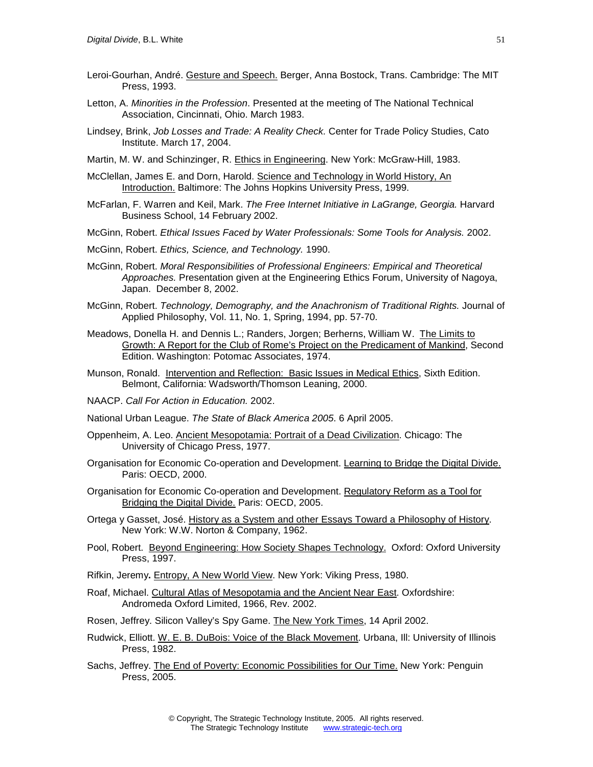- Leroi-Gourhan, André. Gesture and Speech. Berger, Anna Bostock, Trans. Cambridge: The MIT Press, 1993.
- Letton, A. *Minorities in the Profession*. Presented at the meeting of The National Technical Association, Cincinnati, Ohio. March 1983.
- Lindsey, Brink, *Job Losses and Trade: A Reality Check.* Center for Trade Policy Studies, Cato Institute. March 17, 2004.
- Martin, M. W. and Schinzinger, R. Ethics in Engineering. New York: McGraw-Hill, 1983.
- McClellan, James E. and Dorn, Harold. Science and Technology in World History, An Introduction. Baltimore: The Johns Hopkins University Press, 1999.
- McFarlan, F. Warren and Keil, Mark. *The Free Internet Initiative in LaGrange, Georgia.* Harvard Business School, 14 February 2002.
- McGinn, Robert. *Ethical Issues Faced by Water Professionals: Some Tools for Analysis.* 2002.
- McGinn, Robert. *Ethics, Science, and Technology.* 1990.
- McGinn, Robert. *Moral Responsibilities of Professional Engineers: Empirical and Theoretical Approaches.* Presentation given at the Engineering Ethics Forum, University of Nagoya, Japan. December 8, 2002.
- McGinn, Robert. *Technology, Demography, and the Anachronism of Traditional Rights.* Journal of Applied Philosophy, Vol. 11, No. 1, Spring, 1994, pp. 57-70.
- Meadows, Donella H. and Dennis L.; Randers, Jorgen; Berherns, William W. The Limits to Growth: A Report for the Club of Rome's Project on the Predicament of Mankind, Second Edition. Washington: Potomac Associates, 1974.
- Munson, Ronald. Intervention and Reflection: Basic Issues in Medical Ethics, Sixth Edition. Belmont, California: Wadsworth/Thomson Leaning, 2000.
- NAACP. *Call For Action in Education.* 2002.
- National Urban League. *The State of Black America 2005*. 6 April 2005.
- Oppenheim, A. Leo. Ancient Mesopotamia: Portrait of a Dead Civilization. Chicago: The University of Chicago Press, 1977.
- Organisation for Economic Co-operation and Development. Learning to Bridge the Digital Divide. Paris: OECD, 2000.
- Organisation for Economic Co-operation and Development. Regulatory Reform as a Tool for Bridging the Digital Divide. Paris: OECD, 2005.
- Ortega y Gasset, José. History as a System and other Essays Toward a Philosophy of History. New York: W.W. Norton & Company, 1962.
- Pool, Robert. Beyond Engineering: How Society Shapes Technology. Oxford: Oxford University Press, 1997.
- Rifkin, Jeremy**.** Entropy, A New World View. New York: Viking Press, 1980.
- Roaf, Michael. Cultural Atlas of Mesopotamia and the Ancient Near East. Oxfordshire: Andromeda Oxford Limited, 1966, Rev. 2002.
- Rosen, Jeffrey. Silicon Valley's Spy Game. The New York Times, 14 April 2002.
- Rudwick, Elliott. W. E. B. DuBois: Voice of the Black Movement. Urbana, Ill: University of Illinois Press, 1982.
- Sachs, Jeffrey. The End of Poverty: Economic Possibilities for Our Time. New York: Penguin Press, 2005.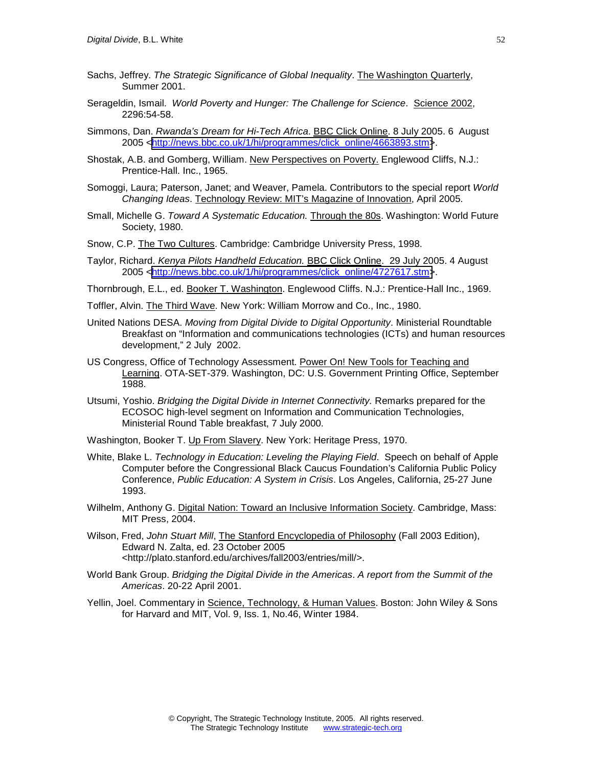- Sachs, Jeffrey. *The Strategic Significance of Global Inequality*. The Washington Quarterly, Summer 2001.
- Serageldin, Ismail. *World Poverty and Hunger: The Challenge for Science*. Science 2002, 2296:54-58.
- Simmons, Dan. *Rwanda's Dream for Hi-Tech Africa*. BBC Click Online. 8 July 2005. 6 August 2005 <[http://news.bbc.co.uk/1/hi/programmes/click\\_online/4663893.stm>](http://news.bbc.co.uk/1/hi/programmes/click_online/4663893.stm).
- Shostak, A.B. and Gomberg, William. New Perspectives on Poverty. Englewood Cliffs, N.J.: Prentice-Hall. Inc., 1965.
- Somoggi, Laura; Paterson, Janet; and Weaver, Pamela. Contributors to the special report *World Changing Ideas*. Technology Review: MIT's Magazine of Innovation, April 2005.
- Small, Michelle G. *Toward A Systematic Education.* Through the 80s. Washington: World Future Society, 1980.
- Snow, C.P. The Two Cultures. Cambridge: Cambridge University Press, 1998.
- Taylor, Richard. *Kenya Pilots Handheld Education.* BBC Click Online. 29 July 2005. 4 August 2005 <[http://news.bbc.co.uk/1/hi/programmes/click\\_online/4727617.stm>](http://news.bbc.co.uk/1/hi/programmes/click_online/4727617.stm).
- Thornbrough, E.L., ed. Booker T. Washington. Englewood Cliffs. N.J.: Prentice-Hall Inc., 1969.
- Toffler, Alvin. The Third Wave. New York: William Morrow and Co., Inc., 1980.
- United Nations DESA. *Moving from Digital Divide to Digital Opportunity*. Ministerial Roundtable Breakfast on "Information and communications technologies (ICTs) and human resources development," 2 July 2002.
- US Congress, Office of Technology Assessment. Power On! New Tools for Teaching and Learning. OTA-SET-379. Washington, DC: U.S. Government Printing Office, September 1988.
- Utsumi, Yoshio. *Bridging the Digital Divide in Internet Connectivity.* Remarks prepared for the ECOSOC high-level segment on Information and Communication Technologies, Ministerial Round Table breakfast, 7 July 2000.
- Washington, Booker T. Up From Slavery. New York: Heritage Press, 1970.
- White, Blake L. *Technology in Education: Leveling the Playing Field*. Speech on behalf of Apple Computer before the Congressional Black Caucus Foundation's California Public Policy Conference, *Public Education: A System in Crisis*. Los Angeles, California, 25-27 June 1993.
- Wilhelm, Anthony G. Digital Nation: Toward an Inclusive Information Society. Cambridge, Mass: MIT Press, 2004.
- Wilson, Fred, *John Stuart Mill*, The Stanford Encyclopedia of Philosophy (Fall 2003 Edition), Edward N. Zalta, ed. 23 October 2005 <http://plato.stanford.edu/archives/fall2003/entries/mill/>.
- World Bank Group. *Bridging the Digital Divide in the Americas*. *A report from the Summit of the Americas*. 20-22 April 2001.
- Yellin, Joel. Commentary in Science, Technology, & Human Values. Boston: John Wiley & Sons for Harvard and MIT, Vol. 9, Iss. 1, No.46, Winter 1984.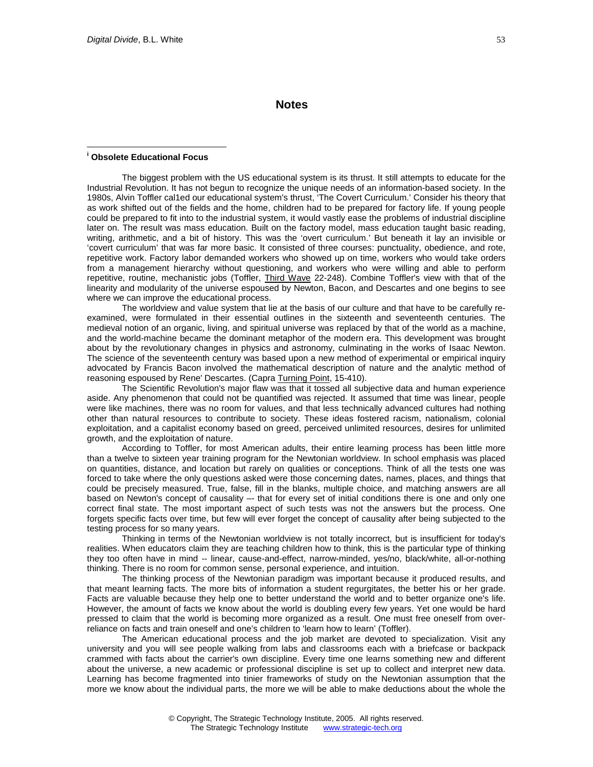### **Notes**

# **i Obsolete Educational Focus**

 $\overline{a}$ 

The biggest problem with the US educational system is its thrust. It still attempts to educate for the Industrial Revolution. It has not begun to recognize the unique needs of an information-based society. In the 1980s, Alvin Toffler cal1ed our educational system's thrust, 'The Covert Curriculum.' Consider his theory that as work shifted out of the fields and the home, children had to be prepared for factory life. If young people could be prepared to fit into to the industrial system, it would vastly ease the problems of industrial discipline later on. The result was mass education. Built on the factory model, mass education taught basic reading, writing, arithmetic, and a bit of history. This was the 'overt curriculum.' But beneath it lay an invisible or 'covert curriculum' that was far more basic. It consisted of three courses: punctuality, obedience, and rote, repetitive work. Factory labor demanded workers who showed up on time, workers who would take orders from a management hierarchy without questioning, and workers who were willing and able to perform repetitive, routine, mechanistic jobs (Toffler, Third Wave 22-248). Combine Toffler's view with that of the linearity and modularity of the universe espoused by Newton, Bacon, and Descartes and one begins to see where we can improve the educational process.

The worldview and value system that lie at the basis of our culture and that have to be carefully reexamined, were formulated in their essential outlines in the sixteenth and seventeenth centuries. The medieval notion of an organic, living, and spiritual universe was replaced by that of the world as a machine, and the world-machine became the dominant metaphor of the modern era. This development was brought about by the revolutionary changes in physics and astronomy, culminating in the works of Isaac Newton. The science of the seventeenth century was based upon a new method of experimental or empirical inquiry advocated by Francis Bacon involved the mathematical description of nature and the analytic method of reasoning espoused by Rene' Descartes. (Capra Turning Point, 15-410).

The Scientific Revolution's major flaw was that it tossed all subjective data and human experience aside. Any phenomenon that could not be quantified was rejected. It assumed that time was linear, people were like machines, there was no room for values, and that less technically advanced cultures had nothing other than natural resources to contribute to society. These ideas fostered racism, nationalism, colonial exploitation, and a capitalist economy based on greed, perceived unlimited resources, desires for unlimited growth, and the exploitation of nature.

According to Toffler, for most American adults, their entire learning process has been little more than a twelve to sixteen year training program for the Newtonian worldview. In school emphasis was placed on quantities, distance, and location but rarely on qualities or conceptions. Think of all the tests one was forced to take where the only questions asked were those concerning dates, names, places, and things that could be precisely measured. True, false, fill in the blanks, multiple choice, and matching answers are all based on Newton's concept of causality –- that for every set of initial conditions there is one and only one correct final state. The most important aspect of such tests was not the answers but the process. One forgets specific facts over time, but few will ever forget the concept of causality after being subjected to the testing process for so many years.

Thinking in terms of the Newtonian worldview is not totally incorrect, but is insufficient for today's realities. When educators claim they are teaching children how to think, this is the particular type of thinking they too often have in mind -- linear, cause-and-effect, narrow-minded, yes/no, black/white, all-or-nothing thinking. There is no room for common sense, personal experience, and intuition.

The thinking process of the Newtonian paradigm was important because it produced results, and that meant learning facts. The more bits of information a student regurgitates, the better his or her grade. Facts are valuable because they help one to better understand the world and to better organize one's life. However, the amount of facts we know about the world is doubling every few years. Yet one would be hard pressed to claim that the world is becoming more organized as a result. One must free oneself from overreliance on facts and train oneself and one's children to 'learn how to learn' (Toffler).

The American educational process and the job market are devoted to specialization. Visit any university and you will see people walking from labs and classrooms each with a briefcase or backpack crammed with facts about the carrier's own discipline. Every time one learns something new and different about the universe, a new academic or professional discipline is set up to collect and interpret new data. Learning has become fragmented into tinier frameworks of study on the Newtonian assumption that the more we know about the individual parts, the more we will be able to make deductions about the whole the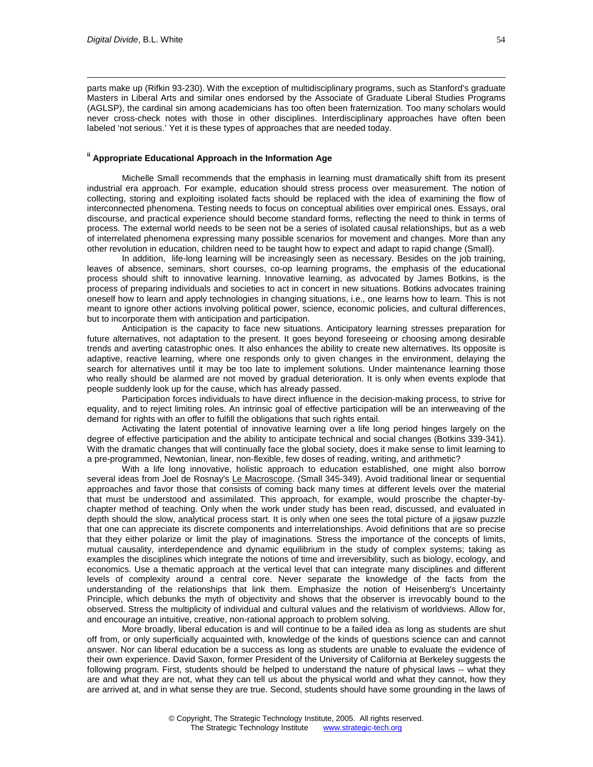parts make up (Rifkin 93-230). With the exception of multidisciplinary programs, such as Stanford's graduate Masters in Liberal Arts and similar ones endorsed by the Associate of Graduate Liberal Studies Programs (AGLSP), the cardinal sin among academicians has too often been fraternization. Too many scholars would never cross-check notes with those in other disciplines. Interdisciplinary approaches have often been labeled 'not serious.' Yet it is these types of approaches that are needed today.

# **ii Appropriate Educational Approach in the Information Age**

Michelle Small recommends that the emphasis in learning must dramatically shift from its present industrial era approach. For example, education should stress process over measurement. The notion of collecting, storing and exploiting isolated facts should be replaced with the idea of examining the flow of interconnected phenomena. Testing needs to focus on conceptual abilities over empirical ones. Essays, oral discourse, and practical experience should become standard forms, reflecting the need to think in terms of process. The external world needs to be seen not be a series of isolated causal relationships, but as a web of interrelated phenomena expressing many possible scenarios for movement and changes. More than any other revolution in education, children need to be taught how to expect and adapt to rapid change (Small).

In addition, life-long learning will be increasingly seen as necessary. Besides on the job training, leaves of absence, seminars, short courses, co-op learning programs, the emphasis of the educational process should shift to innovative learning. Innovative learning, as advocated by James Botkins, is the process of preparing individuals and societies to act in concert in new situations. Botkins advocates training oneself how to learn and apply technologies in changing situations, i.e., one learns how to learn. This is not meant to ignore other actions involving political power, science, economic policies, and cultural differences, but to incorporate them with anticipation and participation.

Anticipation is the capacity to face new situations. Anticipatory learning stresses preparation for future alternatives, not adaptation to the present. It goes beyond foreseeing or choosing among desirable trends and averting catastrophic ones. It also enhances the ability to create new alternatives. Its opposite is adaptive, reactive learning, where one responds only to given changes in the environment, delaying the search for alternatives until it may be too late to implement solutions. Under maintenance learning those who really should be alarmed are not moved by gradual deterioration. It is only when events explode that people suddenly look up for the cause, which has already passed.

Participation forces individuals to have direct influence in the decision-making process, to strive for equality, and to reject limiting roles. An intrinsic goal of effective participation will be an interweaving of the demand for rights with an offer to fulfill the obligations that such rights entail.

Activating the latent potential of innovative learning over a life long period hinges largely on the degree of effective participation and the ability to anticipate technical and social changes (Botkins 339-341). With the dramatic changes that will continually face the global society, does it make sense to limit learning to a pre-programmed, Newtonian, linear, non-flexible, few doses of reading, writing, and arithmetic?

With a life long innovative, holistic approach to education established, one might also borrow several ideas from Joel de Rosnay's Le Macroscope. (Small 345-349). Avoid traditional linear or sequential approaches and favor those that consists of coming back many times at different levels over the material that must be understood and assimilated. This approach, for example, would proscribe the chapter-bychapter method of teaching. Only when the work under study has been read, discussed, and evaluated in depth should the slow, analytical process start. It is only when one sees the total picture of a jigsaw puzzle that one can appreciate its discrete components and interrelationships. Avoid definitions that are so precise that they either polarize or limit the play of imaginations. Stress the importance of the concepts of limits, mutual causality, interdependence and dynamic equilibrium in the study of complex systems; taking as examples the disciplines which integrate the notions of time and irreversibility, such as biology, ecology, and economics. Use a thematic approach at the vertical level that can integrate many disciplines and different levels of complexity around a central core. Never separate the knowledge of the facts from the understanding of the relationships that link them. Emphasize the notion of Heisenberg's Uncertainty Principle, which debunks the myth of objectivity and shows that the observer is irrevocably bound to the observed. Stress the multiplicity of individual and cultural values and the relativism of worldviews. Allow for, and encourage an intuitive, creative, non-rational approach to problem solving.

More broadly, liberal education is and will continue to be a failed idea as long as students are shut off from, or only superficially acquainted with, knowledge of the kinds of questions science can and cannot answer. Nor can liberal education be a success as long as students are unable to evaluate the evidence of their own experience. David Saxon, former President of the University of California at Berkeley suggests the following program. First, students should be helped to understand the nature of physical laws -- what they are and what they are not, what they can tell us about the physical world and what they cannot, how they are arrived at, and in what sense they are true. Second, students should have some grounding in the laws of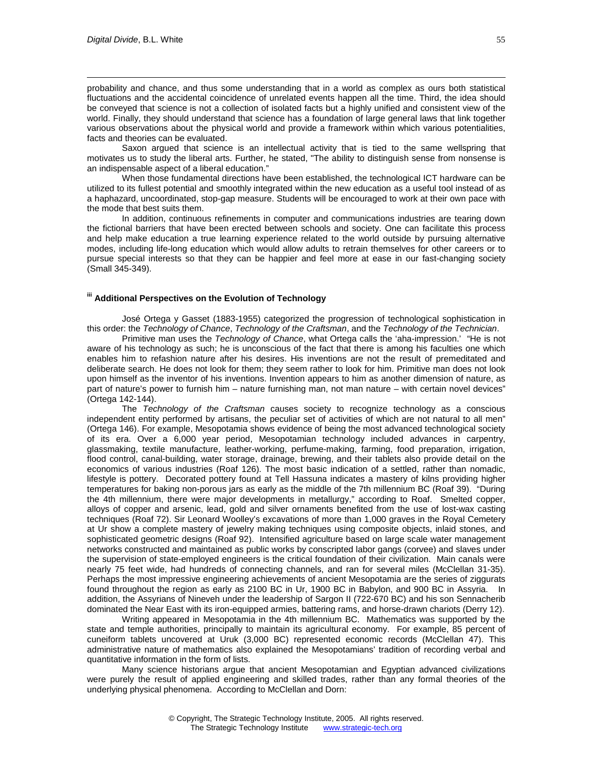probability and chance, and thus some understanding that in a world as complex as ours both statistical fluctuations and the accidental coincidence of unrelated events happen all the time. Third, the idea should be conveyed that science is not a collection of isolated facts but a highly unified and consistent view of the world. Finally, they should understand that science has a foundation of large general laws that link together various observations about the physical world and provide a framework within which various potentialities, facts and theories can be evaluated.

Saxon argued that science is an intellectual activity that is tied to the same wellspring that motivates us to study the liberal arts. Further, he stated, "The ability to distinguish sense from nonsense is an indispensable aspect of a liberal education."

When those fundamental directions have been established, the technological ICT hardware can be utilized to its fullest potential and smoothly integrated within the new education as a useful tool instead of as a haphazard, uncoordinated, stop-gap measure. Students will be encouraged to work at their own pace with the mode that best suits them.

In addition, continuous refinements in computer and communications industries are tearing down the fictional barriers that have been erected between schools and society. One can facilitate this process and help make education a true learning experience related to the world outside by pursuing alternative modes, including life-long education which would allow adults to retrain themselves for other careers or to pursue special interests so that they can be happier and feel more at ease in our fast-changing society (Small 345-349).

# **iii Additional Perspectives on the Evolution of Technology**

José Ortega y Gasset (1883-1955) categorized the progression of technological sophistication in this order: the *Technology of Chance*, *Technology of the Craftsman*, and the *Technology of the Technician*.

Primitive man uses the *Technology of Chance*, what Ortega calls the 'aha-impression.' "He is not aware of his technology as such; he is unconscious of the fact that there is among his faculties one which enables him to refashion nature after his desires. His inventions are not the result of premeditated and deliberate search. He does not look for them; they seem rather to look for him. Primitive man does not look upon himself as the inventor of his inventions. Invention appears to him as another dimension of nature, as part of nature's power to furnish him – nature furnishing man, not man nature – with certain novel devices" (Ortega 142-144).

The *Technology of the Craftsman* causes society to recognize technology as a conscious independent entity performed by artisans, the peculiar set of activities of which are not natural to all men" (Ortega 146). For example, Mesopotamia shows evidence of being the most advanced technological society of its era. Over a 6,000 year period, Mesopotamian technology included advances in carpentry, glassmaking, textile manufacture, leather-working, perfume-making, farming, food preparation, irrigation, flood control, canal-building, water storage, drainage, brewing, and their tablets also provide detail on the economics of various industries (Roaf 126). The most basic indication of a settled, rather than nomadic, lifestyle is pottery. Decorated pottery found at Tell Hassuna indicates a mastery of kilns providing higher temperatures for baking non-porous jars as early as the middle of the 7th millennium BC (Roaf 39). "During the 4th millennium, there were major developments in metallurgy," according to Roaf. Smelted copper, alloys of copper and arsenic, lead, gold and silver ornaments benefited from the use of lost-wax casting techniques (Roaf 72). Sir Leonard Woolley's excavations of more than 1,000 graves in the Royal Cemetery at Ur show a complete mastery of jewelry making techniques using composite objects, inlaid stones, and sophisticated geometric designs (Roaf 92). Intensified agriculture based on large scale water management networks constructed and maintained as public works by conscripted labor gangs (corvee) and slaves under the supervision of state-employed engineers is the critical foundation of their civilization. Main canals were nearly 75 feet wide, had hundreds of connecting channels, and ran for several miles (McClellan 31-35). Perhaps the most impressive engineering achievements of ancient Mesopotamia are the series of ziggurats found throughout the region as early as 2100 BC in Ur, 1900 BC in Babylon, and 900 BC in Assyria. In addition, the Assyrians of Nineveh under the leadership of Sargon II (722-670 BC) and his son Sennacherib dominated the Near East with its iron-equipped armies, battering rams, and horse-drawn chariots (Derry 12).

Writing appeared in Mesopotamia in the 4th millennium BC. Mathematics was supported by the state and temple authorities, principally to maintain its agricultural economy. For example, 85 percent of cuneiform tablets uncovered at Uruk (3,000 BC) represented economic records (McClellan 47). This administrative nature of mathematics also explained the Mesopotamians' tradition of recording verbal and quantitative information in the form of lists.

Many science historians argue that ancient Mesopotamian and Egyptian advanced civilizations were purely the result of applied engineering and skilled trades, rather than any formal theories of the underlying physical phenomena. According to McClellan and Dorn: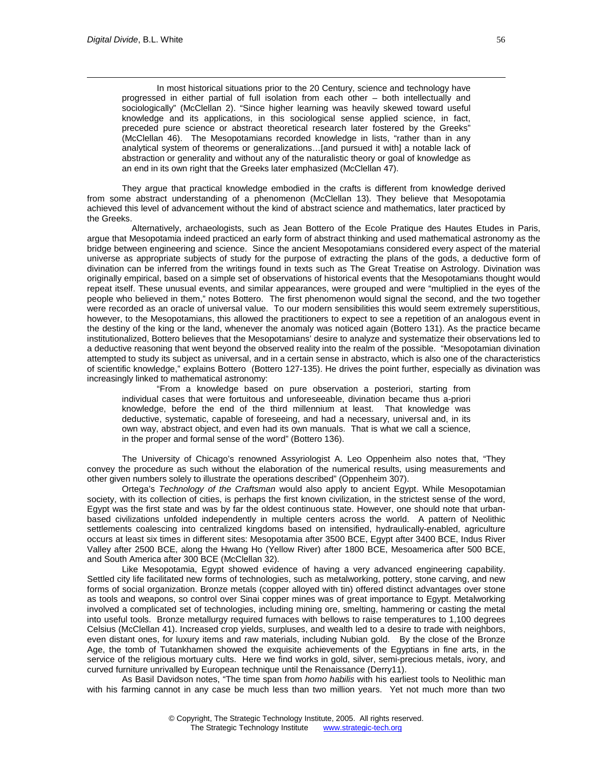In most historical situations prior to the 20 Century, science and technology have progressed in either partial of full isolation from each other – both intellectually and sociologically" (McClellan 2). "Since higher learning was heavily skewed toward useful knowledge and its applications, in this sociological sense applied science, in fact, preceded pure science or abstract theoretical research later fostered by the Greeks" (McClellan 46). The Mesopotamians recorded knowledge in lists, "rather than in any analytical system of theorems or generalizations…[and pursued it with] a notable lack of abstraction or generality and without any of the naturalistic theory or goal of knowledge as an end in its own right that the Greeks later emphasized (McClellan 47).

They argue that practical knowledge embodied in the crafts is different from knowledge derived from some abstract understanding of a phenomenon (McClellan 13). They believe that Mesopotamia achieved this level of advancement without the kind of abstract science and mathematics, later practiced by the Greeks.

 Alternatively, archaeologists, such as Jean Bottero of the Ecole Pratique des Hautes Etudes in Paris, argue that Mesopotamia indeed practiced an early form of abstract thinking and used mathematical astronomy as the bridge between engineering and science. Since the ancient Mesopotamians considered every aspect of the material universe as appropriate subjects of study for the purpose of extracting the plans of the gods, a deductive form of divination can be inferred from the writings found in texts such as The Great Treatise on Astrology. Divination was originally empirical, based on a simple set of observations of historical events that the Mesopotamians thought would repeat itself. These unusual events, and similar appearances, were grouped and were "multiplied in the eyes of the people who believed in them," notes Bottero. The first phenomenon would signal the second, and the two together were recorded as an oracle of universal value. To our modern sensibilities this would seem extremely superstitious, however, to the Mesopotamians, this allowed the practitioners to expect to see a repetition of an analogous event in the destiny of the king or the land, whenever the anomaly was noticed again (Bottero 131). As the practice became institutionalized, Bottero believes that the Mesopotamians' desire to analyze and systematize their observations led to a deductive reasoning that went beyond the observed reality into the realm of the possible. "Mesopotamian divination attempted to study its subject as universal, and in a certain sense in abstracto, which is also one of the characteristics of scientific knowledge," explains Bottero (Bottero 127-135). He drives the point further, especially as divination was increasingly linked to mathematical astronomy:

"From a knowledge based on pure observation a posteriori, starting from individual cases that were fortuitous and unforeseeable, divination became thus a-priori knowledge, before the end of the third millennium at least. That knowledge was deductive, systematic, capable of foreseeing, and had a necessary, universal and, in its own way, abstract object, and even had its own manuals. That is what we call a science, in the proper and formal sense of the word" (Bottero 136).

The University of Chicago's renowned Assyriologist A. Leo Oppenheim also notes that, "They convey the procedure as such without the elaboration of the numerical results, using measurements and other given numbers solely to illustrate the operations described" (Oppenheim 307).

Ortega's *Technology of the Craftsman* would also apply to ancient Egypt. While Mesopotamian society, with its collection of cities, is perhaps the first known civilization, in the strictest sense of the word, Egypt was the first state and was by far the oldest continuous state. However, one should note that urbanbased civilizations unfolded independently in multiple centers across the world. A pattern of Neolithic settlements coalescing into centralized kingdoms based on intensified, hydraulically-enabled, agriculture occurs at least six times in different sites: Mesopotamia after 3500 BCE, Egypt after 3400 BCE, Indus River Valley after 2500 BCE, along the Hwang Ho (Yellow River) after 1800 BCE, Mesoamerica after 500 BCE, and South America after 300 BCE (McClellan 32).

Like Mesopotamia, Egypt showed evidence of having a very advanced engineering capability. Settled city life facilitated new forms of technologies, such as metalworking, pottery, stone carving, and new forms of social organization. Bronze metals (copper alloyed with tin) offered distinct advantages over stone as tools and weapons, so control over Sinai copper mines was of great importance to Egypt. Metalworking involved a complicated set of technologies, including mining ore, smelting, hammering or casting the metal into useful tools. Bronze metallurgy required furnaces with bellows to raise temperatures to 1,100 degrees Celsius (McClellan 41). Increased crop yields, surpluses, and wealth led to a desire to trade with neighbors, even distant ones, for luxury items and raw materials, including Nubian gold. By the close of the Bronze Age, the tomb of Tutankhamen showed the exquisite achievements of the Egyptians in fine arts, in the service of the religious mortuary cults. Here we find works in gold, silver, semi-precious metals, ivory, and curved furniture unrivalled by European technique until the Renaissance (Derry11).

As Basil Davidson notes, "The time span from *homo habilis* with his earliest tools to Neolithic man with his farming cannot in any case be much less than two million years. Yet not much more than two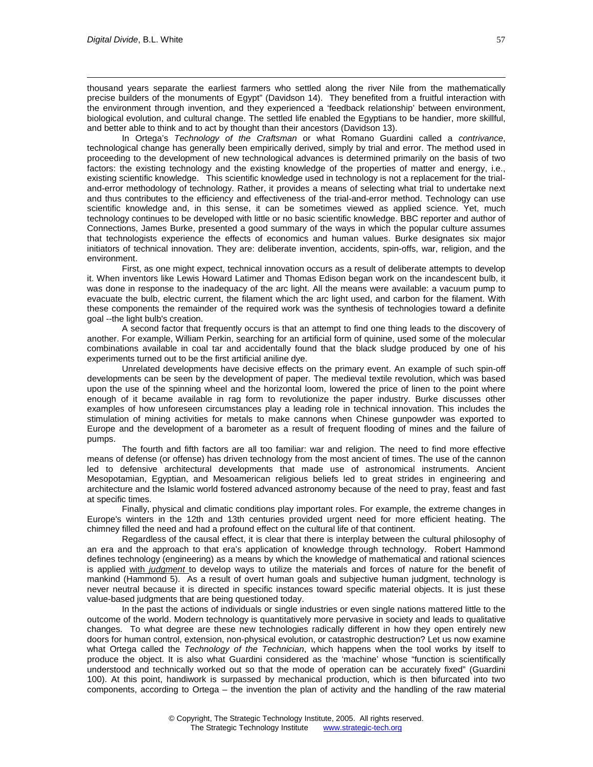thousand years separate the earliest farmers who settled along the river Nile from the mathematically precise builders of the monuments of Egypt" (Davidson 14). They benefited from a fruitful interaction with the environment through invention, and they experienced a 'feedback relationship' between environment, biological evolution, and cultural change. The settled life enabled the Egyptians to be handier, more skillful, and better able to think and to act by thought than their ancestors (Davidson 13).

In Ortega's *Technology of the Craftsman* or what Romano Guardini called a *contrivance*, technological change has generally been empirically derived, simply by trial and error. The method used in proceeding to the development of new technological advances is determined primarily on the basis of two factors: the existing technology and the existing knowledge of the properties of matter and energy, i.e., existing scientific knowledge. This scientific knowledge used in technology is not a replacement for the trialand-error methodology of technology. Rather, it provides a means of selecting what trial to undertake next and thus contributes to the efficiency and effectiveness of the trial-and-error method. Technology can use scientific knowledge and, in this sense, it can be sometimes viewed as applied science. Yet, much technology continues to be developed with little or no basic scientific knowledge. BBC reporter and author of Connections, James Burke, presented a good summary of the ways in which the popular culture assumes that technologists experience the effects of economics and human values. Burke designates six major initiators of technical innovation. They are: deliberate invention, accidents, spin-offs, war, religion, and the environment.

First, as one might expect, technical innovation occurs as a result of deliberate attempts to develop it. When inventors like Lewis Howard Latimer and Thomas Edison began work on the incandescent bulb, it was done in response to the inadequacy of the arc light. All the means were available: a vacuum pump to evacuate the bulb, electric current, the filament which the arc light used, and carbon for the filament. With these components the remainder of the required work was the synthesis of technologies toward a definite goal --the light bulb's creation.

A second factor that frequently occurs is that an attempt to find one thing leads to the discovery of another. For example, William Perkin, searching for an artificial form of quinine, used some of the molecular combinations available in coal tar and accidentally found that the black sludge produced by one of his experiments turned out to be the first artificial aniline dye.

Unrelated developments have decisive effects on the primary event. An example of such spin-off developments can be seen by the development of paper. The medieval textile revolution, which was based upon the use of the spinning wheel and the horizontal loom, lowered the price of linen to the point where enough of it became available in rag form to revolutionize the paper industry. Burke discusses other examples of how unforeseen circumstances play a leading role in technical innovation. This includes the stimulation of mining activities for metals to make cannons when Chinese gunpowder was exported to Europe and the development of a barometer as a result of frequent flooding of mines and the failure of pumps.

The fourth and fifth factors are all too familiar: war and religion. The need to find more effective means of defense (or offense) has driven technology from the most ancient of times. The use of the cannon led to defensive architectural developments that made use of astronomical instruments. Ancient Mesopotamian, Egyptian, and Mesoamerican religious beliefs led to great strides in engineering and architecture and the Islamic world fostered advanced astronomy because of the need to pray, feast and fast at specific times.

Finally, physical and climatic conditions play important roles. For example, the extreme changes in Europe's winters in the 12th and 13th centuries provided urgent need for more efficient heating. The chimney filled the need and had a profound effect on the cultural life of that continent.

Regardless of the causal effect, it is clear that there is interplay between the cultural philosophy of an era and the approach to that era's application of knowledge through technology. Robert Hammond defines technology (engineering) as a means by which the knowledge of mathematical and rational sciences is applied with *judgment* to develop ways to utilize the materials and forces of nature for the benefit of mankind (Hammond 5). As a result of overt human goals and subjective human judgment, technology is never neutral because it is directed in specific instances toward specific material objects. It is just these value-based judgments that are being questioned today.

In the past the actions of individuals or single industries or even single nations mattered little to the outcome of the world. Modern technology is quantitatively more pervasive in society and leads to qualitative changes. To what degree are these new technologies radically different in how they open entirely new doors for human control, extension, non-physical evolution, or catastrophic destruction? Let us now examine what Ortega called the *Technology of the Technician*, which happens when the tool works by itself to produce the object. It is also what Guardini considered as the 'machine' whose "function is scientifically understood and technically worked out so that the mode of operation can be accurately fixed" (Guardini 100). At this point, handiwork is surpassed by mechanical production, which is then bifurcated into two components, according to Ortega – the invention the plan of activity and the handling of the raw material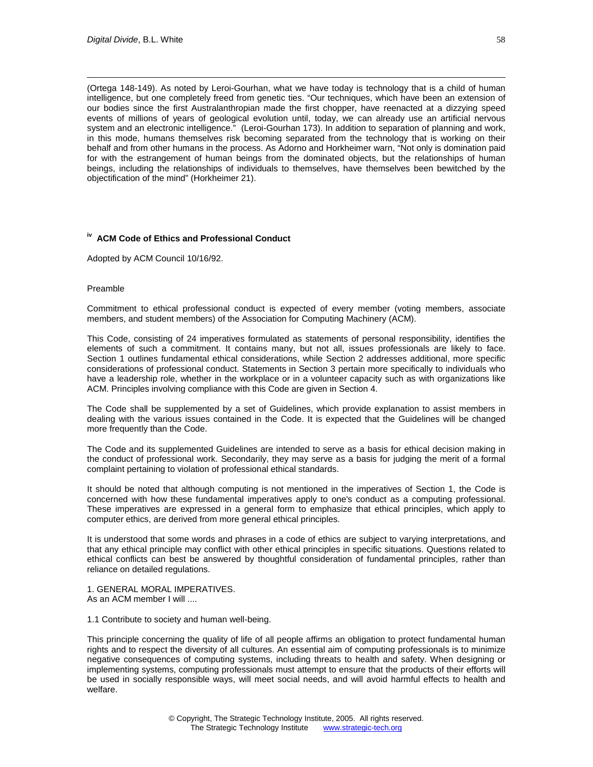(Ortega 148-149). As noted by Leroi-Gourhan, what we have today is technology that is a child of human intelligence, but one completely freed from genetic ties. "Our techniques, which have been an extension of our bodies since the first Australanthropian made the first chopper, have reenacted at a dizzying speed events of millions of years of geological evolution until, today, we can already use an artificial nervous system and an electronic intelligence." (Leroi-Gourhan 173). In addition to separation of planning and work, in this mode, humans themselves risk becoming separated from the technology that is working on their behalf and from other humans in the process. As Adorno and Horkheimer warn, "Not only is domination paid for with the estrangement of human beings from the dominated objects, but the relationships of human beings, including the relationships of individuals to themselves, have themselves been bewitched by the objectification of the mind" (Horkheimer 21).

# **iv ACM Code of Ethics and Professional Conduct**

Adopted by ACM Council 10/16/92.

### Preamble

Commitment to ethical professional conduct is expected of every member (voting members, associate members, and student members) of the Association for Computing Machinery (ACM).

This Code, consisting of 24 imperatives formulated as statements of personal responsibility, identifies the elements of such a commitment. It contains many, but not all, issues professionals are likely to face. Section 1 outlines fundamental ethical considerations, while Section 2 addresses additional, more specific considerations of professional conduct. Statements in Section 3 pertain more specifically to individuals who have a leadership role, whether in the workplace or in a volunteer capacity such as with organizations like ACM. Principles involving compliance with this Code are given in Section 4.

The Code shall be supplemented by a set of Guidelines, which provide explanation to assist members in dealing with the various issues contained in the Code. It is expected that the Guidelines will be changed more frequently than the Code.

The Code and its supplemented Guidelines are intended to serve as a basis for ethical decision making in the conduct of professional work. Secondarily, they may serve as a basis for judging the merit of a formal complaint pertaining to violation of professional ethical standards.

It should be noted that although computing is not mentioned in the imperatives of Section 1, the Code is concerned with how these fundamental imperatives apply to one's conduct as a computing professional. These imperatives are expressed in a general form to emphasize that ethical principles, which apply to computer ethics, are derived from more general ethical principles.

It is understood that some words and phrases in a code of ethics are subject to varying interpretations, and that any ethical principle may conflict with other ethical principles in specific situations. Questions related to ethical conflicts can best be answered by thoughtful consideration of fundamental principles, rather than reliance on detailed regulations.

#### 1. GENERAL MORAL IMPERATIVES. As an ACM member I will ....

### 1.1 Contribute to society and human well-being.

This principle concerning the quality of life of all people affirms an obligation to protect fundamental human rights and to respect the diversity of all cultures. An essential aim of computing professionals is to minimize negative consequences of computing systems, including threats to health and safety. When designing or implementing systems, computing professionals must attempt to ensure that the products of their efforts will be used in socially responsible ways, will meet social needs, and will avoid harmful effects to health and welfare.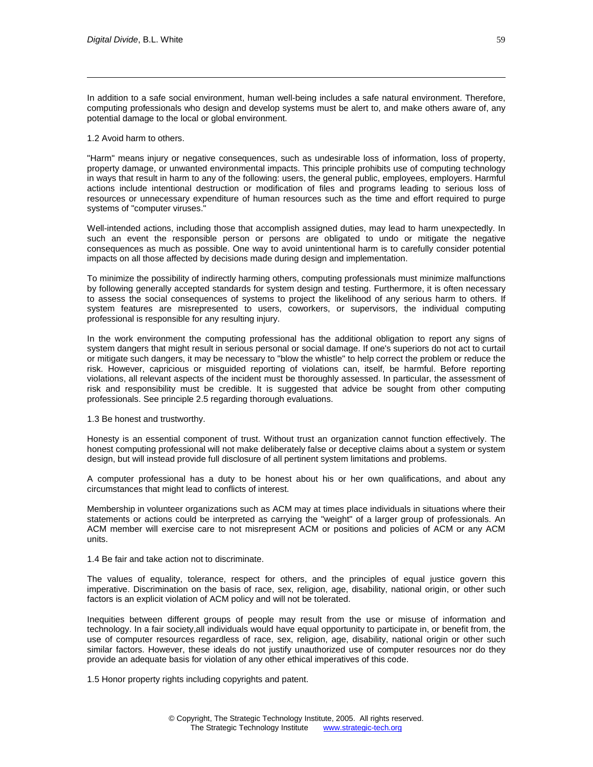In addition to a safe social environment, human well-being includes a safe natural environment. Therefore, computing professionals who design and develop systems must be alert to, and make others aware of, any potential damage to the local or global environment.

### 1.2 Avoid harm to others.

"Harm" means injury or negative consequences, such as undesirable loss of information, loss of property, property damage, or unwanted environmental impacts. This principle prohibits use of computing technology in ways that result in harm to any of the following: users, the general public, employees, employers. Harmful actions include intentional destruction or modification of files and programs leading to serious loss of resources or unnecessary expenditure of human resources such as the time and effort required to purge systems of "computer viruses."

Well-intended actions, including those that accomplish assigned duties, may lead to harm unexpectedly. In such an event the responsible person or persons are obligated to undo or mitigate the negative consequences as much as possible. One way to avoid unintentional harm is to carefully consider potential impacts on all those affected by decisions made during design and implementation.

To minimize the possibility of indirectly harming others, computing professionals must minimize malfunctions by following generally accepted standards for system design and testing. Furthermore, it is often necessary to assess the social consequences of systems to project the likelihood of any serious harm to others. If system features are misrepresented to users, coworkers, or supervisors, the individual computing professional is responsible for any resulting injury.

In the work environment the computing professional has the additional obligation to report any signs of system dangers that might result in serious personal or social damage. If one's superiors do not act to curtail or mitigate such dangers, it may be necessary to "blow the whistle" to help correct the problem or reduce the risk. However, capricious or misguided reporting of violations can, itself, be harmful. Before reporting violations, all relevant aspects of the incident must be thoroughly assessed. In particular, the assessment of risk and responsibility must be credible. It is suggested that advice be sought from other computing professionals. See principle 2.5 regarding thorough evaluations.

1.3 Be honest and trustworthy.

Honesty is an essential component of trust. Without trust an organization cannot function effectively. The honest computing professional will not make deliberately false or deceptive claims about a system or system design, but will instead provide full disclosure of all pertinent system limitations and problems.

A computer professional has a duty to be honest about his or her own qualifications, and about any circumstances that might lead to conflicts of interest.

Membership in volunteer organizations such as ACM may at times place individuals in situations where their statements or actions could be interpreted as carrying the "weight" of a larger group of professionals. An ACM member will exercise care to not misrepresent ACM or positions and policies of ACM or any ACM units.

1.4 Be fair and take action not to discriminate.

The values of equality, tolerance, respect for others, and the principles of equal justice govern this imperative. Discrimination on the basis of race, sex, religion, age, disability, national origin, or other such factors is an explicit violation of ACM policy and will not be tolerated.

Inequities between different groups of people may result from the use or misuse of information and technology. In a fair society,all individuals would have equal opportunity to participate in, or benefit from, the use of computer resources regardless of race, sex, religion, age, disability, national origin or other such similar factors. However, these ideals do not justify unauthorized use of computer resources nor do they provide an adequate basis for violation of any other ethical imperatives of this code.

1.5 Honor property rights including copyrights and patent.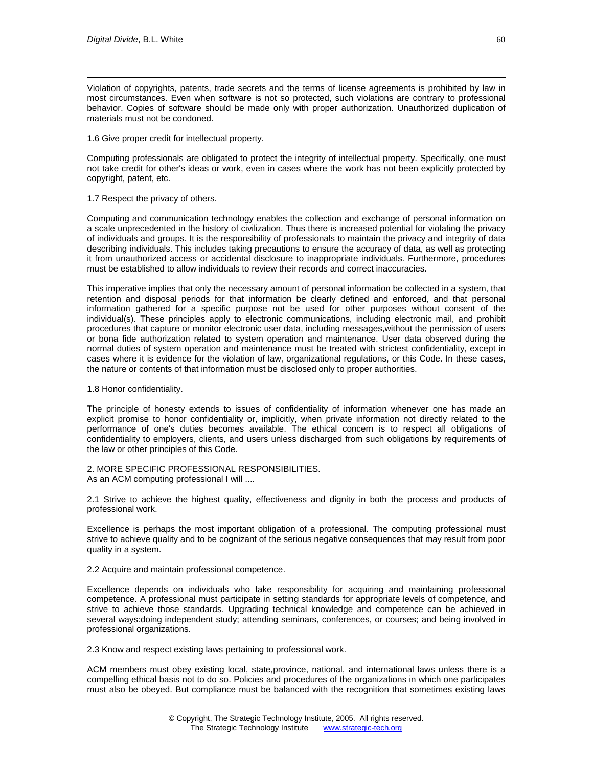Violation of copyrights, patents, trade secrets and the terms of license agreements is prohibited by law in most circumstances. Even when software is not so protected, such violations are contrary to professional behavior. Copies of software should be made only with proper authorization. Unauthorized duplication of materials must not be condoned.

1.6 Give proper credit for intellectual property.

Computing professionals are obligated to protect the integrity of intellectual property. Specifically, one must not take credit for other's ideas or work, even in cases where the work has not been explicitly protected by copyright, patent, etc.

1.7 Respect the privacy of others.

Computing and communication technology enables the collection and exchange of personal information on a scale unprecedented in the history of civilization. Thus there is increased potential for violating the privacy of individuals and groups. It is the responsibility of professionals to maintain the privacy and integrity of data describing individuals. This includes taking precautions to ensure the accuracy of data, as well as protecting it from unauthorized access or accidental disclosure to inappropriate individuals. Furthermore, procedures must be established to allow individuals to review their records and correct inaccuracies.

This imperative implies that only the necessary amount of personal information be collected in a system, that retention and disposal periods for that information be clearly defined and enforced, and that personal information gathered for a specific purpose not be used for other purposes without consent of the individual(s). These principles apply to electronic communications, including electronic mail, and prohibit procedures that capture or monitor electronic user data, including messages,without the permission of users or bona fide authorization related to system operation and maintenance. User data observed during the normal duties of system operation and maintenance must be treated with strictest confidentiality, except in cases where it is evidence for the violation of law, organizational regulations, or this Code. In these cases, the nature or contents of that information must be disclosed only to proper authorities.

1.8 Honor confidentiality.

The principle of honesty extends to issues of confidentiality of information whenever one has made an explicit promise to honor confidentiality or, implicitly, when private information not directly related to the performance of one's duties becomes available. The ethical concern is to respect all obligations of confidentiality to employers, clients, and users unless discharged from such obligations by requirements of the law or other principles of this Code.

2. MORE SPECIFIC PROFESSIONAL RESPONSIBILITIES. As an ACM computing professional I will ....

2.1 Strive to achieve the highest quality, effectiveness and dignity in both the process and products of professional work.

Excellence is perhaps the most important obligation of a professional. The computing professional must strive to achieve quality and to be cognizant of the serious negative consequences that may result from poor quality in a system.

2.2 Acquire and maintain professional competence.

Excellence depends on individuals who take responsibility for acquiring and maintaining professional competence. A professional must participate in setting standards for appropriate levels of competence, and strive to achieve those standards. Upgrading technical knowledge and competence can be achieved in several ways:doing independent study; attending seminars, conferences, or courses; and being involved in professional organizations.

2.3 Know and respect existing laws pertaining to professional work.

ACM members must obey existing local, state,province, national, and international laws unless there is a compelling ethical basis not to do so. Policies and procedures of the organizations in which one participates must also be obeyed. But compliance must be balanced with the recognition that sometimes existing laws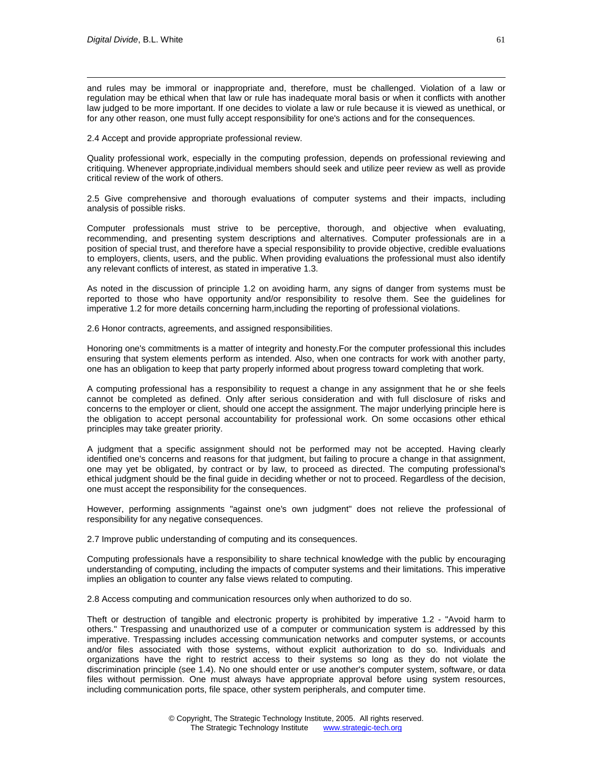and rules may be immoral or inappropriate and, therefore, must be challenged. Violation of a law or regulation may be ethical when that law or rule has inadequate moral basis or when it conflicts with another law judged to be more important. If one decides to violate a law or rule because it is viewed as unethical, or for any other reason, one must fully accept responsibility for one's actions and for the consequences.

2.4 Accept and provide appropriate professional review.

Quality professional work, especially in the computing profession, depends on professional reviewing and critiquing. Whenever appropriate,individual members should seek and utilize peer review as well as provide critical review of the work of others.

2.5 Give comprehensive and thorough evaluations of computer systems and their impacts, including analysis of possible risks.

Computer professionals must strive to be perceptive, thorough, and objective when evaluating, recommending, and presenting system descriptions and alternatives. Computer professionals are in a position of special trust, and therefore have a special responsibility to provide objective, credible evaluations to employers, clients, users, and the public. When providing evaluations the professional must also identify any relevant conflicts of interest, as stated in imperative 1.3.

As noted in the discussion of principle 1.2 on avoiding harm, any signs of danger from systems must be reported to those who have opportunity and/or responsibility to resolve them. See the guidelines for imperative 1.2 for more details concerning harm,including the reporting of professional violations.

2.6 Honor contracts, agreements, and assigned responsibilities.

Honoring one's commitments is a matter of integrity and honesty.For the computer professional this includes ensuring that system elements perform as intended. Also, when one contracts for work with another party, one has an obligation to keep that party properly informed about progress toward completing that work.

A computing professional has a responsibility to request a change in any assignment that he or she feels cannot be completed as defined. Only after serious consideration and with full disclosure of risks and concerns to the employer or client, should one accept the assignment. The major underlying principle here is the obligation to accept personal accountability for professional work. On some occasions other ethical principles may take greater priority.

A judgment that a specific assignment should not be performed may not be accepted. Having clearly identified one's concerns and reasons for that judgment, but failing to procure a change in that assignment, one may yet be obligated, by contract or by law, to proceed as directed. The computing professional's ethical judgment should be the final guide in deciding whether or not to proceed. Regardless of the decision, one must accept the responsibility for the consequences.

However, performing assignments "against one's own judgment" does not relieve the professional of responsibility for any negative consequences.

2.7 Improve public understanding of computing and its consequences.

Computing professionals have a responsibility to share technical knowledge with the public by encouraging understanding of computing, including the impacts of computer systems and their limitations. This imperative implies an obligation to counter any false views related to computing.

2.8 Access computing and communication resources only when authorized to do so.

Theft or destruction of tangible and electronic property is prohibited by imperative 1.2 - "Avoid harm to others." Trespassing and unauthorized use of a computer or communication system is addressed by this imperative. Trespassing includes accessing communication networks and computer systems, or accounts and/or files associated with those systems, without explicit authorization to do so. Individuals and organizations have the right to restrict access to their systems so long as they do not violate the discrimination principle (see 1.4). No one should enter or use another's computer system, software, or data files without permission. One must always have appropriate approval before using system resources, including communication ports, file space, other system peripherals, and computer time.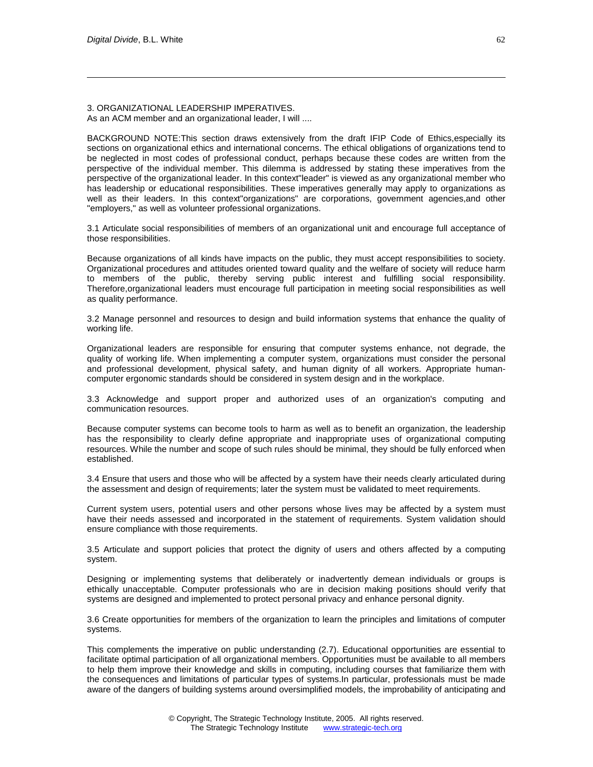3. ORGANIZATIONAL LEADERSHIP IMPERATIVES. As an ACM member and an organizational leader, I will ....

BACKGROUND NOTE:This section draws extensively from the draft IFIP Code of Ethics,especially its sections on organizational ethics and international concerns. The ethical obligations of organizations tend to be neglected in most codes of professional conduct, perhaps because these codes are written from the perspective of the individual member. This dilemma is addressed by stating these imperatives from the perspective of the organizational leader. In this context"leader" is viewed as any organizational member who has leadership or educational responsibilities. These imperatives generally may apply to organizations as well as their leaders. In this context"organizations" are corporations, government agencies,and other "employers," as well as volunteer professional organizations.

3.1 Articulate social responsibilities of members of an organizational unit and encourage full acceptance of those responsibilities.

Because organizations of all kinds have impacts on the public, they must accept responsibilities to society. Organizational procedures and attitudes oriented toward quality and the welfare of society will reduce harm to members of the public, thereby serving public interest and fulfilling social responsibility. Therefore,organizational leaders must encourage full participation in meeting social responsibilities as well as quality performance.

3.2 Manage personnel and resources to design and build information systems that enhance the quality of working life.

Organizational leaders are responsible for ensuring that computer systems enhance, not degrade, the quality of working life. When implementing a computer system, organizations must consider the personal and professional development, physical safety, and human dignity of all workers. Appropriate humancomputer ergonomic standards should be considered in system design and in the workplace.

3.3 Acknowledge and support proper and authorized uses of an organization's computing and communication resources.

Because computer systems can become tools to harm as well as to benefit an organization, the leadership has the responsibility to clearly define appropriate and inappropriate uses of organizational computing resources. While the number and scope of such rules should be minimal, they should be fully enforced when established.

3.4 Ensure that users and those who will be affected by a system have their needs clearly articulated during the assessment and design of requirements; later the system must be validated to meet requirements.

Current system users, potential users and other persons whose lives may be affected by a system must have their needs assessed and incorporated in the statement of requirements. System validation should ensure compliance with those requirements.

3.5 Articulate and support policies that protect the dignity of users and others affected by a computing system.

Designing or implementing systems that deliberately or inadvertently demean individuals or groups is ethically unacceptable. Computer professionals who are in decision making positions should verify that systems are designed and implemented to protect personal privacy and enhance personal dignity.

3.6 Create opportunities for members of the organization to learn the principles and limitations of computer systems.

This complements the imperative on public understanding (2.7). Educational opportunities are essential to facilitate optimal participation of all organizational members. Opportunities must be available to all members to help them improve their knowledge and skills in computing, including courses that familiarize them with the consequences and limitations of particular types of systems.In particular, professionals must be made aware of the dangers of building systems around oversimplified models, the improbability of anticipating and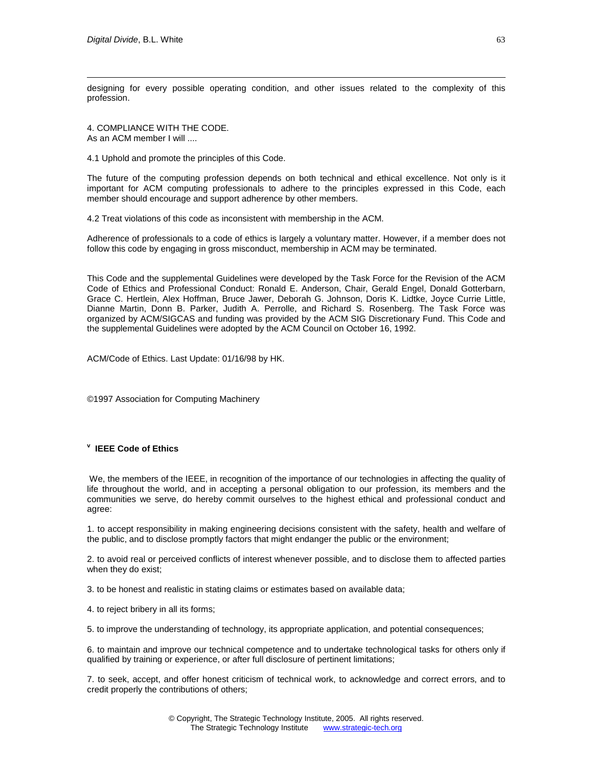designing for every possible operating condition, and other issues related to the complexity of this profession.

4. COMPLIANCE WITH THE CODE. As an ACM member I will ....

4.1 Uphold and promote the principles of this Code.

The future of the computing profession depends on both technical and ethical excellence. Not only is it important for ACM computing professionals to adhere to the principles expressed in this Code, each member should encourage and support adherence by other members.

4.2 Treat violations of this code as inconsistent with membership in the ACM.

Adherence of professionals to a code of ethics is largely a voluntary matter. However, if a member does not follow this code by engaging in gross misconduct, membership in ACM may be terminated.

This Code and the supplemental Guidelines were developed by the Task Force for the Revision of the ACM Code of Ethics and Professional Conduct: Ronald E. Anderson, Chair, Gerald Engel, Donald Gotterbarn, Grace C. Hertlein, Alex Hoffman, Bruce Jawer, Deborah G. Johnson, Doris K. Lidtke, Joyce Currie Little, Dianne Martin, Donn B. Parker, Judith A. Perrolle, and Richard S. Rosenberg. The Task Force was organized by ACM/SIGCAS and funding was provided by the ACM SIG Discretionary Fund. This Code and the supplemental Guidelines were adopted by the ACM Council on October 16, 1992.

ACM/Code of Ethics. Last Update: 01/16/98 by HK.

©1997 Association for Computing Machinery

# **v IEEE Code of Ethics**

 We, the members of the IEEE, in recognition of the importance of our technologies in affecting the quality of life throughout the world, and in accepting a personal obligation to our profession, its members and the communities we serve, do hereby commit ourselves to the highest ethical and professional conduct and agree:

1. to accept responsibility in making engineering decisions consistent with the safety, health and welfare of the public, and to disclose promptly factors that might endanger the public or the environment;

2. to avoid real or perceived conflicts of interest whenever possible, and to disclose them to affected parties when they do exist;

3. to be honest and realistic in stating claims or estimates based on available data;

4. to reject bribery in all its forms;

5. to improve the understanding of technology, its appropriate application, and potential consequences;

6. to maintain and improve our technical competence and to undertake technological tasks for others only if qualified by training or experience, or after full disclosure of pertinent limitations;

7. to seek, accept, and offer honest criticism of technical work, to acknowledge and correct errors, and to credit properly the contributions of others;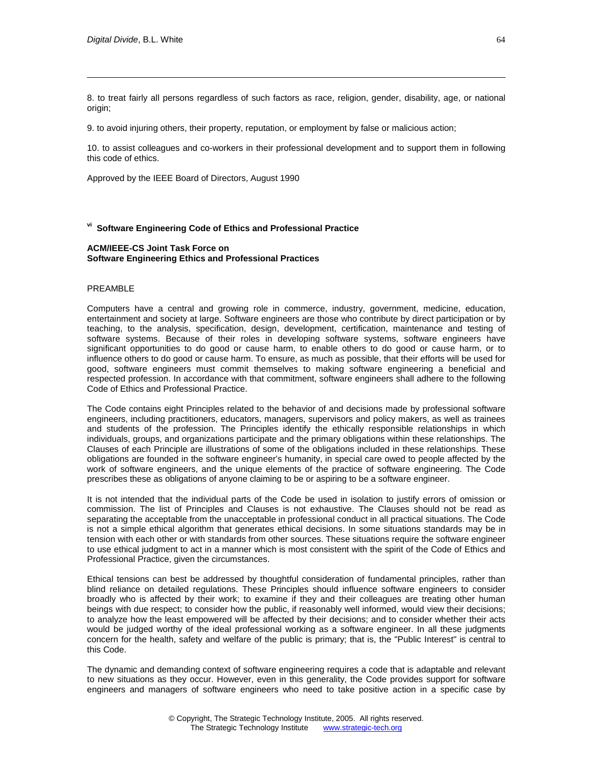8. to treat fairly all persons regardless of such factors as race, religion, gender, disability, age, or national origin;

9. to avoid injuring others, their property, reputation, or employment by false or malicious action;

10. to assist colleagues and co-workers in their professional development and to support them in following this code of ethics.

Approved by the IEEE Board of Directors, August 1990

# **vi Software Engineering Code of Ethics and Professional Practice**

### **ACM/IEEE-CS Joint Task Force on Software Engineering Ethics and Professional Practices**

#### PREAMBLE

Computers have a central and growing role in commerce, industry, government, medicine, education, entertainment and society at large. Software engineers are those who contribute by direct participation or by teaching, to the analysis, specification, design, development, certification, maintenance and testing of software systems. Because of their roles in developing software systems, software engineers have significant opportunities to do good or cause harm, to enable others to do good or cause harm, or to influence others to do good or cause harm. To ensure, as much as possible, that their efforts will be used for good, software engineers must commit themselves to making software engineering a beneficial and respected profession. In accordance with that commitment, software engineers shall adhere to the following Code of Ethics and Professional Practice.

The Code contains eight Principles related to the behavior of and decisions made by professional software engineers, including practitioners, educators, managers, supervisors and policy makers, as well as trainees and students of the profession. The Principles identify the ethically responsible relationships in which individuals, groups, and organizations participate and the primary obligations within these relationships. The Clauses of each Principle are illustrations of some of the obligations included in these relationships. These obligations are founded in the software engineer's humanity, in special care owed to people affected by the work of software engineers, and the unique elements of the practice of software engineering. The Code prescribes these as obligations of anyone claiming to be or aspiring to be a software engineer.

It is not intended that the individual parts of the Code be used in isolation to justify errors of omission or commission. The list of Principles and Clauses is not exhaustive. The Clauses should not be read as separating the acceptable from the unacceptable in professional conduct in all practical situations. The Code is not a simple ethical algorithm that generates ethical decisions. In some situations standards may be in tension with each other or with standards from other sources. These situations require the software engineer to use ethical judgment to act in a manner which is most consistent with the spirit of the Code of Ethics and Professional Practice, given the circumstances.

Ethical tensions can best be addressed by thoughtful consideration of fundamental principles, rather than blind reliance on detailed regulations. These Principles should influence software engineers to consider broadly who is affected by their work; to examine if they and their colleagues are treating other human beings with due respect; to consider how the public, if reasonably well informed, would view their decisions; to analyze how the least empowered will be affected by their decisions; and to consider whether their acts would be judged worthy of the ideal professional working as a software engineer. In all these judgments concern for the health, safety and welfare of the public is primary; that is, the "Public Interest" is central to this Code.

The dynamic and demanding context of software engineering requires a code that is adaptable and relevant to new situations as they occur. However, even in this generality, the Code provides support for software engineers and managers of software engineers who need to take positive action in a specific case by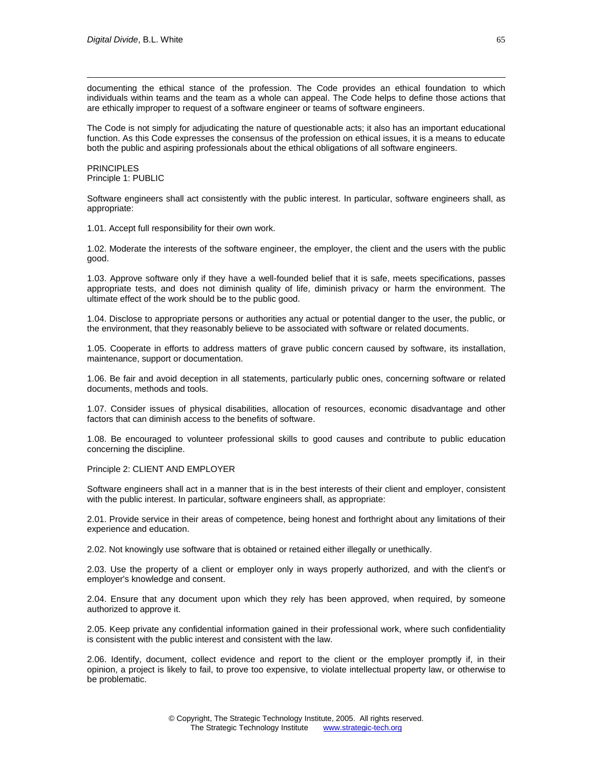documenting the ethical stance of the profession. The Code provides an ethical foundation to which individuals within teams and the team as a whole can appeal. The Code helps to define those actions that are ethically improper to request of a software engineer or teams of software engineers.

The Code is not simply for adjudicating the nature of questionable acts; it also has an important educational function. As this Code expresses the consensus of the profession on ethical issues, it is a means to educate both the public and aspiring professionals about the ethical obligations of all software engineers.

#### PRINCIPLES Principle 1: PUBLIC

Software engineers shall act consistently with the public interest. In particular, software engineers shall, as appropriate:

1.01. Accept full responsibility for their own work.

1.02. Moderate the interests of the software engineer, the employer, the client and the users with the public good.

1.03. Approve software only if they have a well-founded belief that it is safe, meets specifications, passes appropriate tests, and does not diminish quality of life, diminish privacy or harm the environment. The ultimate effect of the work should be to the public good.

1.04. Disclose to appropriate persons or authorities any actual or potential danger to the user, the public, or the environment, that they reasonably believe to be associated with software or related documents.

1.05. Cooperate in efforts to address matters of grave public concern caused by software, its installation, maintenance, support or documentation.

1.06. Be fair and avoid deception in all statements, particularly public ones, concerning software or related documents, methods and tools.

1.07. Consider issues of physical disabilities, allocation of resources, economic disadvantage and other factors that can diminish access to the benefits of software.

1.08. Be encouraged to volunteer professional skills to good causes and contribute to public education concerning the discipline.

Principle 2: CLIENT AND EMPLOYER

Software engineers shall act in a manner that is in the best interests of their client and employer, consistent with the public interest. In particular, software engineers shall, as appropriate:

2.01. Provide service in their areas of competence, being honest and forthright about any limitations of their experience and education.

2.02. Not knowingly use software that is obtained or retained either illegally or unethically.

2.03. Use the property of a client or employer only in ways properly authorized, and with the client's or employer's knowledge and consent.

2.04. Ensure that any document upon which they rely has been approved, when required, by someone authorized to approve it.

2.05. Keep private any confidential information gained in their professional work, where such confidentiality is consistent with the public interest and consistent with the law.

2.06. Identify, document, collect evidence and report to the client or the employer promptly if, in their opinion, a project is likely to fail, to prove too expensive, to violate intellectual property law, or otherwise to be problematic.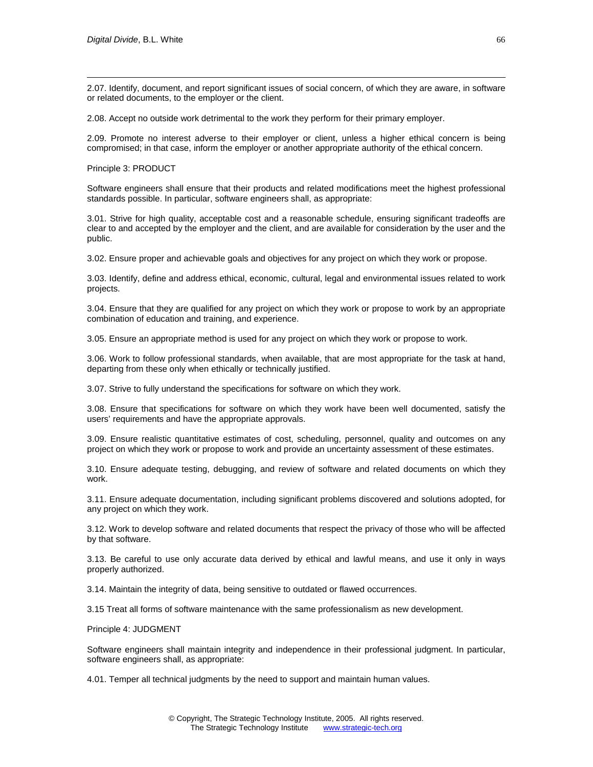2.07. Identify, document, and report significant issues of social concern, of which they are aware, in software or related documents, to the employer or the client.

2.08. Accept no outside work detrimental to the work they perform for their primary employer.

2.09. Promote no interest adverse to their employer or client, unless a higher ethical concern is being compromised; in that case, inform the employer or another appropriate authority of the ethical concern.

Principle 3: PRODUCT

Software engineers shall ensure that their products and related modifications meet the highest professional standards possible. In particular, software engineers shall, as appropriate:

3.01. Strive for high quality, acceptable cost and a reasonable schedule, ensuring significant tradeoffs are clear to and accepted by the employer and the client, and are available for consideration by the user and the public.

3.02. Ensure proper and achievable goals and objectives for any project on which they work or propose.

3.03. Identify, define and address ethical, economic, cultural, legal and environmental issues related to work projects.

3.04. Ensure that they are qualified for any project on which they work or propose to work by an appropriate combination of education and training, and experience.

3.05. Ensure an appropriate method is used for any project on which they work or propose to work.

3.06. Work to follow professional standards, when available, that are most appropriate for the task at hand, departing from these only when ethically or technically justified.

3.07. Strive to fully understand the specifications for software on which they work.

3.08. Ensure that specifications for software on which they work have been well documented, satisfy the users' requirements and have the appropriate approvals.

3.09. Ensure realistic quantitative estimates of cost, scheduling, personnel, quality and outcomes on any project on which they work or propose to work and provide an uncertainty assessment of these estimates.

3.10. Ensure adequate testing, debugging, and review of software and related documents on which they work.

3.11. Ensure adequate documentation, including significant problems discovered and solutions adopted, for any project on which they work.

3.12. Work to develop software and related documents that respect the privacy of those who will be affected by that software.

3.13. Be careful to use only accurate data derived by ethical and lawful means, and use it only in ways properly authorized.

3.14. Maintain the integrity of data, being sensitive to outdated or flawed occurrences.

3.15 Treat all forms of software maintenance with the same professionalism as new development.

Principle 4: JUDGMENT

Software engineers shall maintain integrity and independence in their professional judgment. In particular, software engineers shall, as appropriate:

4.01. Temper all technical judgments by the need to support and maintain human values.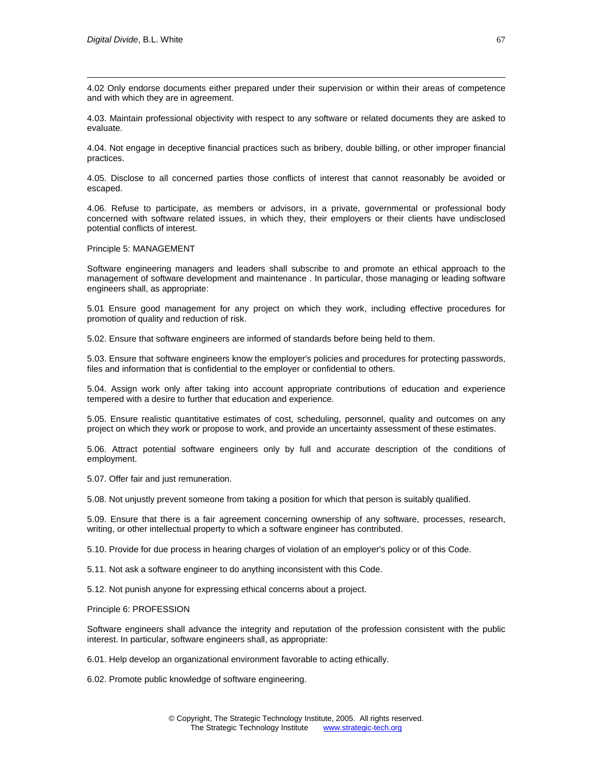4.02 Only endorse documents either prepared under their supervision or within their areas of competence and with which they are in agreement.

4.03. Maintain professional objectivity with respect to any software or related documents they are asked to evaluate.

4.04. Not engage in deceptive financial practices such as bribery, double billing, or other improper financial practices.

4.05. Disclose to all concerned parties those conflicts of interest that cannot reasonably be avoided or escaped.

4.06. Refuse to participate, as members or advisors, in a private, governmental or professional body concerned with software related issues, in which they, their employers or their clients have undisclosed potential conflicts of interest.

#### Principle 5: MANAGEMENT

Software engineering managers and leaders shall subscribe to and promote an ethical approach to the management of software development and maintenance . In particular, those managing or leading software engineers shall, as appropriate:

5.01 Ensure good management for any project on which they work, including effective procedures for promotion of quality and reduction of risk.

5.02. Ensure that software engineers are informed of standards before being held to them.

5.03. Ensure that software engineers know the employer's policies and procedures for protecting passwords, files and information that is confidential to the employer or confidential to others.

5.04. Assign work only after taking into account appropriate contributions of education and experience tempered with a desire to further that education and experience.

5.05. Ensure realistic quantitative estimates of cost, scheduling, personnel, quality and outcomes on any project on which they work or propose to work, and provide an uncertainty assessment of these estimates.

5.06. Attract potential software engineers only by full and accurate description of the conditions of employment.

5.07. Offer fair and just remuneration.

5.08. Not unjustly prevent someone from taking a position for which that person is suitably qualified.

5.09. Ensure that there is a fair agreement concerning ownership of any software, processes, research, writing, or other intellectual property to which a software engineer has contributed.

5.10. Provide for due process in hearing charges of violation of an employer's policy or of this Code.

5.11. Not ask a software engineer to do anything inconsistent with this Code.

5.12. Not punish anyone for expressing ethical concerns about a project.

Principle 6: PROFESSION

Software engineers shall advance the integrity and reputation of the profession consistent with the public interest. In particular, software engineers shall, as appropriate:

6.01. Help develop an organizational environment favorable to acting ethically.

6.02. Promote public knowledge of software engineering.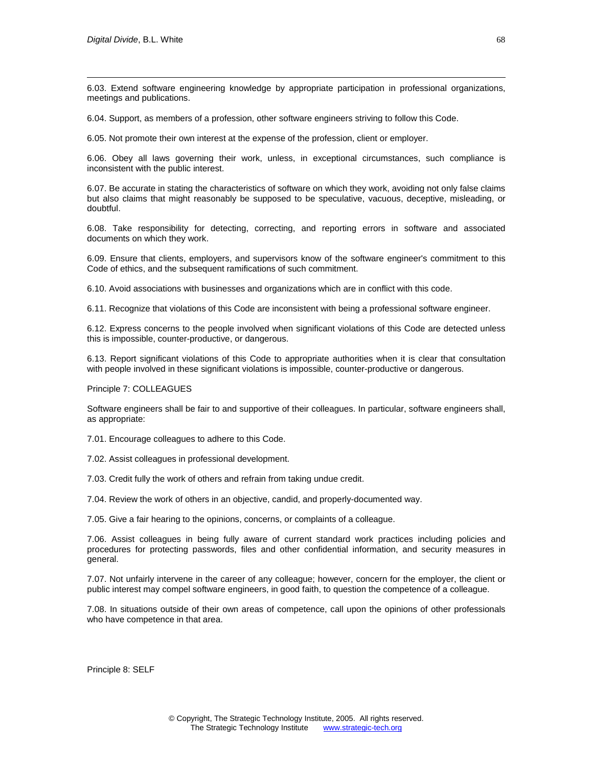6.03. Extend software engineering knowledge by appropriate participation in professional organizations, meetings and publications.

6.04. Support, as members of a profession, other software engineers striving to follow this Code.

6.05. Not promote their own interest at the expense of the profession, client or employer.

6.06. Obey all laws governing their work, unless, in exceptional circumstances, such compliance is inconsistent with the public interest.

6.07. Be accurate in stating the characteristics of software on which they work, avoiding not only false claims but also claims that might reasonably be supposed to be speculative, vacuous, deceptive, misleading, or doubtful.

6.08. Take responsibility for detecting, correcting, and reporting errors in software and associated documents on which they work.

6.09. Ensure that clients, employers, and supervisors know of the software engineer's commitment to this Code of ethics, and the subsequent ramifications of such commitment.

6.10. Avoid associations with businesses and organizations which are in conflict with this code.

6.11. Recognize that violations of this Code are inconsistent with being a professional software engineer.

6.12. Express concerns to the people involved when significant violations of this Code are detected unless this is impossible, counter-productive, or dangerous.

6.13. Report significant violations of this Code to appropriate authorities when it is clear that consultation with people involved in these significant violations is impossible, counter-productive or dangerous.

Principle 7: COLLEAGUES

Software engineers shall be fair to and supportive of their colleagues. In particular, software engineers shall, as appropriate:

7.01. Encourage colleagues to adhere to this Code.

- 7.02. Assist colleagues in professional development.
- 7.03. Credit fully the work of others and refrain from taking undue credit.

7.04. Review the work of others in an objective, candid, and properly-documented way.

7.05. Give a fair hearing to the opinions, concerns, or complaints of a colleague.

7.06. Assist colleagues in being fully aware of current standard work practices including policies and procedures for protecting passwords, files and other confidential information, and security measures in general.

7.07. Not unfairly intervene in the career of any colleague; however, concern for the employer, the client or public interest may compel software engineers, in good faith, to question the competence of a colleague.

7.08. In situations outside of their own areas of competence, call upon the opinions of other professionals who have competence in that area.

Principle 8: SELF